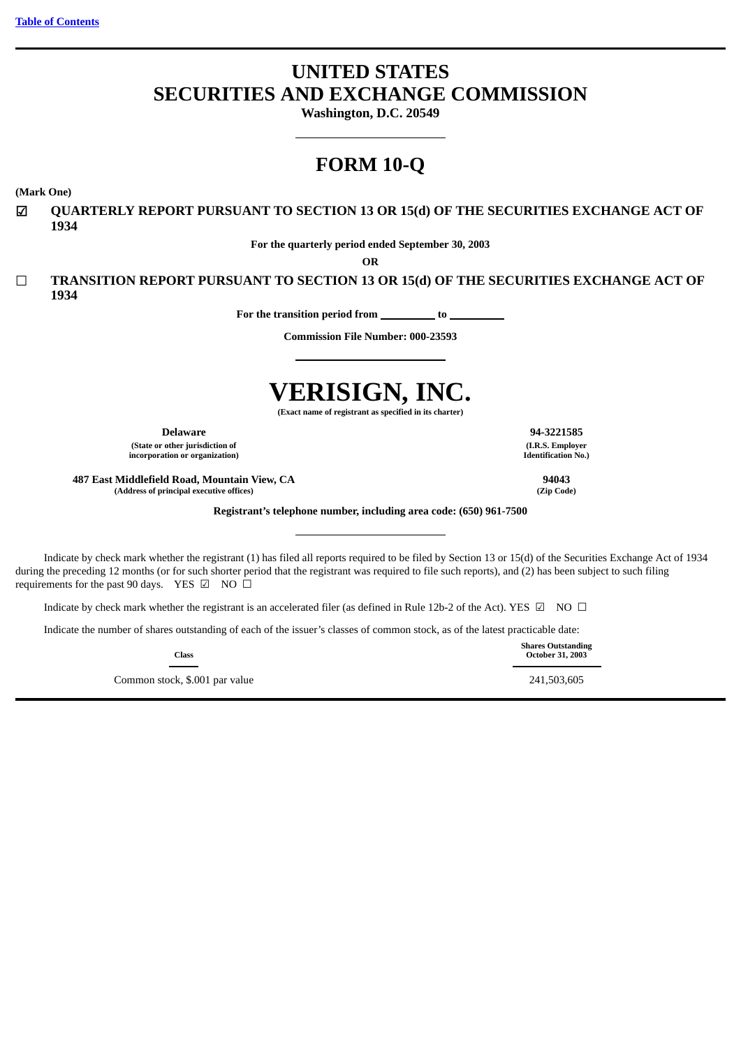## **UNITED STATES SECURITIES AND EXCHANGE COMMISSION**

**Washington, D.C. 20549**

# **FORM 10-Q**

**(Mark One)**

☑ **QUARTERLY REPORT PURSUANT TO SECTION 13 OR 15(d) OF THE SECURITIES EXCHANGE ACT OF 1934**

**For the quarterly period ended September 30, 2003**

**OR**

☐ **TRANSITION REPORT PURSUANT TO SECTION 13 OR 15(d) OF THE SECURITIES EXCHANGE ACT OF 1934**

For the transition period from **the set of the contract of the set of the set of the set of the set of the set of the set of the set of the set of the set of the set of the set of the set of the set of the set of the set o** 

**Commission File Number: 000-23593**

# **VERISIGN, INC.**

**(Exact name of registrant as specified in its charter)**

**Delaware 94-3221585 (State or other jurisdiction of incorporation or organization)**

**487 East Middlefield Road, Mountain View, CA 94043 (Address of principal executive offices) (Zip Code)**

**Registrant's telephone number, including area code: (650) 961-7500**

Indicate by check mark whether the registrant (1) has filed all reports required to be filed by Section 13 or 15(d) of the Securities Exchange Act of 1934 during the preceding 12 months (or for such shorter period that the registrant was required to file such reports), and (2) has been subject to such filing requirements for the past 90 days. YES  $\boxtimes$  NO  $\Box$ 

Indicate by check mark whether the registrant is an accelerated filer (as defined in Rule 12b-2 of the Act). YES  $\Box$  NO  $\Box$ 

Indicate the number of shares outstanding of each of the issuer's classes of common stock, as of the latest practicable date:

**Class**

Common stock, \$.001 par value 241,503,605

**(I.R.S. Employer Identification No.)**

**October 31, 2003**

**Shares Outstanding**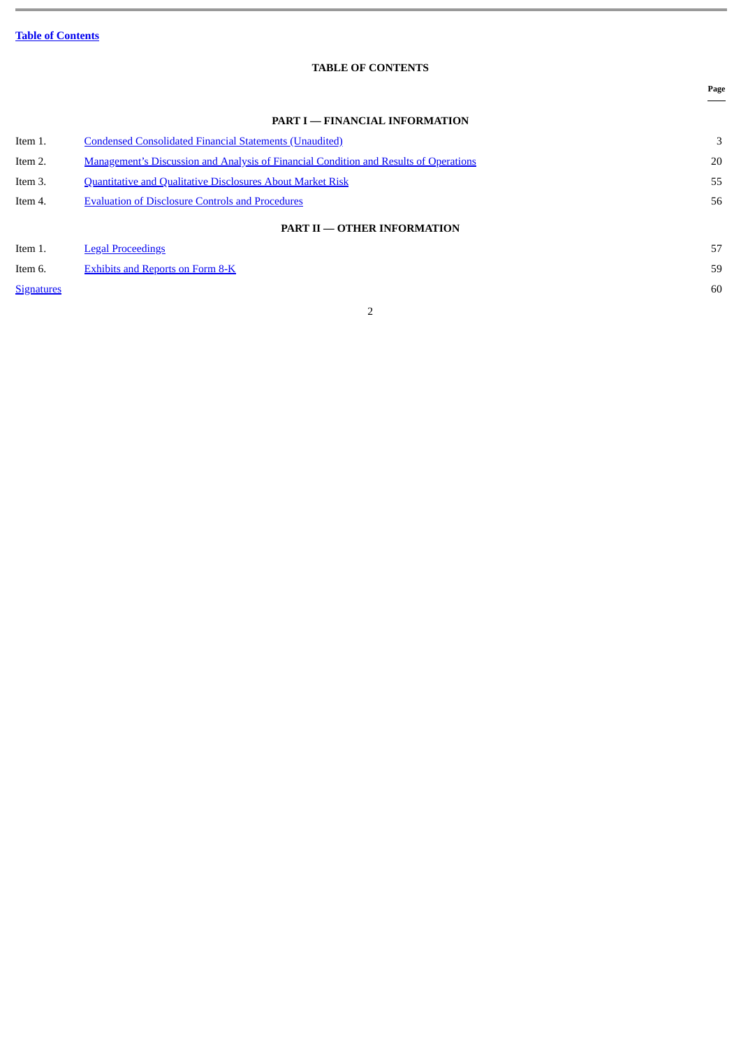### **TABLE OF CONTENTS**

<span id="page-1-0"></span>

|                   |                                                                                              | Page |
|-------------------|----------------------------------------------------------------------------------------------|------|
|                   | <b>PART I - FINANCIAL INFORMATION</b>                                                        |      |
| Item 1.           | <b>Condensed Consolidated Financial Statements (Unaudited)</b>                               | 3    |
| Item 2.           | <b>Management's Discussion and Analysis of Financial Condition and Results of Operations</b> | 20   |
| Item 3.           | Quantitative and Qualitative Disclosures About Market Risk                                   | 55   |
| Item 4.           | <b>Evaluation of Disclosure Controls and Procedures</b>                                      | 56   |
|                   | <b>PART II - OTHER INFORMATION</b>                                                           |      |
| Item 1.           | <b>Legal Proceedings</b>                                                                     | 57   |
| Item 6.           | <b>Exhibits and Reports on Form 8-K</b>                                                      | 59   |
| <b>Signatures</b> |                                                                                              | 60   |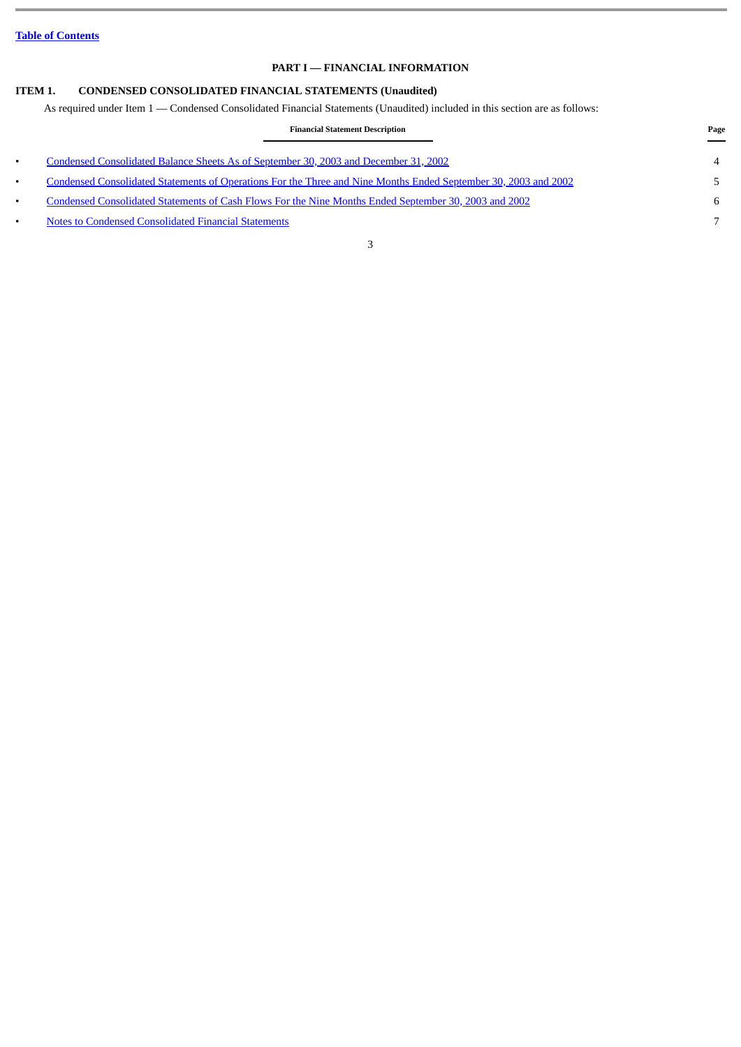### **PART I — FINANCIAL INFORMATION**

### <span id="page-2-0"></span>**ITEM 1. CONDENSED CONSOLIDATED FINANCIAL STATEMENTS (Unaudited)**

As required under Item 1 — Condensed Consolidated Financial Statements (Unaudited) included in this section are as follows:

|           | <b>Financial Statement Description</b>                                                                          | Page           |
|-----------|-----------------------------------------------------------------------------------------------------------------|----------------|
|           | Condensed Consolidated Balance Sheets As of September 30, 2003 and December 31, 2002                            | $\overline{4}$ |
| $\bullet$ | Condensed Consolidated Statements of Operations For the Three and Nine Months Ended September 30, 2003 and 2002 |                |
|           | Condensed Consolidated Statements of Cash Flows For the Nine Months Ended September 30, 2003 and 2002           | 6              |
|           | <b>Notes to Condensed Consolidated Financial Statements</b>                                                     |                |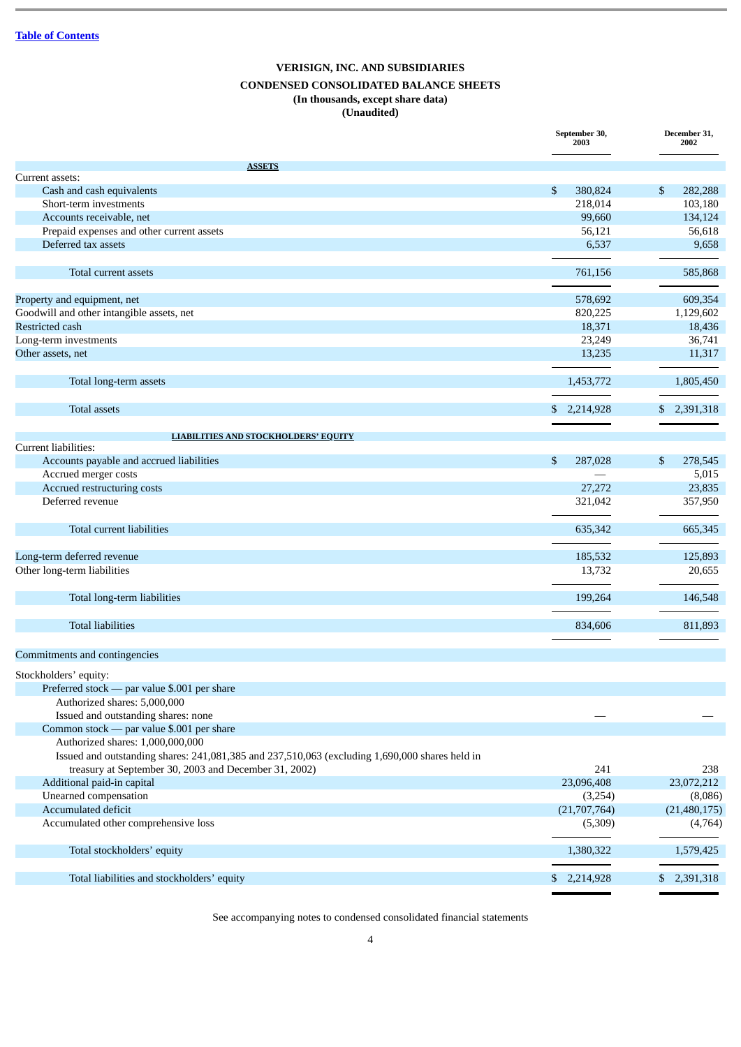### **VERISIGN, INC. AND SUBSIDIARIES CONDENSED CONSOLIDATED BALANCE SHEETS (In thousands, except share data) (Unaudited)**

<span id="page-3-0"></span>

|                                                                                                | September 30,<br>2003 | December 31,<br>2002 |
|------------------------------------------------------------------------------------------------|-----------------------|----------------------|
| <b>ASSETS</b>                                                                                  |                       |                      |
| Current assets:                                                                                |                       |                      |
| Cash and cash equivalents                                                                      | \$<br>380,824         | \$<br>282,288        |
| Short-term investments                                                                         | 218,014               | 103,180              |
| Accounts receivable, net                                                                       | 99,660                | 134,124              |
| Prepaid expenses and other current assets                                                      | 56,121                | 56,618               |
| Deferred tax assets                                                                            | 6,537                 | 9,658                |
|                                                                                                |                       |                      |
| Total current assets                                                                           | 761,156               | 585,868              |
|                                                                                                |                       |                      |
| Property and equipment, net                                                                    | 578,692               | 609,354              |
| Goodwill and other intangible assets, net                                                      | 820,225               | 1,129,602            |
| Restricted cash                                                                                | 18,371                | 18,436               |
| Long-term investments                                                                          | 23,249                | 36,741               |
| Other assets, net                                                                              | 13,235                | 11,317               |
|                                                                                                |                       |                      |
| Total long-term assets                                                                         | 1,453,772             | 1,805,450            |
|                                                                                                |                       |                      |
| <b>Total assets</b>                                                                            | \$2,214,928           | \$2,391,318          |
|                                                                                                |                       |                      |
| <b>LIABILITIES AND STOCKHOLDERS' EQUITY</b><br>Current liabilities:                            |                       |                      |
| Accounts payable and accrued liabilities                                                       | \$<br>287,028         | \$<br>278,545        |
| Accrued merger costs                                                                           |                       | 5,015                |
| Accrued restructuring costs                                                                    | 27,272                | 23,835               |
| Deferred revenue                                                                               | 321,042               | 357,950              |
|                                                                                                |                       |                      |
| Total current liabilities                                                                      | 635,342               | 665,345              |
|                                                                                                |                       |                      |
| Long-term deferred revenue                                                                     | 185,532               | 125,893              |
| Other long-term liabilities                                                                    | 13,732                | 20,655               |
|                                                                                                |                       |                      |
| Total long-term liabilities                                                                    | 199,264               | 146,548              |
|                                                                                                |                       |                      |
| <b>Total liabilities</b>                                                                       | 834,606               | 811,893              |
|                                                                                                |                       |                      |
| Commitments and contingencies                                                                  |                       |                      |
|                                                                                                |                       |                      |
| Stockholders' equity:                                                                          |                       |                      |
| Preferred stock — par value \$.001 per share                                                   |                       |                      |
| Authorized shares: 5,000,000                                                                   |                       |                      |
| Issued and outstanding shares: none                                                            |                       |                      |
| Common stock — par value \$.001 per share                                                      |                       |                      |
| Authorized shares: 1,000,000,000                                                               |                       |                      |
| Issued and outstanding shares: 241,081,385 and 237,510,063 (excluding 1,690,000 shares held in |                       |                      |
| treasury at September 30, 2003 and December 31, 2002)                                          | 241                   | 238                  |
| Additional paid-in capital                                                                     | 23,096,408            | 23,072,212           |
| Unearned compensation                                                                          | (3,254)               | (8,086)              |
| Accumulated deficit                                                                            | (21,707,764)          | (21, 480, 175)       |
| Accumulated other comprehensive loss                                                           | (5,309)               | (4,764)              |
|                                                                                                |                       |                      |
| Total stockholders' equity                                                                     | 1,380,322             | 1,579,425            |
|                                                                                                |                       |                      |
| Total liabilities and stockholders' equity                                                     | \$2,214,928           | \$2,391,318          |
|                                                                                                |                       |                      |

See accompanying notes to condensed consolidated financial statements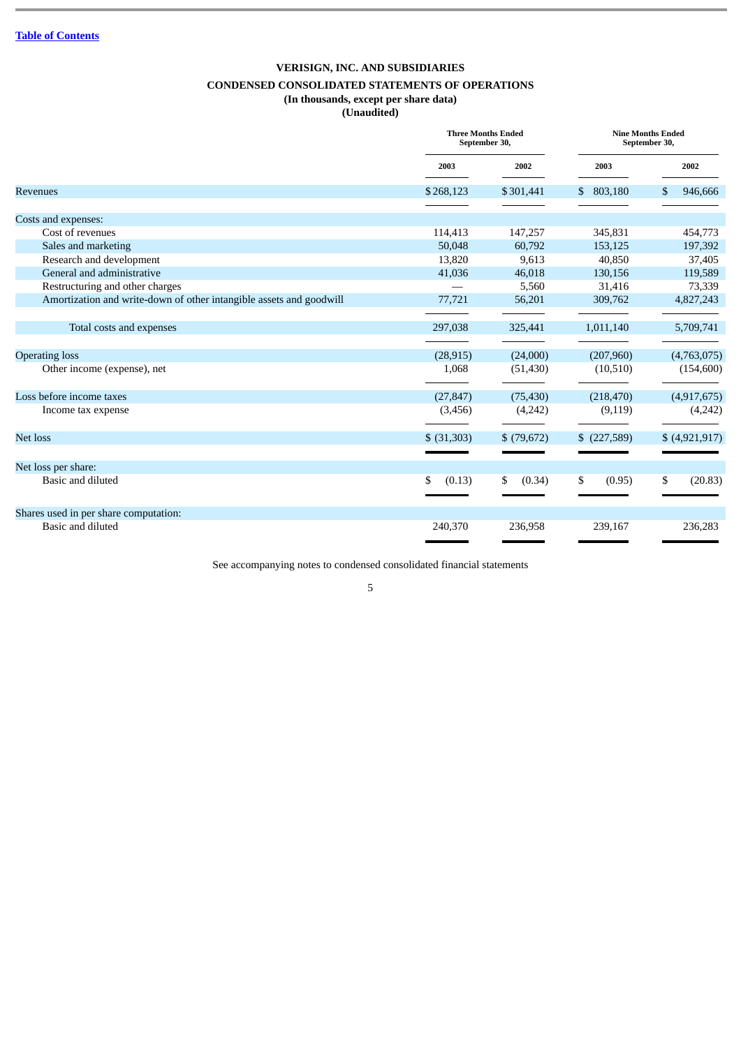### **VERISIGN, INC. AND SUBSIDIARIES CONDENSED CONSOLIDATED STATEMENTS OF OPERATIONS (In thousands, except per share data) (Unaudited)**

<span id="page-4-0"></span>

|                                                                     | <b>Three Months Ended</b><br>September 30, |              | <b>Nine Months Ended</b><br>September 30, |                |  |
|---------------------------------------------------------------------|--------------------------------------------|--------------|-------------------------------------------|----------------|--|
|                                                                     | 2003                                       | 2002         | 2003                                      | 2002           |  |
| <b>Revenues</b>                                                     | \$268,123                                  | \$301,441    | 803,180<br>\$                             | 946,666<br>S   |  |
| Costs and expenses:                                                 |                                            |              |                                           |                |  |
| Cost of revenues                                                    | 114,413                                    | 147,257      | 345,831                                   | 454,773        |  |
| Sales and marketing                                                 | 50,048                                     | 60,792       | 153,125                                   | 197,392        |  |
| Research and development                                            | 13,820                                     | 9.613        | 40,850                                    | 37,405         |  |
| General and administrative                                          | 41,036                                     | 46,018       | 130,156                                   | 119,589        |  |
| Restructuring and other charges                                     |                                            | 5,560        | 31,416                                    | 73,339         |  |
| Amortization and write-down of other intangible assets and goodwill | 77,721                                     | 56,201       | 309,762                                   | 4,827,243      |  |
|                                                                     |                                            |              |                                           |                |  |
| Total costs and expenses                                            | 297,038                                    | 325,441      | 1,011,140                                 | 5,709,741      |  |
|                                                                     |                                            |              |                                           |                |  |
| <b>Operating loss</b>                                               | (28, 915)                                  | (24,000)     | (207,960)                                 | (4,763,075)    |  |
| Other income (expense), net                                         | 1,068                                      | (51, 430)    | (10,510)                                  | (154, 600)     |  |
|                                                                     |                                            |              |                                           |                |  |
| Loss before income taxes                                            | (27, 847)                                  | (75, 430)    | (218, 470)                                | (4,917,675)    |  |
| Income tax expense                                                  | (3,456)                                    | (4,242)      | (9, 119)                                  | (4,242)        |  |
|                                                                     |                                            |              |                                           |                |  |
| Net loss                                                            | \$ (31,303)                                | \$(79,672)   | $$$ (227,589)                             | \$ (4,921,917) |  |
|                                                                     |                                            |              |                                           |                |  |
| Net loss per share:                                                 |                                            |              |                                           |                |  |
| Basic and diluted                                                   | \$<br>(0.13)                               | \$<br>(0.34) | \$<br>(0.95)                              | \$<br>(20.83)  |  |
|                                                                     |                                            |              |                                           |                |  |
|                                                                     |                                            |              |                                           |                |  |
| Shares used in per share computation:<br>Basic and diluted          | 240,370                                    | 236,958      | 239,167                                   | 236,283        |  |
|                                                                     |                                            |              |                                           |                |  |

See accompanying notes to condensed consolidated financial statements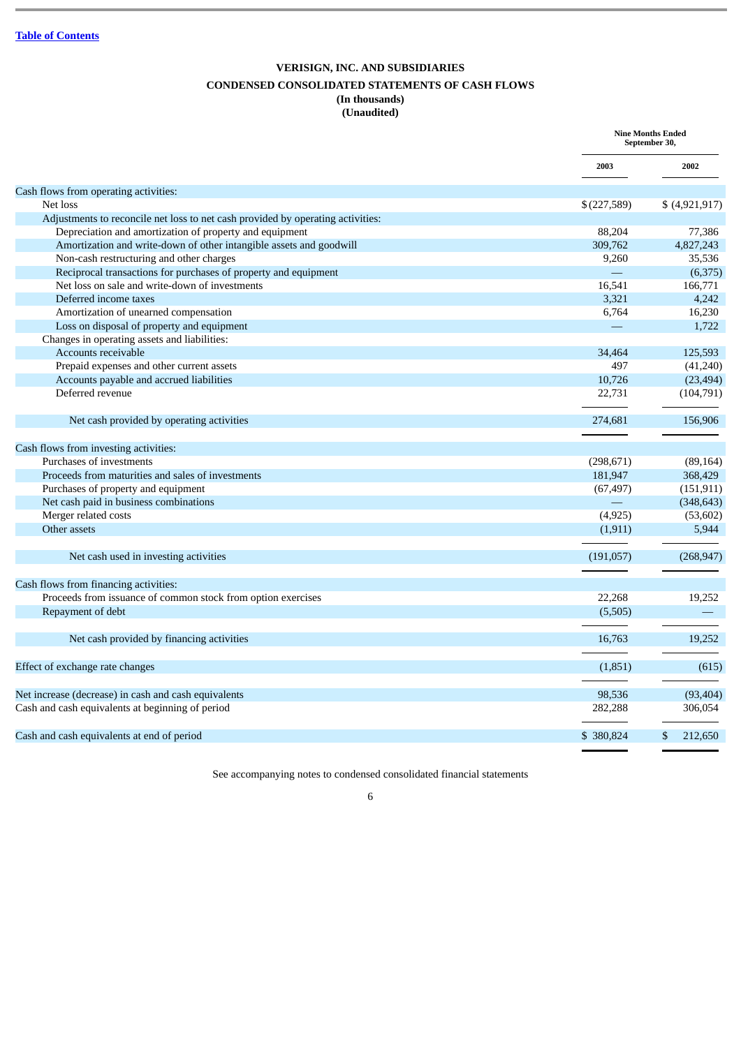### **VERISIGN, INC. AND SUBSIDIARIES CONDENSED CONSOLIDATED STATEMENTS OF CASH FLOWS (In thousands) (Unaudited)**

<span id="page-5-0"></span>

|                                                                                 |             | <b>Nine Months Ended</b><br>September 30, |
|---------------------------------------------------------------------------------|-------------|-------------------------------------------|
|                                                                                 | 2003        | 2002                                      |
| Cash flows from operating activities:                                           |             |                                           |
| Net loss                                                                        | \$(227,589) | \$ (4,921,917)                            |
| Adjustments to reconcile net loss to net cash provided by operating activities: |             |                                           |
| Depreciation and amortization of property and equipment                         | 88,204      | 77,386                                    |
| Amortization and write-down of other intangible assets and goodwill             | 309,762     | 4,827,243                                 |
| Non-cash restructuring and other charges                                        | 9,260       | 35.536                                    |
| Reciprocal transactions for purchases of property and equipment                 |             | (6,375)                                   |
| Net loss on sale and write-down of investments                                  | 16,541      | 166,771                                   |
| Deferred income taxes                                                           | 3,321       | 4,242                                     |
| Amortization of unearned compensation                                           | 6,764       | 16,230                                    |
| Loss on disposal of property and equipment                                      |             | 1.722                                     |
| Changes in operating assets and liabilities:                                    |             |                                           |
| Accounts receivable                                                             | 34,464      | 125,593                                   |
| Prepaid expenses and other current assets                                       | 497         | (41,240)                                  |
| Accounts payable and accrued liabilities                                        | 10,726      | (23, 494)                                 |
| Deferred revenue                                                                | 22,731      | (104, 791)                                |
| Net cash provided by operating activities                                       | 274,681     | 156,906                                   |
| Cash flows from investing activities:                                           |             |                                           |
| Purchases of investments                                                        | (298, 671)  | (89, 164)                                 |
| Proceeds from maturities and sales of investments                               | 181,947     | 368,429                                   |
| Purchases of property and equipment                                             | (67, 497)   | (151, 911)                                |
| Net cash paid in business combinations                                          |             | (348, 643)                                |
| Merger related costs                                                            | (4,925)     | (53, 602)                                 |
| Other assets                                                                    | (1, 911)    | 5,944                                     |
| Net cash used in investing activities                                           | (191, 057)  | (268, 947)                                |
| Cash flows from financing activities:                                           |             |                                           |
| Proceeds from issuance of common stock from option exercises                    | 22,268      | 19,252                                    |
| Repayment of debt                                                               | (5,505)     |                                           |
| Net cash provided by financing activities                                       | 16,763      | 19,252                                    |
| Effect of exchange rate changes                                                 | (1,851)     | (615)                                     |
|                                                                                 |             |                                           |
| Net increase (decrease) in cash and cash equivalents                            | 98,536      | (93, 404)                                 |
| Cash and cash equivalents at beginning of period                                | 282,288     | 306,054                                   |
| Cash and cash equivalents at end of period                                      | \$ 380,824  | \$<br>212,650                             |

See accompanying notes to condensed consolidated financial statements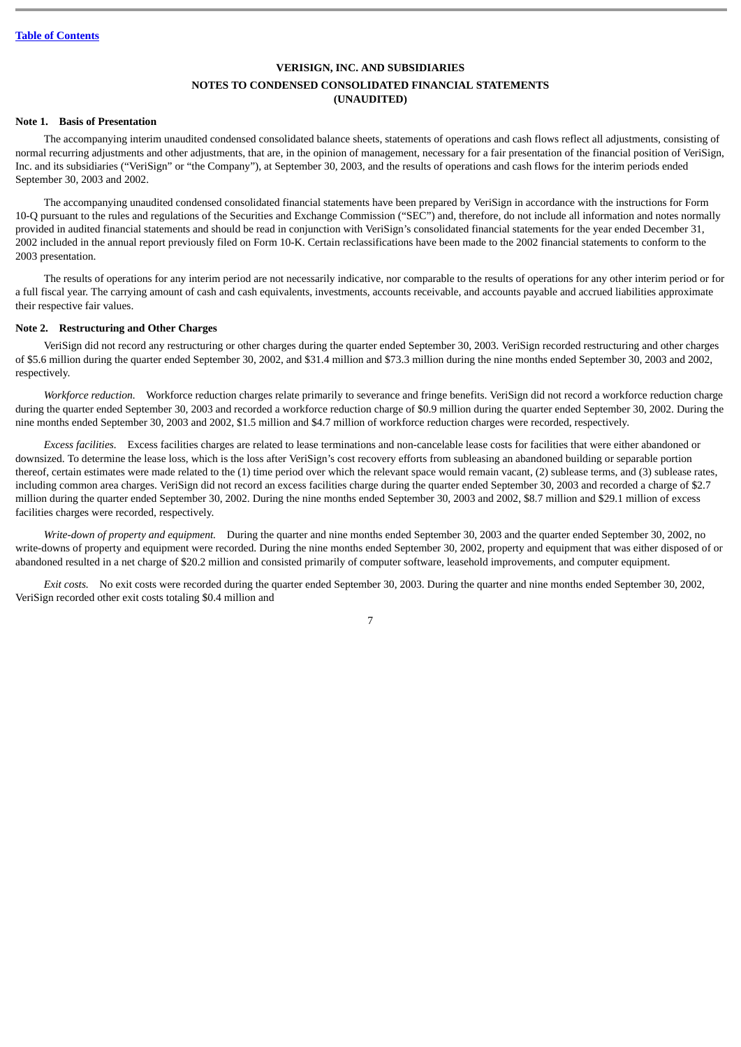### **VERISIGN, INC. AND SUBSIDIARIES NOTES TO CONDENSED CONSOLIDATED FINANCIAL STATEMENTS (UNAUDITED)**

#### <span id="page-6-0"></span>**Note 1. Basis of Presentation**

The accompanying interim unaudited condensed consolidated balance sheets, statements of operations and cash flows reflect all adjustments, consisting of normal recurring adjustments and other adjustments, that are, in the opinion of management, necessary for a fair presentation of the financial position of VeriSign, Inc. and its subsidiaries ("VeriSign" or "the Company"), at September 30, 2003, and the results of operations and cash flows for the interim periods ended September 30, 2003 and 2002.

The accompanying unaudited condensed consolidated financial statements have been prepared by VeriSign in accordance with the instructions for Form 10-Q pursuant to the rules and regulations of the Securities and Exchange Commission ("SEC") and, therefore, do not include all information and notes normally provided in audited financial statements and should be read in conjunction with VeriSign's consolidated financial statements for the year ended December 31, 2002 included in the annual report previously filed on Form 10-K. Certain reclassifications have been made to the 2002 financial statements to conform to the 2003 presentation.

The results of operations for any interim period are not necessarily indicative, nor comparable to the results of operations for any other interim period or for a full fiscal year. The carrying amount of cash and cash equivalents, investments, accounts receivable, and accounts payable and accrued liabilities approximate their respective fair values.

#### **Note 2. Restructuring and Other Charges**

VeriSign did not record any restructuring or other charges during the quarter ended September 30, 2003. VeriSign recorded restructuring and other charges of \$5.6 million during the quarter ended September 30, 2002, and \$31.4 million and \$73.3 million during the nine months ended September 30, 2003 and 2002, respectively.

*Workforce reduction.* Workforce reduction charges relate primarily to severance and fringe benefits. VeriSign did not record a workforce reduction charge during the quarter ended September 30, 2003 and recorded a workforce reduction charge of \$0.9 million during the quarter ended September 30, 2002. During the nine months ended September 30, 2003 and 2002, \$1.5 million and \$4.7 million of workforce reduction charges were recorded, respectively.

*Excess facilities.* Excess facilities charges are related to lease terminations and non-cancelable lease costs for facilities that were either abandoned or downsized. To determine the lease loss, which is the loss after VeriSign's cost recovery efforts from subleasing an abandoned building or separable portion thereof, certain estimates were made related to the (1) time period over which the relevant space would remain vacant, (2) sublease terms, and (3) sublease rates, including common area charges. VeriSign did not record an excess facilities charge during the quarter ended September 30, 2003 and recorded a charge of \$2.7 million during the quarter ended September 30, 2002. During the nine months ended September 30, 2003 and 2002, \$8.7 million and \$29.1 million of excess facilities charges were recorded, respectively.

*Write-down of property and equipment.* During the quarter and nine months ended September 30, 2003 and the quarter ended September 30, 2002, no write-downs of property and equipment were recorded. During the nine months ended September 30, 2002, property and equipment that was either disposed of or abandoned resulted in a net charge of \$20.2 million and consisted primarily of computer software, leasehold improvements, and computer equipment.

*Exit costs.* No exit costs were recorded during the quarter ended September 30, 2003. During the quarter and nine months ended September 30, 2002, VeriSign recorded other exit costs totaling \$0.4 million and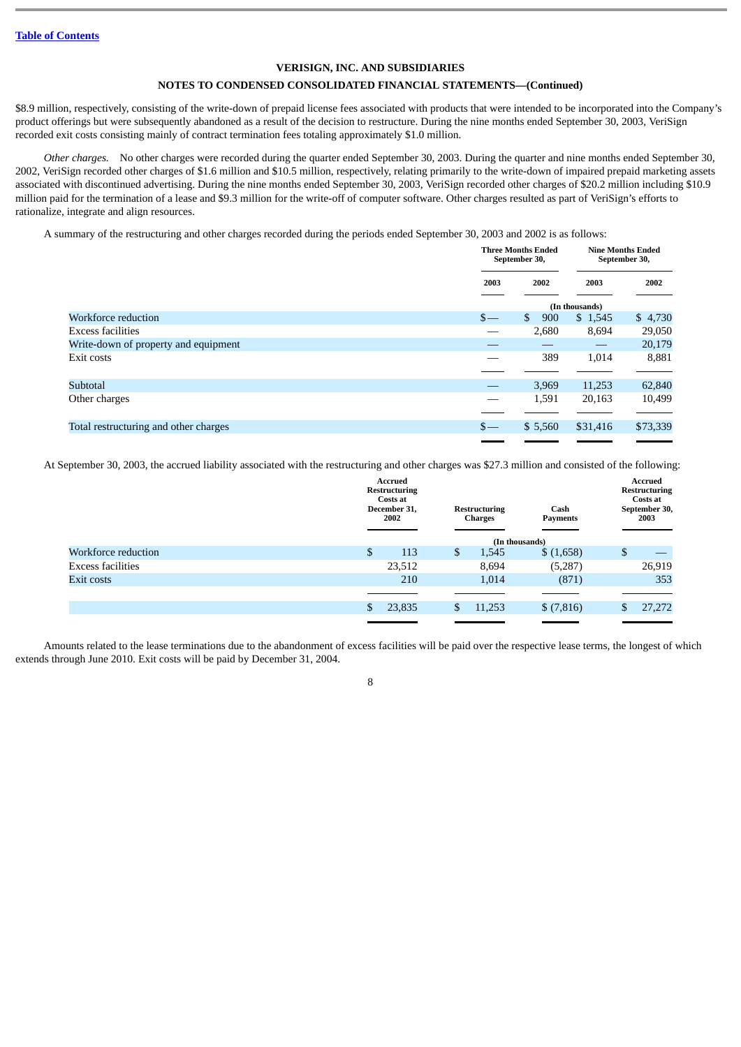#### **NOTES TO CONDENSED CONSOLIDATED FINANCIAL STATEMENTS—(Continued)**

\$8.9 million, respectively, consisting of the write-down of prepaid license fees associated with products that were intended to be incorporated into the Company's product offerings but were subsequently abandoned as a result of the decision to restructure. During the nine months ended September 30, 2003, VeriSign recorded exit costs consisting mainly of contract termination fees totaling approximately \$1.0 million.

*Other charges.* No other charges were recorded during the quarter ended September 30, 2003. During the quarter and nine months ended September 30, 2002, VeriSign recorded other charges of \$1.6 million and \$10.5 million, respectively, relating primarily to the write-down of impaired prepaid marketing assets associated with discontinued advertising. During the nine months ended September 30, 2003, VeriSign recorded other charges of \$20.2 million including \$10.9 million paid for the termination of a lease and \$9.3 million for the write-off of computer software. Other charges resulted as part of VeriSign's efforts to rationalize, integrate and align resources.

A summary of the restructuring and other charges recorded during the periods ended September 30, 2003 and 2002 is as follows:

|                                       |               | <b>Three Months Ended</b><br>September 30, |          | <b>Nine Months Ended</b><br>September 30, |
|---------------------------------------|---------------|--------------------------------------------|----------|-------------------------------------------|
|                                       | 2003          | 2002                                       | 2003     | 2002                                      |
|                                       |               | (In thousands)                             |          |                                           |
| Workforce reduction                   | $\mathsf{s}-$ | \$.<br>900                                 | \$1,545  | \$4,730                                   |
| <b>Excess facilities</b>              |               | 2,680                                      | 8,694    | 29,050                                    |
| Write-down of property and equipment  |               |                                            |          | 20,179                                    |
| Exit costs                            |               | 389                                        | 1,014    | 8,881                                     |
|                                       |               |                                            |          |                                           |
| Subtotal                              |               | 3,969                                      | 11,253   | 62,840                                    |
| Other charges                         |               | 1,591                                      | 20,163   | 10,499                                    |
|                                       |               |                                            |          |                                           |
| Total restructuring and other charges | $s-$          | \$5,560                                    | \$31,416 | \$73,339                                  |

At September 30, 2003, the accrued liability associated with the restructuring and other charges was \$27.3 million and consisted of the following:

|                     | <b>Accrued</b><br>Restructuring<br>Costs at<br>December 31,<br>2002 |                | Restructuring<br><b>Charges</b> | Cash<br><b>Payments</b> |    | <b>Accrued</b><br><b>Restructuring</b><br>Costs at<br>September 30,<br>2003 |
|---------------------|---------------------------------------------------------------------|----------------|---------------------------------|-------------------------|----|-----------------------------------------------------------------------------|
|                     |                                                                     |                |                                 | (In thousands)          |    |                                                                             |
| Workforce reduction | 113                                                                 | $\mathfrak{S}$ | 1,545                           | \$(1,658)               | \$ |                                                                             |
| Excess facilities   | 23,512                                                              |                | 8,694                           | (5,287)                 |    | 26,919                                                                      |
| Exit costs          | 210                                                                 |                | 1,014                           | (871)                   |    | 353                                                                         |
|                     |                                                                     |                |                                 |                         |    |                                                                             |
|                     | 23,835                                                              | \$.            | 11,253                          | \$(7,816)               | S  | 27,272                                                                      |
|                     |                                                                     |                |                                 |                         |    |                                                                             |

Amounts related to the lease terminations due to the abandonment of excess facilities will be paid over the respective lease terms, the longest of which extends through June 2010. Exit costs will be paid by December 31, 2004.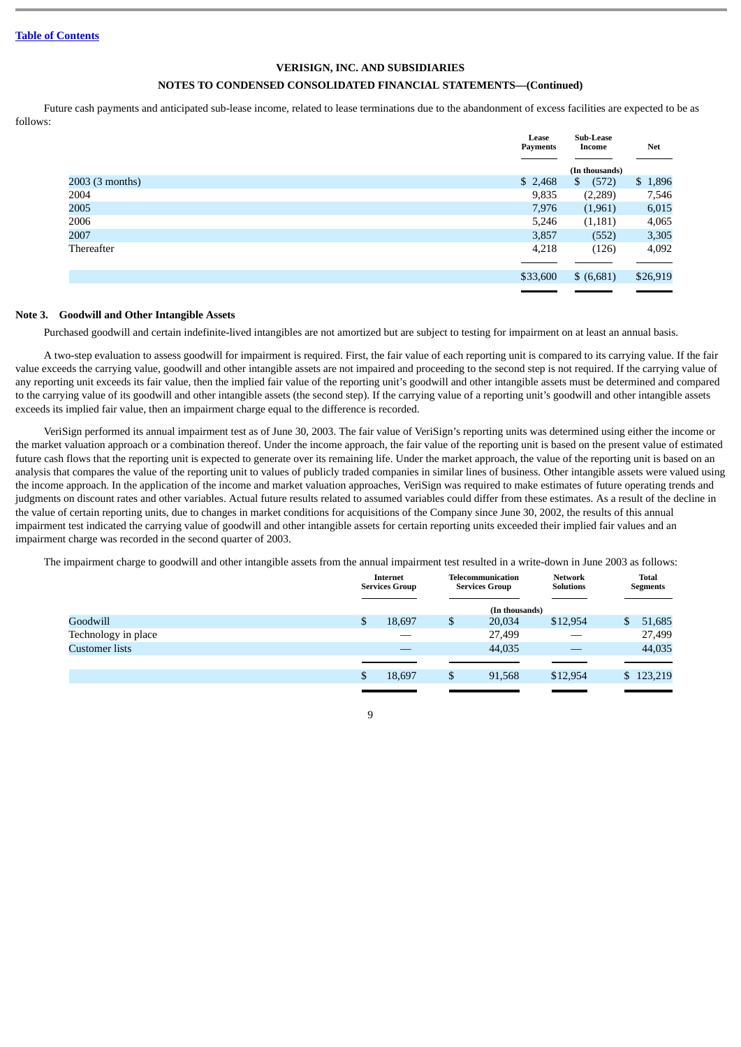#### **NOTES TO CONDENSED CONSOLIDATED FINANCIAL STATEMENTS—(Continued)**

Future cash payments and anticipated sub-lease income, related to lease terminations due to the abandonment of excess facilities are expected to be as follows:

|                 | Lease<br><b>Payments</b> | Sub-Lease<br><b>Net</b><br>Income |
|-----------------|--------------------------|-----------------------------------|
|                 |                          | (In thousands)                    |
| 2003 (3 months) | \$2,468<br>S.            | \$1,896<br>(572)                  |
| 2004            | 9,835                    | 7,546<br>(2,289)                  |
| 2005            | 7,976                    | 6,015<br>(1,961)                  |
| 2006            | 5,246                    | 4,065<br>(1,181)                  |
| 2007            | 3,857                    | 3,305<br>(552)                    |
| Thereafter      | 4,218                    | 4,092<br>(126)                    |
|                 | \$33,600                 | \$26,919<br>\$ (6,681)            |
|                 |                          |                                   |

#### **Note 3. Goodwill and Other Intangible Assets**

Purchased goodwill and certain indefinite-lived intangibles are not amortized but are subject to testing for impairment on at least an annual basis.

A two-step evaluation to assess goodwill for impairment is required. First, the fair value of each reporting unit is compared to its carrying value. If the fair value exceeds the carrying value, goodwill and other intangible assets are not impaired and proceeding to the second step is not required. If the carrying value of any reporting unit exceeds its fair value, then the implied fair value of the reporting unit's goodwill and other intangible assets must be determined and compared to the carrying value of its goodwill and other intangible assets (the second step). If the carrying value of a reporting unit's goodwill and other intangible assets exceeds its implied fair value, then an impairment charge equal to the difference is recorded.

VeriSign performed its annual impairment test as of June 30, 2003. The fair value of VeriSign's reporting units was determined using either the income or the market valuation approach or a combination thereof. Under the income approach, the fair value of the reporting unit is based on the present value of estimated future cash flows that the reporting unit is expected to generate over its remaining life. Under the market approach, the value of the reporting unit is based on an analysis that compares the value of the reporting unit to values of publicly traded companies in similar lines of business. Other intangible assets were valued using the income approach. In the application of the income and market valuation approaches, VeriSign was required to make estimates of future operating trends and judgments on discount rates and other variables. Actual future results related to assumed variables could differ from these estimates. As a result of the decline in the value of certain reporting units, due to changes in market conditions for acquisitions of the Company since June 30, 2002, the results of this annual impairment test indicated the carrying value of goodwill and other intangible assets for certain reporting units exceeded their implied fair values and an impairment charge was recorded in the second quarter of 2003.

The impairment charge to goodwill and other intangible assets from the annual impairment test resulted in a write-down in June 2003 as follows:

|                       | Internet<br><b>Services Group</b> | Telecommunication<br><b>Services Group</b> | <b>Network</b><br><b>Solutions</b> |    | <b>Total</b><br><b>Segments</b> |
|-----------------------|-----------------------------------|--------------------------------------------|------------------------------------|----|---------------------------------|
|                       |                                   | (In thousands)                             |                                    |    |                                 |
| Goodwill              | \$<br>18,697                      | \$<br>20,034                               | \$12,954                           | S. | 51,685                          |
| Technology in place   |                                   | 27,499                                     |                                    |    | 27,499                          |
| <b>Customer</b> lists |                                   | 44,035                                     |                                    |    | 44,035                          |
|                       |                                   |                                            |                                    |    |                                 |
|                       | \$<br>18,697                      | \$<br>91,568                               | \$12,954                           |    | \$123,219                       |
|                       |                                   |                                            |                                    |    |                                 |

 $\overline{q}$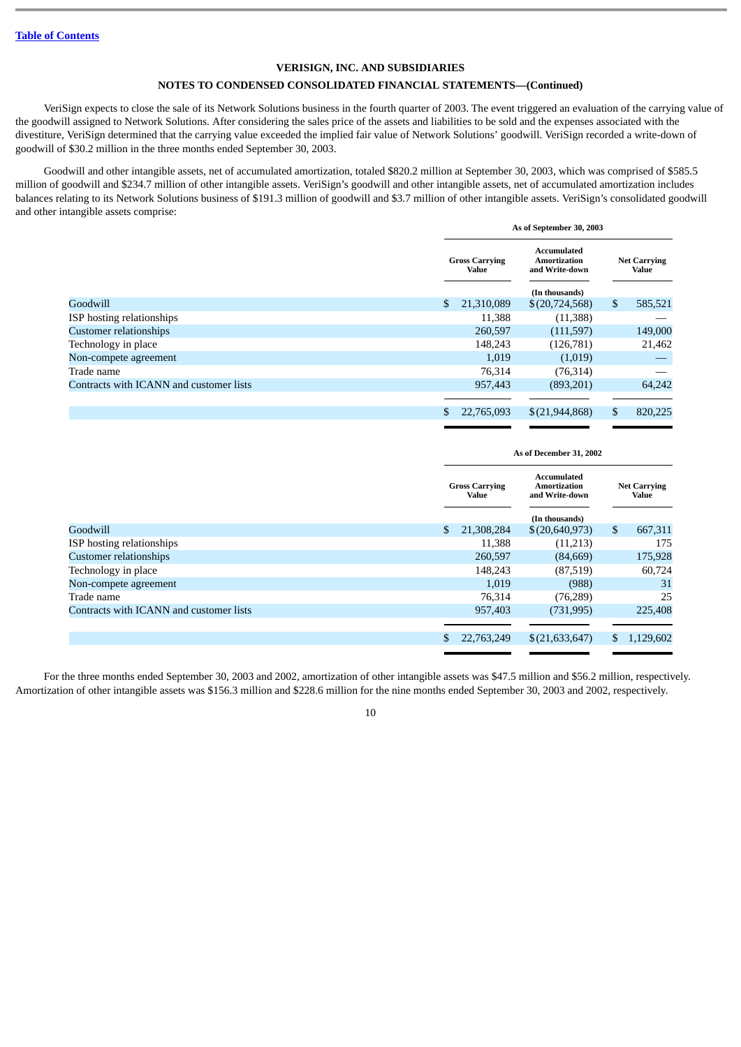#### **NOTES TO CONDENSED CONSOLIDATED FINANCIAL STATEMENTS—(Continued)**

VeriSign expects to close the sale of its Network Solutions business in the fourth quarter of 2003. The event triggered an evaluation of the carrying value of the goodwill assigned to Network Solutions. After considering the sales price of the assets and liabilities to be sold and the expenses associated with the divestiture, VeriSign determined that the carrying value exceeded the implied fair value of Network Solutions' goodwill. VeriSign recorded a write-down of goodwill of \$30.2 million in the three months ended September 30, 2003.

Goodwill and other intangible assets, net of accumulated amortization, totaled \$820.2 million at September 30, 2003, which was comprised of \$585.5 million of goodwill and \$234.7 million of other intangible assets. VeriSign's goodwill and other intangible assets, net of accumulated amortization includes balances relating to its Network Solutions business of \$191.3 million of goodwill and \$3.7 million of other intangible assets. VeriSign's consolidated goodwill and other intangible assets comprise:

|                                         |                                       | As of September 30, 2003 |                |     |                                               |  |  |  |  |  |                                     |
|-----------------------------------------|---------------------------------------|--------------------------|----------------|-----|-----------------------------------------------|--|--|--|--|--|-------------------------------------|
|                                         | <b>Gross Carrying</b><br><b>Value</b> |                          |                |     | Accumulated<br>Amortization<br>and Write-down |  |  |  |  |  | <b>Net Carrying</b><br><b>Value</b> |
|                                         |                                       |                          | (In thousands) |     |                                               |  |  |  |  |  |                                     |
| Goodwill                                | \$.                                   | 21,310,089               | \$(20,724,568) | \$  | 585,521                                       |  |  |  |  |  |                                     |
| ISP hosting relationships               |                                       | 11,388                   | (11,388)       |     |                                               |  |  |  |  |  |                                     |
| <b>Customer relationships</b>           |                                       | 260,597                  | (111,597)      |     | 149,000                                       |  |  |  |  |  |                                     |
| Technology in place                     |                                       | 148,243                  | (126, 781)     |     | 21,462                                        |  |  |  |  |  |                                     |
| Non-compete agreement                   |                                       | 1.019                    | (1,019)        |     |                                               |  |  |  |  |  |                                     |
| Trade name                              |                                       | 76,314                   | (76,314)       |     |                                               |  |  |  |  |  |                                     |
| Contracts with ICANN and customer lists |                                       | 957,443                  | (893, 201)     |     | 64,242                                        |  |  |  |  |  |                                     |
|                                         |                                       |                          |                |     |                                               |  |  |  |  |  |                                     |
|                                         |                                       | 22,765,093               | \$(21,944,868) | \$. | 820,225                                       |  |  |  |  |  |                                     |

|                                         | As of December 31, 2002        |            |                |     |                                                             |  |                              |
|-----------------------------------------|--------------------------------|------------|----------------|-----|-------------------------------------------------------------|--|------------------------------|
|                                         | <b>Gross Carrying</b><br>Value |            |                |     | <b>Accumulated</b><br><b>Amortization</b><br>and Write-down |  | <b>Net Carrying</b><br>Value |
|                                         |                                |            | (In thousands) |     |                                                             |  |                              |
| Goodwill                                | \$                             | 21,308,284 | \$(20,640,973) | \$. | 667,311                                                     |  |                              |
| ISP hosting relationships               |                                | 11,388     | (11,213)       |     | 175                                                         |  |                              |
| Customer relationships                  |                                | 260,597    | (84,669)       |     | 175,928                                                     |  |                              |
| Technology in place                     |                                | 148,243    | (87,519)       |     | 60,724                                                      |  |                              |
| Non-compete agreement                   |                                | 1,019      | (988)          |     | 31                                                          |  |                              |
| Trade name                              |                                | 76.314     | (76, 289)      |     | 25                                                          |  |                              |
| Contracts with ICANN and customer lists |                                | 957,403    | (731,995)      |     | 225,408                                                     |  |                              |
|                                         |                                |            |                |     |                                                             |  |                              |
|                                         |                                | 22,763,249 | \$(21,633,647) | \$. | 1,129,602                                                   |  |                              |

For the three months ended September 30, 2003 and 2002, amortization of other intangible assets was \$47.5 million and \$56.2 million, respectively. Amortization of other intangible assets was \$156.3 million and \$228.6 million for the nine months ended September 30, 2003 and 2002, respectively.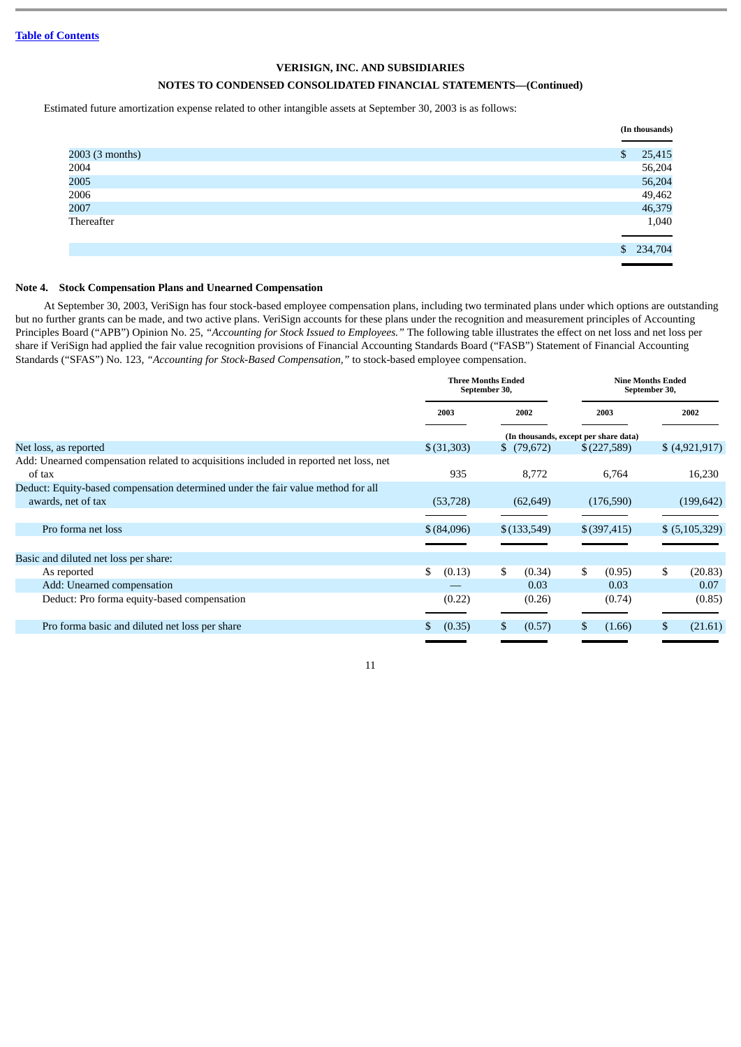#### **NOTES TO CONDENSED CONSOLIDATED FINANCIAL STATEMENTS—(Continued)**

Estimated future amortization expense related to other intangible assets at September 30, 2003 is as follows:

|                 | (In thousands) |
|-----------------|----------------|
| 2003 (3 months) | 25,415<br>\$   |
| 2004            | 56,204         |
| 2005            | 56,204         |
| 2006            | 49,462         |
| 2007            | 46,379         |
| Thereafter      | 1,040          |
|                 | 234,704<br>\$  |

#### **Note 4. Stock Compensation Plans and Unearned Compensation**

At September 30, 2003, VeriSign has four stock-based employee compensation plans, including two terminated plans under which options are outstanding but no further grants can be made, and two active plans. VeriSign accounts for these plans under the recognition and measurement principles of Accounting Principles Board ("APB") Opinion No. 25, *"Accounting for Stock Issued to Employees."* The following table illustrates the effect on net loss and net loss per share if VeriSign had applied the fair value recognition provisions of Financial Accounting Standards Board ("FASB") Statement of Financial Accounting Standards ("SFAS") No. 123, *"Accounting for Stock-Based Compensation,"* to stock-based employee compensation.

|                                                                                       | <b>Three Months Ended</b><br>September 30, |                 | <b>Nine Months Ended</b><br>September 30, |                |
|---------------------------------------------------------------------------------------|--------------------------------------------|-----------------|-------------------------------------------|----------------|
|                                                                                       | 2003                                       | 2002            | 2003                                      | 2002           |
|                                                                                       |                                            |                 | (In thousands, except per share data)     |                |
| Net loss, as reported                                                                 | \$ (31,303)                                | $$^{(79,672)}$$ | \$(227,589)                               | \$ (4,921,917) |
| Add: Unearned compensation related to acquisitions included in reported net loss, net |                                            |                 |                                           |                |
| of tax                                                                                | 935                                        | 8,772           | 6,764                                     | 16,230         |
| Deduct: Equity-based compensation determined under the fair value method for all      |                                            |                 |                                           |                |
| awards, net of tax                                                                    | (53, 728)                                  | (62, 649)       | (176,590)                                 | (199, 642)     |
|                                                                                       |                                            |                 |                                           |                |
| Pro forma net loss                                                                    | \$ (84,096)                                | \$(133,549)     | $$$ (397,415)                             | \$ (5,105,329) |
|                                                                                       |                                            |                 |                                           |                |
| Basic and diluted net loss per share:                                                 |                                            |                 |                                           |                |
| As reported                                                                           | \$<br>(0.13)                               | \$<br>(0.34)    | \$<br>(0.95)                              | \$<br>(20.83)  |
| Add: Unearned compensation                                                            |                                            | 0.03            | 0.03                                      | 0.07           |
| Deduct: Pro forma equity-based compensation                                           | (0.22)                                     | (0.26)          | (0.74)                                    | (0.85)         |
|                                                                                       |                                            |                 |                                           |                |
| Pro forma basic and diluted net loss per share                                        | (0.35)                                     | (0.57)          | (1.66)<br>S.                              | (21.61)<br>S.  |
|                                                                                       |                                            |                 |                                           |                |

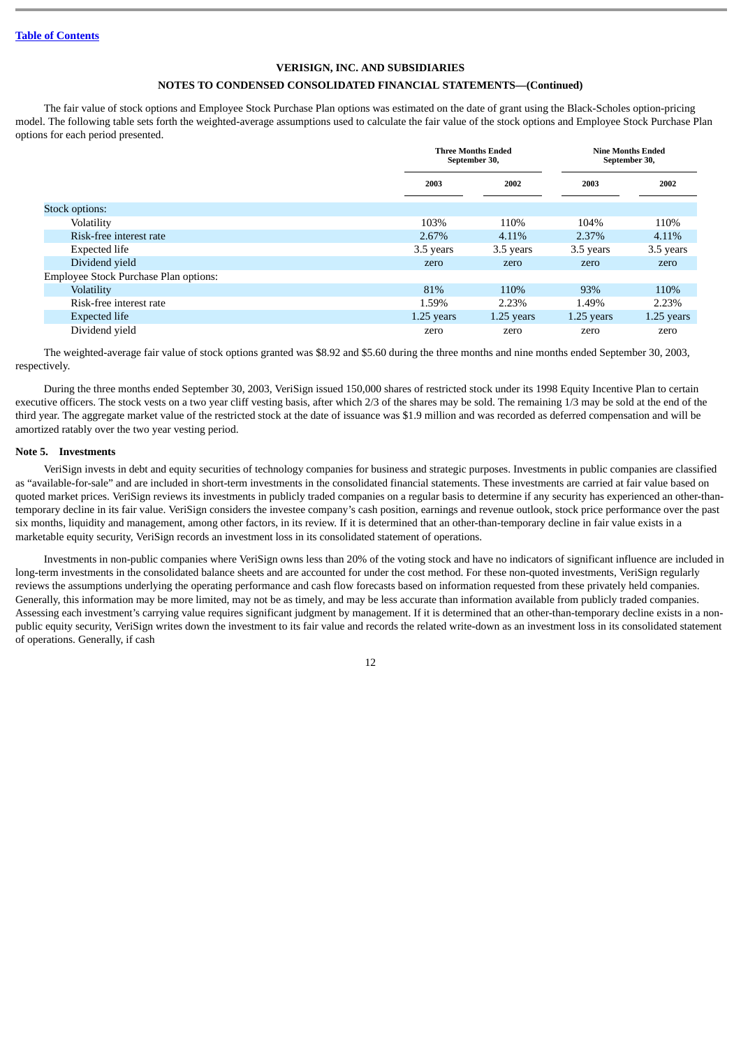#### **NOTES TO CONDENSED CONSOLIDATED FINANCIAL STATEMENTS—(Continued)**

The fair value of stock options and Employee Stock Purchase Plan options was estimated on the date of grant using the Black-Scholes option-pricing model. The following table sets forth the weighted-average assumptions used to calculate the fair value of the stock options and Employee Stock Purchase Plan options for each period presented.

|                                       | <b>Three Months Ended</b><br>September 30, |            | <b>Nine Months Ended</b><br>September 30, |            |
|---------------------------------------|--------------------------------------------|------------|-------------------------------------------|------------|
|                                       | 2003                                       | 2002       | 2003                                      | 2002       |
| Stock options:                        |                                            |            |                                           |            |
| Volatility                            | 103%                                       | 110\%      | 104%                                      | 110%       |
| Risk-free interest rate               | 2.67%                                      | 4.11%      | 2.37%                                     | 4.11%      |
| Expected life                         | 3.5 years                                  | 3.5 years  | 3.5 years                                 | 3.5 years  |
| Dividend vield                        | zero                                       | zero       | zero                                      | zero       |
| Employee Stock Purchase Plan options: |                                            |            |                                           |            |
| Volatility                            | 81%                                        | 110%       | 93%                                       | 110%       |
| Risk-free interest rate               | 1.59%                                      | 2.23%      | 1.49%                                     | 2.23%      |
| Expected life                         | $1.25$ years                               | 1.25 years | $1.25$ years                              | 1.25 years |
| Dividend yield                        | zero                                       | zero       | zero                                      | zero       |

The weighted-average fair value of stock options granted was \$8.92 and \$5.60 during the three months and nine months ended September 30, 2003, respectively.

During the three months ended September 30, 2003, VeriSign issued 150,000 shares of restricted stock under its 1998 Equity Incentive Plan to certain executive officers. The stock vests on a two year cliff vesting basis, after which 2/3 of the shares may be sold. The remaining 1/3 may be sold at the end of the third year. The aggregate market value of the restricted stock at the date of issuance was \$1.9 million and was recorded as deferred compensation and will be amortized ratably over the two year vesting period.

#### **Note 5. Investments**

VeriSign invests in debt and equity securities of technology companies for business and strategic purposes. Investments in public companies are classified as "available-for-sale" and are included in short-term investments in the consolidated financial statements. These investments are carried at fair value based on quoted market prices. VeriSign reviews its investments in publicly traded companies on a regular basis to determine if any security has experienced an other-thantemporary decline in its fair value. VeriSign considers the investee company's cash position, earnings and revenue outlook, stock price performance over the past six months, liquidity and management, among other factors, in its review. If it is determined that an other-than-temporary decline in fair value exists in a marketable equity security, VeriSign records an investment loss in its consolidated statement of operations.

Investments in non-public companies where VeriSign owns less than 20% of the voting stock and have no indicators of significant influence are included in long-term investments in the consolidated balance sheets and are accounted for under the cost method. For these non-quoted investments, VeriSign regularly reviews the assumptions underlying the operating performance and cash flow forecasts based on information requested from these privately held companies. Generally, this information may be more limited, may not be as timely, and may be less accurate than information available from publicly traded companies. Assessing each investment's carrying value requires significant judgment by management. If it is determined that an other-than-temporary decline exists in a nonpublic equity security, VeriSign writes down the investment to its fair value and records the related write-down as an investment loss in its consolidated statement of operations. Generally, if cash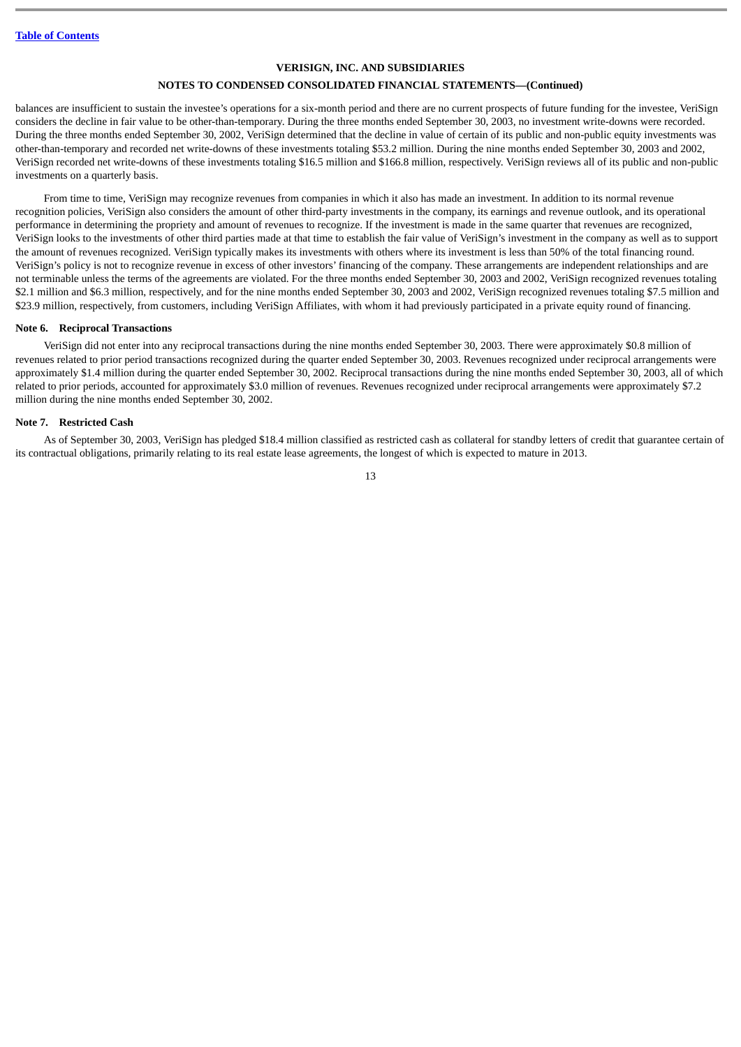#### **NOTES TO CONDENSED CONSOLIDATED FINANCIAL STATEMENTS—(Continued)**

balances are insufficient to sustain the investee's operations for a six-month period and there are no current prospects of future funding for the investee, VeriSign considers the decline in fair value to be other-than-temporary. During the three months ended September 30, 2003, no investment write-downs were recorded. During the three months ended September 30, 2002, VeriSign determined that the decline in value of certain of its public and non-public equity investments was other-than-temporary and recorded net write-downs of these investments totaling \$53.2 million. During the nine months ended September 30, 2003 and 2002, VeriSign recorded net write-downs of these investments totaling \$16.5 million and \$166.8 million, respectively. VeriSign reviews all of its public and non-public investments on a quarterly basis.

From time to time, VeriSign may recognize revenues from companies in which it also has made an investment. In addition to its normal revenue recognition policies, VeriSign also considers the amount of other third-party investments in the company, its earnings and revenue outlook, and its operational performance in determining the propriety and amount of revenues to recognize. If the investment is made in the same quarter that revenues are recognized, VeriSign looks to the investments of other third parties made at that time to establish the fair value of VeriSign's investment in the company as well as to support the amount of revenues recognized. VeriSign typically makes its investments with others where its investment is less than 50% of the total financing round. VeriSign's policy is not to recognize revenue in excess of other investors' financing of the company. These arrangements are independent relationships and are not terminable unless the terms of the agreements are violated. For the three months ended September 30, 2003 and 2002, VeriSign recognized revenues totaling \$2.1 million and \$6.3 million, respectively, and for the nine months ended September 30, 2003 and 2002, VeriSign recognized revenues totaling \$7.5 million and \$23.9 million, respectively, from customers, including VeriSign Affiliates, with whom it had previously participated in a private equity round of financing.

#### **Note 6. Reciprocal Transactions**

VeriSign did not enter into any reciprocal transactions during the nine months ended September 30, 2003. There were approximately \$0.8 million of revenues related to prior period transactions recognized during the quarter ended September 30, 2003. Revenues recognized under reciprocal arrangements were approximately \$1.4 million during the quarter ended September 30, 2002. Reciprocal transactions during the nine months ended September 30, 2003, all of which related to prior periods, accounted for approximately \$3.0 million of revenues. Revenues recognized under reciprocal arrangements were approximately \$7.2 million during the nine months ended September 30, 2002.

#### **Note 7. Restricted Cash**

As of September 30, 2003, VeriSign has pledged \$18.4 million classified as restricted cash as collateral for standby letters of credit that guarantee certain of its contractual obligations, primarily relating to its real estate lease agreements, the longest of which is expected to mature in 2013.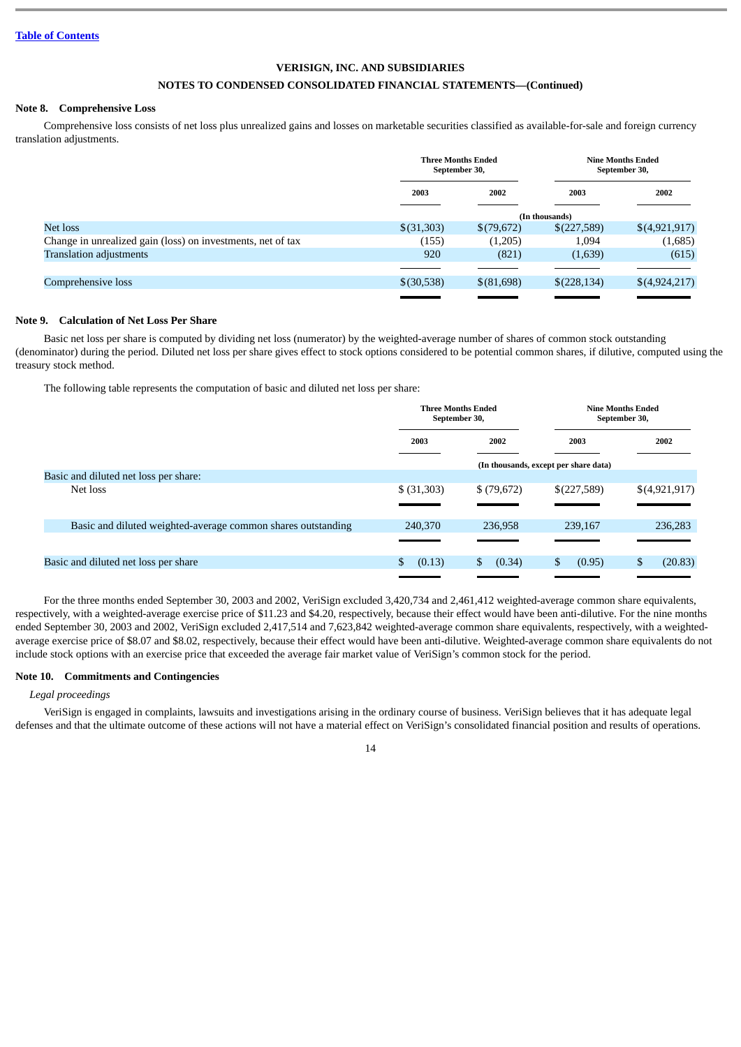### **VERISIGN, INC. AND SUBSIDIARIES NOTES TO CONDENSED CONSOLIDATED FINANCIAL STATEMENTS—(Continued)**

#### **Note 8. Comprehensive Loss**

Comprehensive loss consists of net loss plus unrealized gains and losses on marketable securities classified as available-for-sale and foreign currency translation adjustments.

|                                                             | <b>Three Months Ended</b><br>September 30, |            | <b>Nine Months Ended</b><br>September 30, |               |  |
|-------------------------------------------------------------|--------------------------------------------|------------|-------------------------------------------|---------------|--|
|                                                             | 2003                                       | 2002       | 2003                                      | 2002          |  |
|                                                             |                                            |            | (In thousands)                            |               |  |
| Net loss                                                    | \$(31,303)                                 | \$(79,672) | \$(227,589)                               | \$(4,921,917) |  |
| Change in unrealized gain (loss) on investments, net of tax | (155)                                      | (1,205)    | 1.094                                     | (1,685)       |  |
| <b>Translation adjustments</b>                              | 920                                        | (821)      | (1,639)                                   | (615)         |  |
|                                                             |                                            |            |                                           |               |  |
| Comprehensive loss                                          | \$(30,538)                                 | \$(81,698) | \$(228, 134)                              | \$(4,924,217) |  |
|                                                             |                                            |            |                                           |               |  |

#### **Note 9. Calculation of Net Loss Per Share**

Basic net loss per share is computed by dividing net loss (numerator) by the weighted-average number of shares of common stock outstanding (denominator) during the period. Diluted net loss per share gives effect to stock options considered to be potential common shares, if dilutive, computed using the treasury stock method.

The following table represents the computation of basic and diluted net loss per share:

|                                                              | <b>Three Months Ended</b><br>September 30, |                                       |              | <b>Nine Months Ended</b><br>September 30, |  |
|--------------------------------------------------------------|--------------------------------------------|---------------------------------------|--------------|-------------------------------------------|--|
|                                                              | 2003                                       | 2002                                  | 2003         | 2002                                      |  |
|                                                              |                                            | (In thousands, except per share data) |              |                                           |  |
| Basic and diluted net loss per share:                        |                                            |                                       |              |                                           |  |
| Net loss                                                     | $$$ (31,303)                               | \$(79,672)                            | \$(227,589)  | \$(4,921,917)                             |  |
| Basic and diluted weighted-average common shares outstanding | 240,370                                    | 236,958                               | 239,167      | 236,283                                   |  |
|                                                              |                                            |                                       |              |                                           |  |
| Basic and diluted net loss per share                         | (0.13)<br>\$                               | (0.34)                                | \$<br>(0.95) | (20.83)<br>\$                             |  |

For the three months ended September 30, 2003 and 2002, VeriSign excluded 3,420,734 and 2,461,412 weighted-average common share equivalents, respectively, with a weighted-average exercise price of \$11.23 and \$4.20, respectively, because their effect would have been anti-dilutive. For the nine months ended September 30, 2003 and 2002, VeriSign excluded 2,417,514 and 7,623,842 weighted-average common share equivalents, respectively, with a weightedaverage exercise price of \$8.07 and \$8.02, respectively, because their effect would have been anti-dilutive. Weighted-average common share equivalents do not include stock options with an exercise price that exceeded the average fair market value of VeriSign's common stock for the period.

#### **Note 10. Commitments and Contingencies**

#### *Legal proceedings*

VeriSign is engaged in complaints, lawsuits and investigations arising in the ordinary course of business. VeriSign believes that it has adequate legal defenses and that the ultimate outcome of these actions will not have a material effect on VeriSign's consolidated financial position and results of operations.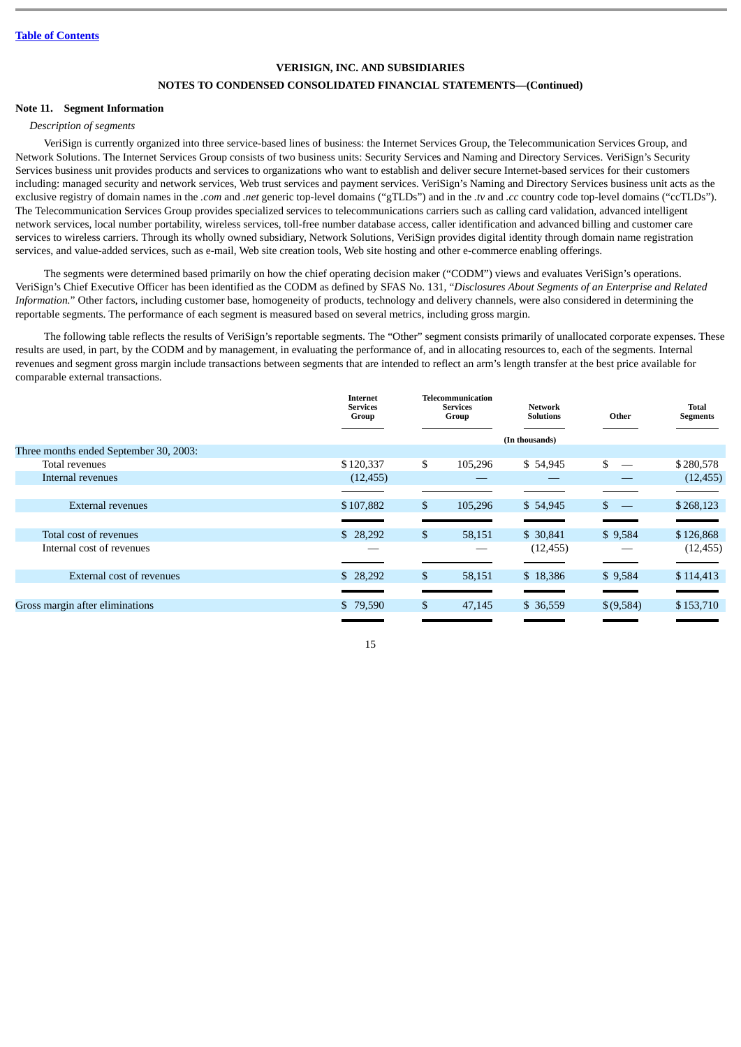### **NOTES TO CONDENSED CONSOLIDATED FINANCIAL STATEMENTS—(Continued)**

#### **Note 11. Segment Information**

#### *Description of segments*

VeriSign is currently organized into three service-based lines of business: the Internet Services Group, the Telecommunication Services Group, and Network Solutions. The Internet Services Group consists of two business units: Security Services and Naming and Directory Services. VeriSign's Security Services business unit provides products and services to organizations who want to establish and deliver secure Internet-based services for their customers including: managed security and network services, Web trust services and payment services. VeriSign's Naming and Directory Services business unit acts as the exclusive registry of domain names in the *.com* and *.net* generic top-level domains ("gTLDs") and in the *.tv* and *.cc* country code top-level domains ("ccTLDs"). The Telecommunication Services Group provides specialized services to telecommunications carriers such as calling card validation, advanced intelligent network services, local number portability, wireless services, toll-free number database access, caller identification and advanced billing and customer care services to wireless carriers. Through its wholly owned subsidiary, Network Solutions, VeriSign provides digital identity through domain name registration services, and value-added services, such as e-mail, Web site creation tools, Web site hosting and other e-commerce enabling offerings.

The segments were determined based primarily on how the chief operating decision maker ("CODM") views and evaluates VeriSign's operations. VeriSign's Chief Executive Officer has been identified as the CODM as defined by SFAS No. 131, "*Disclosures About Segments of an Enterprise and Related Information.*" Other factors, including customer base, homogeneity of products, technology and delivery channels, were also considered in determining the reportable segments. The performance of each segment is measured based on several metrics, including gross margin.

The following table reflects the results of VeriSign's reportable segments. The "Other" segment consists primarily of unallocated corporate expenses. These results are used, in part, by the CODM and by management, in evaluating the performance of, and in allocating resources to, each of the segments. Internal revenues and segment gross margin include transactions between segments that are intended to reflect an arm's length transfer at the best price available for comparable external transactions.

|                                        | Internet<br><b>Services</b><br>Group |              | Telecommunication<br><b>Services</b><br>Group | <b>Network</b><br><b>Solutions</b> | Other     | <b>Total</b><br><b>Segments</b> |
|----------------------------------------|--------------------------------------|--------------|-----------------------------------------------|------------------------------------|-----------|---------------------------------|
|                                        |                                      |              |                                               | (In thousands)                     |           |                                 |
| Three months ended September 30, 2003: |                                      |              |                                               |                                    |           |                                 |
| Total revenues                         | \$120,337                            | \$           | 105,296                                       | \$54,945                           | \$        | \$280,578                       |
| Internal revenues                      | (12, 455)                            |              |                                               |                                    |           | (12, 455)                       |
|                                        |                                      |              |                                               |                                    |           |                                 |
| External revenues                      | \$107,882                            | $\mathbb{S}$ | 105,296                                       | \$54,945                           | S.        | \$268,123                       |
|                                        |                                      |              |                                               |                                    |           |                                 |
| Total cost of revenues                 | \$28,292                             | \$           | 58,151                                        | \$ 30,841                          | \$9,584   | \$126,868                       |
| Internal cost of revenues              |                                      |              |                                               | (12, 455)                          |           | (12, 455)                       |
|                                        |                                      |              |                                               |                                    |           |                                 |
| External cost of revenues              | \$28,292                             | $\mathbb{S}$ | 58,151                                        | \$18,386                           | \$9,584   | \$114,413                       |
|                                        |                                      |              |                                               |                                    |           |                                 |
| Gross margin after eliminations        | \$ 79,590                            | \$           | 47,145                                        | \$ 36,559                          | \$(9,584) | \$153,710                       |
|                                        |                                      |              |                                               |                                    |           |                                 |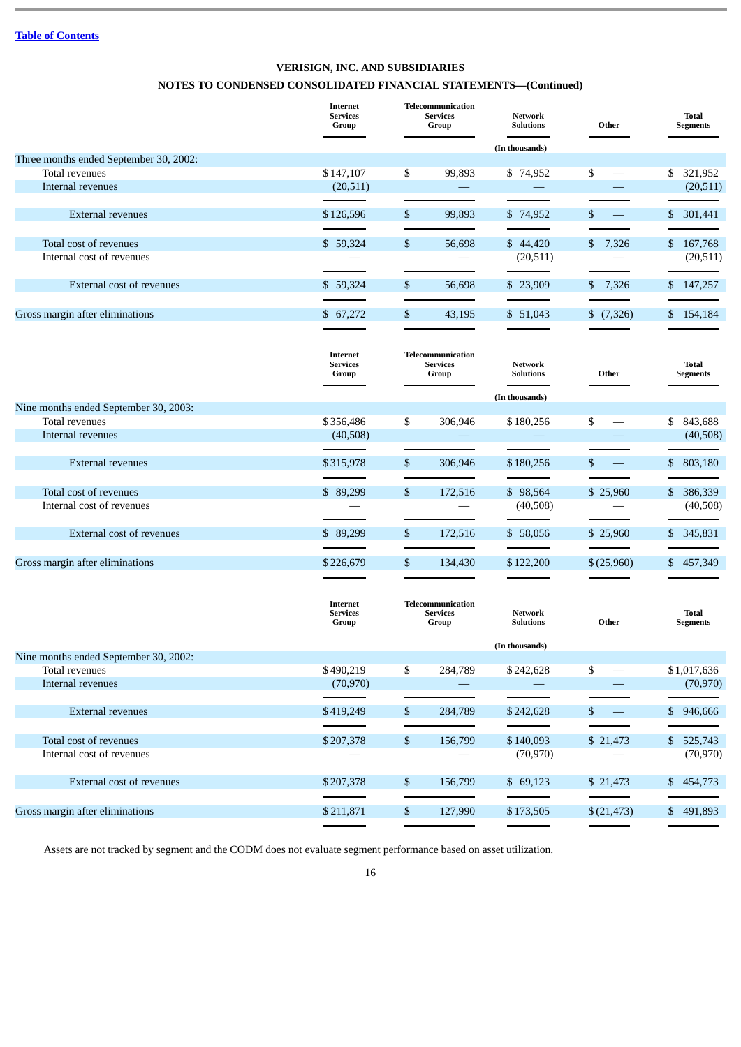### **VERISIGN, INC. AND SUBSIDIARIES NOTES TO CONDENSED CONSOLIDATED FINANCIAL STATEMENTS—(Continued)**

|                                        | Internet<br><b>Services</b><br>Group | Telecommunication<br><b>Services</b><br>Group |        | <b>Network</b><br><b>Solutions</b> | Other     | <b>Total</b><br><b>Segments</b> |
|----------------------------------------|--------------------------------------|-----------------------------------------------|--------|------------------------------------|-----------|---------------------------------|
|                                        |                                      |                                               |        | (In thousands)                     |           |                                 |
| Three months ended September 30, 2002: |                                      |                                               |        |                                    |           |                                 |
| Total revenues                         | \$147,107                            | \$                                            | 99,893 | \$74,952                           | \$        | \$<br>321,952                   |
| Internal revenues                      | (20,511)                             |                                               |        |                                    |           | (20,511)                        |
|                                        |                                      |                                               |        |                                    |           |                                 |
| <b>External revenues</b>               | \$126,596                            | \$                                            | 99,893 | \$74,952                           | S.        | $\mathbb{S}$<br>301,441         |
|                                        |                                      |                                               |        |                                    |           |                                 |
| Total cost of revenues                 | \$59,324                             | \$                                            | 56,698 | \$44,420                           | \$7,326   | 167,768<br>$\mathbb{S}$         |
| Internal cost of revenues              |                                      |                                               |        | (20,511)                           |           | (20,511)                        |
|                                        |                                      |                                               |        |                                    |           |                                 |
| External cost of revenues              | \$59,324                             | \$                                            | 56,698 | \$23,909                           | \$7,326   | \$147,257                       |
|                                        |                                      |                                               |        |                                    |           |                                 |
| Gross margin after eliminations        | \$67,272                             | \$                                            | 43,195 | \$51,043                           | \$(7,326) | 154,184<br>\$                   |
|                                        |                                      |                                               |        |                                    |           |                                 |

|                                       | Internet<br><b>Services</b><br>Group | Telecommunication<br><b>Services</b><br>Group |         |                |              |               |  |  |  |  |  | Network<br><b>Solutions</b> | Other | Total<br><b>Segments</b> |
|---------------------------------------|--------------------------------------|-----------------------------------------------|---------|----------------|--------------|---------------|--|--|--|--|--|-----------------------------|-------|--------------------------|
|                                       |                                      |                                               |         | (In thousands) |              |               |  |  |  |  |  |                             |       |                          |
| Nine months ended September 30, 2003: |                                      |                                               |         |                |              |               |  |  |  |  |  |                             |       |                          |
| Total revenues                        | \$356,486                            | \$                                            | 306,946 | \$180,256      | \$           | \$<br>843,688 |  |  |  |  |  |                             |       |                          |
| Internal revenues                     | (40,508)                             |                                               |         |                |              | (40,508)      |  |  |  |  |  |                             |       |                          |
|                                       |                                      |                                               |         |                |              |               |  |  |  |  |  |                             |       |                          |
| External revenues                     | \$315,978                            | $\mathfrak{S}$                                | 306,946 | \$180,256      | $\mathbb{S}$ | 803,180<br>\$ |  |  |  |  |  |                             |       |                          |
|                                       |                                      |                                               |         |                |              |               |  |  |  |  |  |                             |       |                          |
| Total cost of revenues                | \$89,299                             | \$                                            | 172,516 | \$98,564       | \$25,960     | 386,339<br>\$ |  |  |  |  |  |                             |       |                          |
| Internal cost of revenues             |                                      |                                               |         | (40,508)       |              | (40,508)      |  |  |  |  |  |                             |       |                          |
|                                       |                                      |                                               |         |                |              |               |  |  |  |  |  |                             |       |                          |
| External cost of revenues             | \$89,299                             | $\mathfrak{S}$                                | 172,516 | \$58,056       | \$25,960     | 345,831<br>\$ |  |  |  |  |  |                             |       |                          |
|                                       |                                      |                                               |         |                |              |               |  |  |  |  |  |                             |       |                          |
| Gross margin after eliminations       | \$226,679                            | $\mathbb{S}$                                  | 134,430 | \$122,200      | \$(25,960)   | 457,349<br>S. |  |  |  |  |  |                             |       |                          |
|                                       |                                      |                                               |         |                |              |               |  |  |  |  |  |                             |       |                          |

|                                       | Internet<br><b>Services</b><br>Group | Telecommunication<br><b>Services</b><br>Group |         |                |            |                         |  | <b>Network</b><br><b>Solutions</b> | Other | <b>Total</b><br><b>Segments</b> |
|---------------------------------------|--------------------------------------|-----------------------------------------------|---------|----------------|------------|-------------------------|--|------------------------------------|-------|---------------------------------|
|                                       |                                      |                                               |         | (In thousands) |            |                         |  |                                    |       |                                 |
| Nine months ended September 30, 2002: |                                      |                                               |         |                |            |                         |  |                                    |       |                                 |
| Total revenues                        | \$490.219                            | \$                                            | 284,789 | \$242,628      | \$         | \$1,017,636             |  |                                    |       |                                 |
| Internal revenues                     | (70, 970)                            |                                               | __      |                |            | (70, 970)               |  |                                    |       |                                 |
|                                       |                                      |                                               |         |                |            |                         |  |                                    |       |                                 |
| External revenues                     | \$419,249                            | $\mathbb{S}$                                  | 284,789 | \$242,628      | \$.        | 946,666<br>$\mathbf{s}$ |  |                                    |       |                                 |
|                                       |                                      |                                               |         |                |            |                         |  |                                    |       |                                 |
| Total cost of revenues                | \$207,378                            | $\mathbb{S}$                                  | 156,799 | \$140,093      | \$21,473   | \$525,743               |  |                                    |       |                                 |
| Internal cost of revenues             |                                      |                                               |         | (70, 970)      |            | (70, 970)               |  |                                    |       |                                 |
|                                       |                                      |                                               |         |                |            |                         |  |                                    |       |                                 |
| External cost of revenues             | \$207,378                            | $\mathbb{S}$                                  | 156,799 | \$69,123       | \$21,473   | $\mathbb{S}$<br>454,773 |  |                                    |       |                                 |
|                                       |                                      |                                               |         |                |            |                         |  |                                    |       |                                 |
| Gross margin after eliminations       | \$211,871                            | $\mathbb{S}$                                  | 127,990 | \$173,505      | \$(21,473) | 491,893<br>\$           |  |                                    |       |                                 |
|                                       |                                      |                                               |         |                |            |                         |  |                                    |       |                                 |

Assets are not tracked by segment and the CODM does not evaluate segment performance based on asset utilization.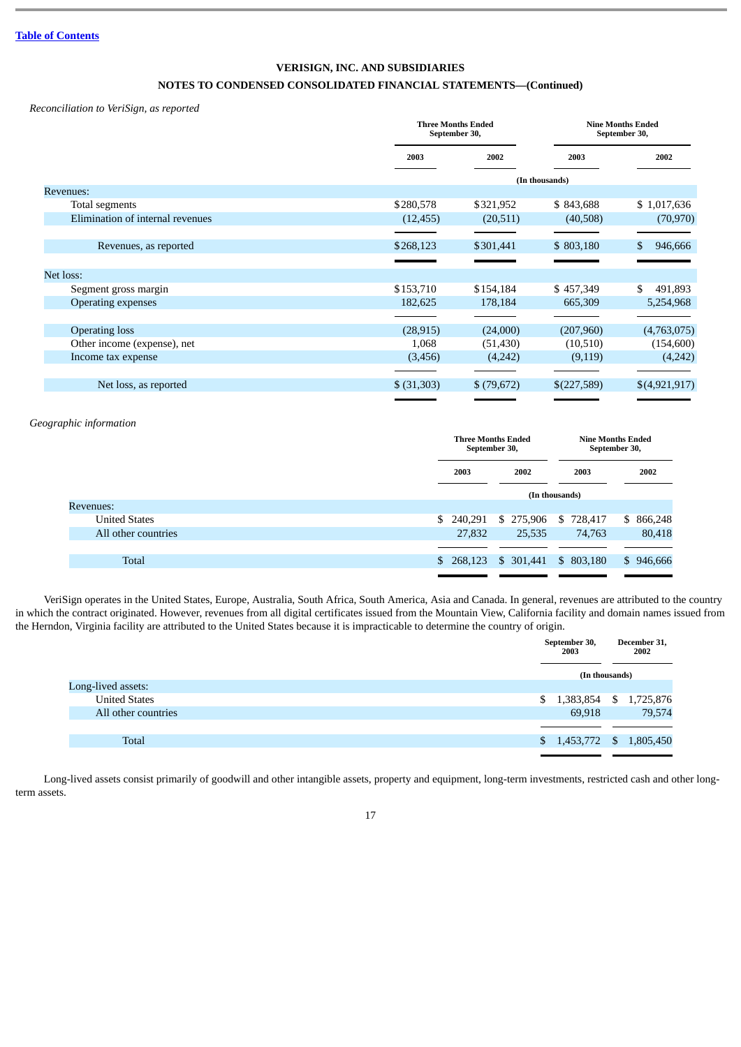### **VERISIGN, INC. AND SUBSIDIARIES NOTES TO CONDENSED CONSOLIDATED FINANCIAL STATEMENTS—(Continued)**

*Reconciliation to VeriSign, as reported*

|                                  |             | <b>Three Months Ended</b><br>September 30, |                | <b>Nine Months Ended</b><br>September 30, |  |
|----------------------------------|-------------|--------------------------------------------|----------------|-------------------------------------------|--|
|                                  | 2003        | 2002                                       | 2003           | 2002                                      |  |
|                                  |             |                                            | (In thousands) |                                           |  |
| Revenues:                        |             |                                            |                |                                           |  |
| Total segments                   | \$280,578   | \$321,952                                  | \$843,688      | \$1,017,636                               |  |
| Elimination of internal revenues | (12, 455)   | (20,511)                                   | (40,508)       | (70, 970)                                 |  |
|                                  |             |                                            |                |                                           |  |
| Revenues, as reported            | \$268,123   | \$301,441                                  | \$803,180      | 946,666<br>\$.                            |  |
|                                  |             |                                            |                |                                           |  |
| Net loss:                        |             |                                            |                |                                           |  |
| Segment gross margin             | \$153,710   | \$154,184                                  | \$457,349      | \$<br>491,893                             |  |
| <b>Operating expenses</b>        | 182,625     | 178,184                                    | 665,309        | 5,254,968                                 |  |
|                                  |             |                                            |                |                                           |  |
| <b>Operating loss</b>            | (28, 915)   | (24,000)                                   | (207,960)      | (4,763,075)                               |  |
| Other income (expense), net      | 1,068       | (51, 430)                                  | (10,510)       | (154, 600)                                |  |
| Income tax expense               | (3,456)     | (4,242)                                    | (9,119)        | (4,242)                                   |  |
|                                  |             |                                            |                |                                           |  |
| Net loss, as reported            | \$ (31,303) | \$(79,672)                                 | \$(227,589)    | \$(4,921,917)                             |  |
|                                  |             |                                            |                |                                           |  |

*Geographic information*

|                      | <b>Three Months Ended</b><br>September 30, |            | <b>Nine Months Ended</b><br>September 30, |           |
|----------------------|--------------------------------------------|------------|-------------------------------------------|-----------|
|                      | 2003                                       | 2002       | 2003                                      | 2002      |
|                      |                                            |            | (In thousands)                            |           |
| Revenues:            |                                            |            |                                           |           |
| <b>United States</b> | \$ 240,291                                 | \$275,906  | \$728,417                                 | \$866,248 |
| All other countries  | 27,832                                     | 25,535     | 74,763                                    | 80,418    |
|                      |                                            |            |                                           |           |
| Total                | \$268,123                                  | \$ 301,441 | \$803,180                                 | \$946,666 |
|                      |                                            |            |                                           |           |

VeriSign operates in the United States, Europe, Australia, South Africa, South America, Asia and Canada. In general, revenues are attributed to the country in which the contract originated. However, revenues from all digital certificates issued from the Mountain View, California facility and domain names issued from the Herndon, Virginia facility are attributed to the United States because it is impracticable to determine the country of origin.

| December 31,<br>2002 |
|----------------------|
|                      |
|                      |
| 1,725,876            |
| 79,574               |
|                      |
| 1,805,450            |
|                      |

Long-lived assets consist primarily of goodwill and other intangible assets, property and equipment, long-term investments, restricted cash and other longterm assets.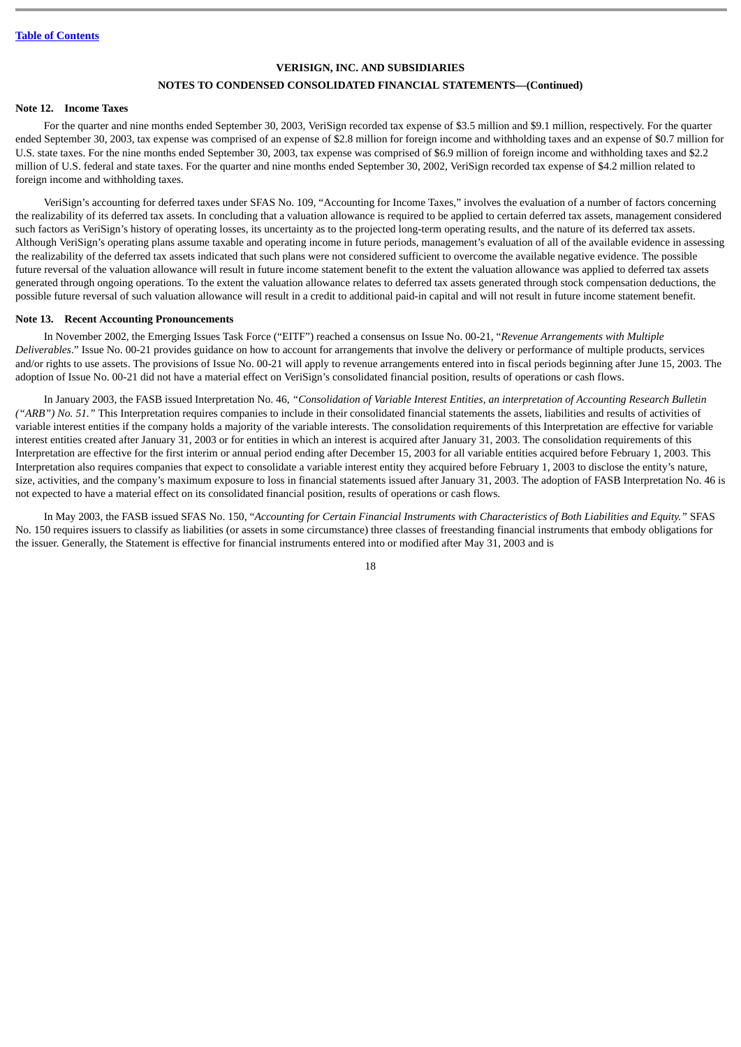#### **NOTES TO CONDENSED CONSOLIDATED FINANCIAL STATEMENTS—(Continued)**

#### **Note 12. Income Taxes**

For the quarter and nine months ended September 30, 2003, VeriSign recorded tax expense of \$3.5 million and \$9.1 million, respectively. For the quarter ended September 30, 2003, tax expense was comprised of an expense of \$2.8 million for foreign income and withholding taxes and an expense of \$0.7 million for U.S. state taxes. For the nine months ended September 30, 2003, tax expense was comprised of \$6.9 million of foreign income and withholding taxes and \$2.2 million of U.S. federal and state taxes. For the quarter and nine months ended September 30, 2002, VeriSign recorded tax expense of \$4.2 million related to foreign income and withholding taxes.

VeriSign's accounting for deferred taxes under SFAS No. 109, "Accounting for Income Taxes," involves the evaluation of a number of factors concerning the realizability of its deferred tax assets. In concluding that a valuation allowance is required to be applied to certain deferred tax assets, management considered such factors as VeriSign's history of operating losses, its uncertainty as to the projected long-term operating results, and the nature of its deferred tax assets. Although VeriSign's operating plans assume taxable and operating income in future periods, management's evaluation of all of the available evidence in assessing the realizability of the deferred tax assets indicated that such plans were not considered sufficient to overcome the available negative evidence. The possible future reversal of the valuation allowance will result in future income statement benefit to the extent the valuation allowance was applied to deferred tax assets generated through ongoing operations. To the extent the valuation allowance relates to deferred tax assets generated through stock compensation deductions, the possible future reversal of such valuation allowance will result in a credit to additional paid-in capital and will not result in future income statement benefit.

#### **Note 13. Recent Accounting Pronouncements**

In November 2002, the Emerging Issues Task Force ("EITF") reached a consensus on Issue No. 00-21, "*Revenue Arrangements with Multiple Deliverables*." Issue No. 00-21 provides guidance on how to account for arrangements that involve the delivery or performance of multiple products, services and/or rights to use assets. The provisions of Issue No. 00-21 will apply to revenue arrangements entered into in fiscal periods beginning after June 15, 2003. The adoption of Issue No. 00-21 did not have a material effect on VeriSign's consolidated financial position, results of operations or cash flows.

In January 2003, the FASB issued Interpretation No. 46, *"Consolidation of Variable Interest Entities, an interpretation of Accounting Research Bulletin ("ARB") No. 51."* This Interpretation requires companies to include in their consolidated financial statements the assets, liabilities and results of activities of variable interest entities if the company holds a majority of the variable interests. The consolidation requirements of this Interpretation are effective for variable interest entities created after January 31, 2003 or for entities in which an interest is acquired after January 31, 2003. The consolidation requirements of this Interpretation are effective for the first interim or annual period ending after December 15, 2003 for all variable entities acquired before February 1, 2003. This Interpretation also requires companies that expect to consolidate a variable interest entity they acquired before February 1, 2003 to disclose the entity's nature, size, activities, and the company's maximum exposure to loss in financial statements issued after January 31, 2003. The adoption of FASB Interpretation No. 46 is not expected to have a material effect on its consolidated financial position, results of operations or cash flows.

In May 2003, the FASB issued SFAS No. 150, "*Accounting for Certain Financial Instruments with Characteristics of Both Liabilities and Equity."* SFAS No. 150 requires issuers to classify as liabilities (or assets in some circumstance) three classes of freestanding financial instruments that embody obligations for the issuer. Generally, the Statement is effective for financial instruments entered into or modified after May 31, 2003 and is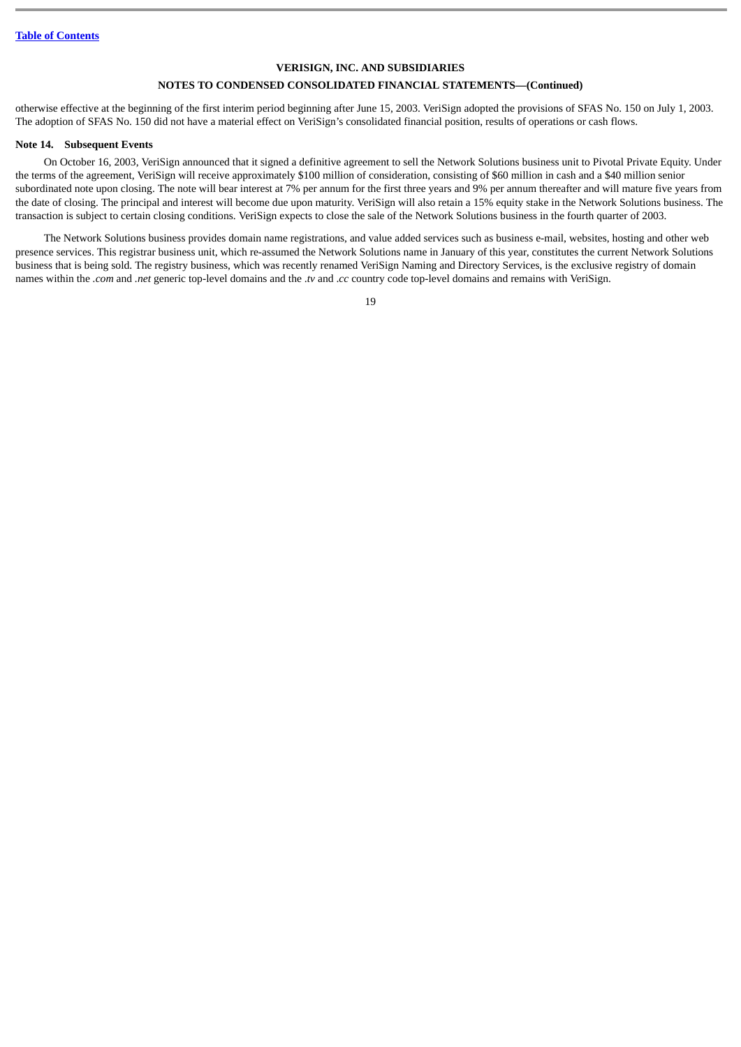#### **NOTES TO CONDENSED CONSOLIDATED FINANCIAL STATEMENTS—(Continued)**

otherwise effective at the beginning of the first interim period beginning after June 15, 2003. VeriSign adopted the provisions of SFAS No. 150 on July 1, 2003. The adoption of SFAS No. 150 did not have a material effect on VeriSign's consolidated financial position, results of operations or cash flows.

#### **Note 14. Subsequent Events**

On October 16, 2003, VeriSign announced that it signed a definitive agreement to sell the Network Solutions business unit to Pivotal Private Equity. Under the terms of the agreement, VeriSign will receive approximately \$100 million of consideration, consisting of \$60 million in cash and a \$40 million senior subordinated note upon closing. The note will bear interest at 7% per annum for the first three years and 9% per annum thereafter and will mature five years from the date of closing. The principal and interest will become due upon maturity. VeriSign will also retain a 15% equity stake in the Network Solutions business. The transaction is subject to certain closing conditions. VeriSign expects to close the sale of the Network Solutions business in the fourth quarter of 2003.

The Network Solutions business provides domain name registrations, and value added services such as business e-mail, websites, hosting and other web presence services. This registrar business unit, which re-assumed the Network Solutions name in January of this year, constitutes the current Network Solutions business that is being sold. The registry business, which was recently renamed VeriSign Naming and Directory Services, is the exclusive registry of domain names within the *.com* and *.net* generic top-level domains and the .*tv* and .*cc* country code top-level domains and remains with VeriSign.

<sup>19</sup>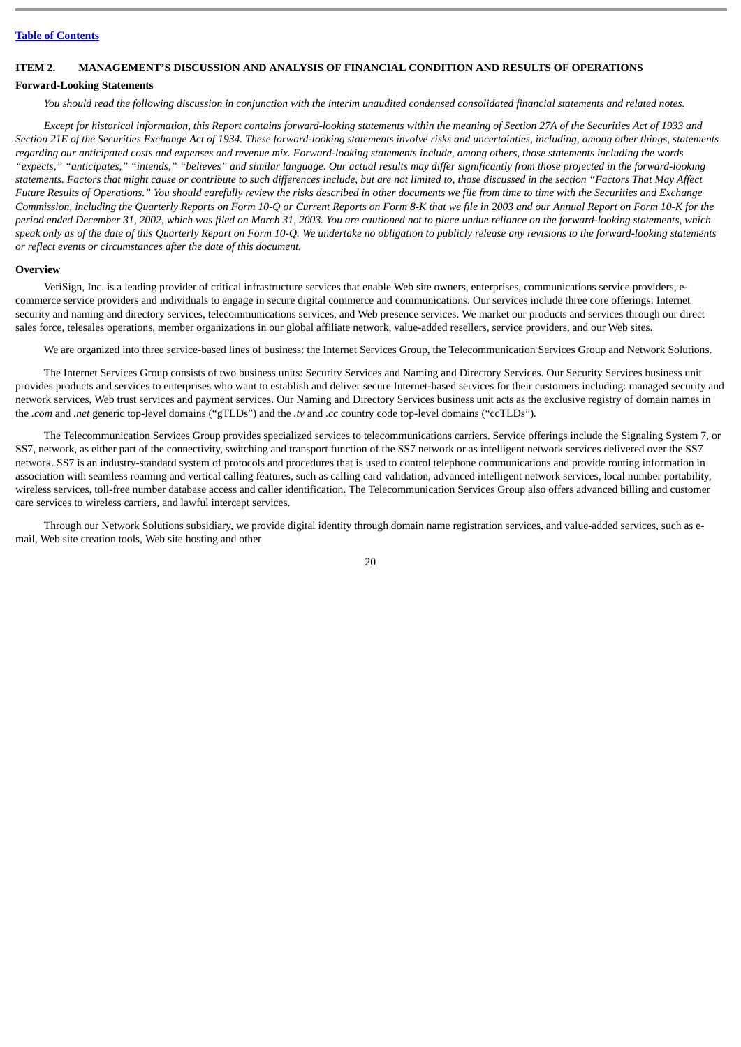#### <span id="page-19-0"></span>**ITEM 2. MANAGEMENT'S DISCUSSION AND ANALYSIS OF FINANCIAL CONDITION AND RESULTS OF OPERATIONS**

#### **Forward-Looking Statements**

*You should read the following discussion in conjunction with the interim unaudited condensed consolidated financial statements and related notes.*

*Except for historical information, this Report contains forward-looking statements within the meaning of Section 27A of the Securities Act of 1933 and Section 21E of the Securities Exchange Act of 1934. These forward-looking statements involve risks and uncertainties, including, among other things, statements regarding our anticipated costs and expenses and revenue mix. Forward-looking statements include, among others, those statements including the words "expects," "anticipates," "intends," "believes" and similar language. Our actual results may differ significantly from those projected in the forward-looking statements. Factors that might cause or contribute to such differences include, but are not limited to, those discussed in the section "Factors That May Affect Future Results of Operations." You should carefully review the risks described in other documents we file from time to time with the Securities and Exchange Commission, including the Quarterly Reports on Form 10-Q or Current Reports on Form 8-K that we file in 2003 and our Annual Report on Form 10-K for the period ended December 31, 2002, which was filed on March 31, 2003. You are cautioned not to place undue reliance on the forward-looking statements, which speak only as of the date of this Quarterly Report on Form 10-Q. We undertake no obligation to publicly release any revisions to the forward-looking statements or reflect events or circumstances after the date of this document.*

#### **Overview**

VeriSign, Inc. is a leading provider of critical infrastructure services that enable Web site owners, enterprises, communications service providers, ecommerce service providers and individuals to engage in secure digital commerce and communications. Our services include three core offerings: Internet security and naming and directory services, telecommunications services, and Web presence services. We market our products and services through our direct sales force, telesales operations, member organizations in our global affiliate network, value-added resellers, service providers, and our Web sites.

We are organized into three service-based lines of business: the Internet Services Group, the Telecommunication Services Group and Network Solutions.

The Internet Services Group consists of two business units: Security Services and Naming and Directory Services. Our Security Services business unit provides products and services to enterprises who want to establish and deliver secure Internet-based services for their customers including: managed security and network services, Web trust services and payment services. Our Naming and Directory Services business unit acts as the exclusive registry of domain names in the *.com* and *.net* generic top-level domains ("gTLDs") and the *.tv* and *.cc* country code top-level domains ("ccTLDs").

The Telecommunication Services Group provides specialized services to telecommunications carriers. Service offerings include the Signaling System 7, or SS7, network, as either part of the connectivity, switching and transport function of the SS7 network or as intelligent network services delivered over the SS7 network. SS7 is an industry-standard system of protocols and procedures that is used to control telephone communications and provide routing information in association with seamless roaming and vertical calling features, such as calling card validation, advanced intelligent network services, local number portability, wireless services, toll-free number database access and caller identification. The Telecommunication Services Group also offers advanced billing and customer care services to wireless carriers, and lawful intercept services.

Through our Network Solutions subsidiary, we provide digital identity through domain name registration services, and value-added services, such as email, Web site creation tools, Web site hosting and other

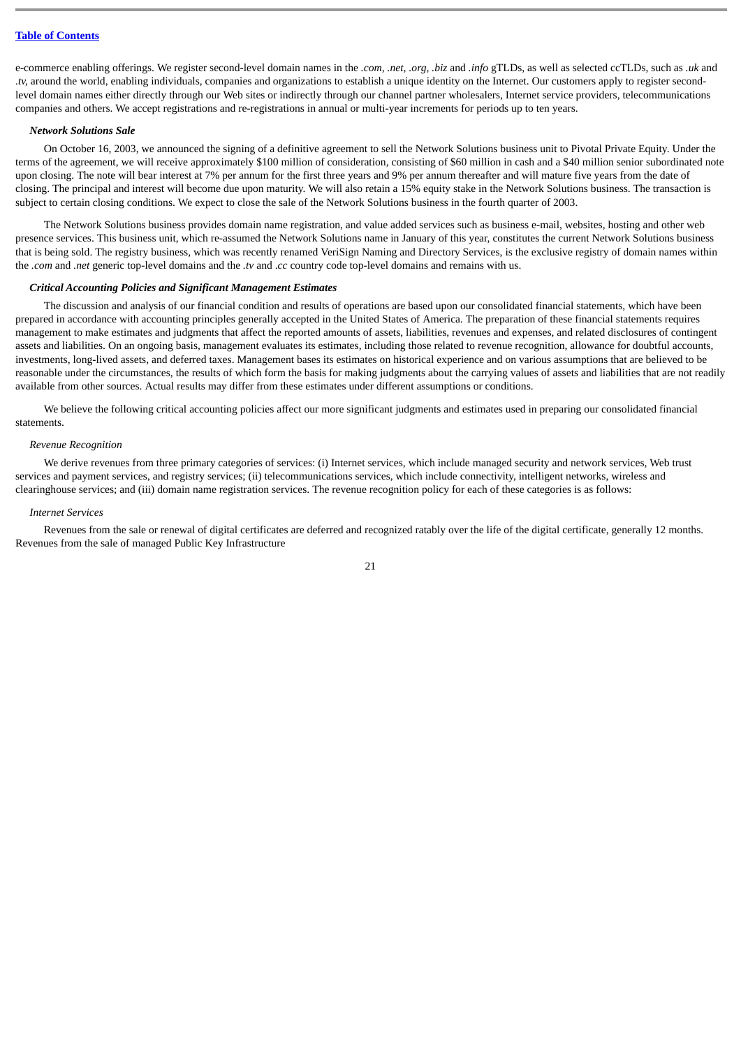e-commerce enabling offerings. We register second-level domain names in the *.com, .net, .org, .biz* and *.info* gTLDs, as well as selected ccTLDs, such as *.uk* and .*tv,* around the world, enabling individuals, companies and organizations to establish a unique identity on the Internet. Our customers apply to register secondlevel domain names either directly through our Web sites or indirectly through our channel partner wholesalers, Internet service providers, telecommunications companies and others. We accept registrations and re-registrations in annual or multi-year increments for periods up to ten years.

#### *Network Solutions Sale*

On October 16, 2003, we announced the signing of a definitive agreement to sell the Network Solutions business unit to Pivotal Private Equity. Under the terms of the agreement, we will receive approximately \$100 million of consideration, consisting of \$60 million in cash and a \$40 million senior subordinated note upon closing. The note will bear interest at 7% per annum for the first three years and 9% per annum thereafter and will mature five years from the date of closing. The principal and interest will become due upon maturity. We will also retain a 15% equity stake in the Network Solutions business. The transaction is subject to certain closing conditions. We expect to close the sale of the Network Solutions business in the fourth quarter of 2003.

The Network Solutions business provides domain name registration, and value added services such as business e-mail, websites, hosting and other web presence services. This business unit, which re-assumed the Network Solutions name in January of this year, constitutes the current Network Solutions business that is being sold. The registry business, which was recently renamed VeriSign Naming and Directory Services, is the exclusive registry of domain names within the *.com* and *.net* generic top-level domains and the *.tv* and .*cc* country code top-level domains and remains with us.

#### *Critical Accounting Policies and Significant Management Estimates*

The discussion and analysis of our financial condition and results of operations are based upon our consolidated financial statements, which have been prepared in accordance with accounting principles generally accepted in the United States of America. The preparation of these financial statements requires management to make estimates and judgments that affect the reported amounts of assets, liabilities, revenues and expenses, and related disclosures of contingent assets and liabilities. On an ongoing basis, management evaluates its estimates, including those related to revenue recognition, allowance for doubtful accounts, investments, long-lived assets, and deferred taxes. Management bases its estimates on historical experience and on various assumptions that are believed to be reasonable under the circumstances, the results of which form the basis for making judgments about the carrying values of assets and liabilities that are not readily available from other sources. Actual results may differ from these estimates under different assumptions or conditions.

We believe the following critical accounting policies affect our more significant judgments and estimates used in preparing our consolidated financial statements.

#### *Revenue Recognition*

We derive revenues from three primary categories of services: (i) Internet services, which include managed security and network services, Web trust services and payment services, and registry services; (ii) telecommunications services, which include connectivity, intelligent networks, wireless and clearinghouse services; and (iii) domain name registration services. The revenue recognition policy for each of these categories is as follows:

#### *Internet Services*

Revenues from the sale or renewal of digital certificates are deferred and recognized ratably over the life of the digital certificate, generally 12 months. Revenues from the sale of managed Public Key Infrastructure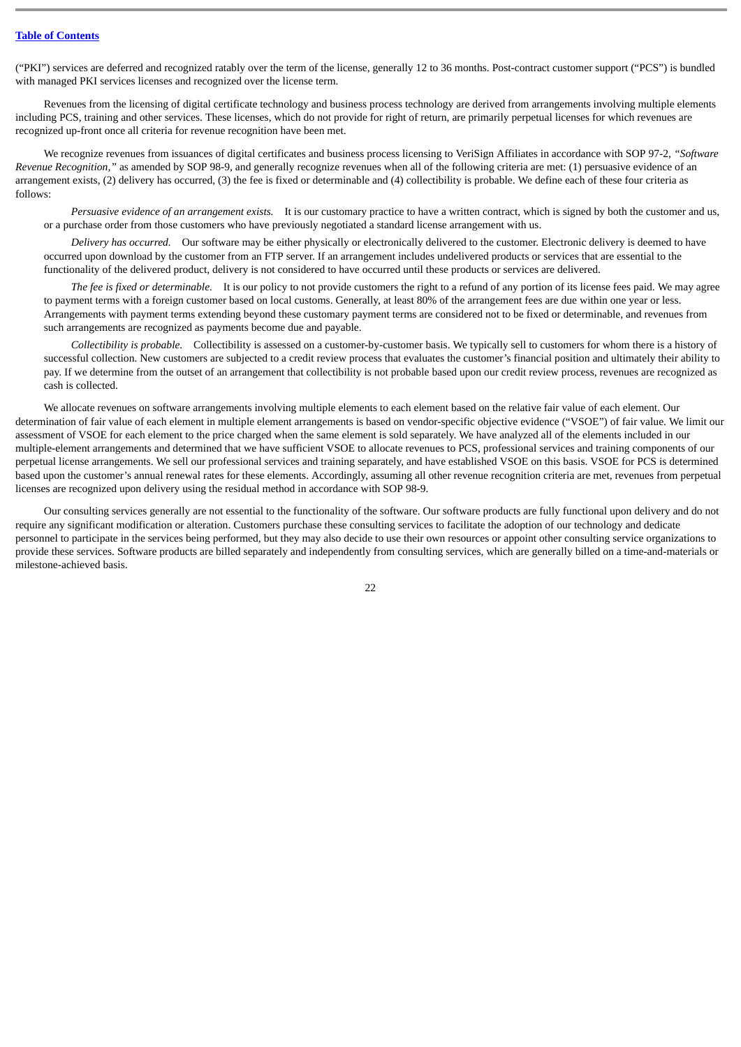("PKI") services are deferred and recognized ratably over the term of the license, generally 12 to 36 months. Post-contract customer support ("PCS") is bundled with managed PKI services licenses and recognized over the license term.

Revenues from the licensing of digital certificate technology and business process technology are derived from arrangements involving multiple elements including PCS, training and other services. These licenses, which do not provide for right of return, are primarily perpetual licenses for which revenues are recognized up-front once all criteria for revenue recognition have been met.

We recognize revenues from issuances of digital certificates and business process licensing to VeriSign Affiliates in accordance with SOP 97-2, *"Software Revenue Recognition,"* as amended by SOP 98-9, and generally recognize revenues when all of the following criteria are met: (1) persuasive evidence of an arrangement exists, (2) delivery has occurred, (3) the fee is fixed or determinable and (4) collectibility is probable. We define each of these four criteria as follows:

*Persuasive evidence of an arrangement exists.* It is our customary practice to have a written contract, which is signed by both the customer and us, or a purchase order from those customers who have previously negotiated a standard license arrangement with us.

*Delivery has occurred.* Our software may be either physically or electronically delivered to the customer. Electronic delivery is deemed to have occurred upon download by the customer from an FTP server. If an arrangement includes undelivered products or services that are essential to the functionality of the delivered product, delivery is not considered to have occurred until these products or services are delivered.

*The fee is fixed or determinable.* It is our policy to not provide customers the right to a refund of any portion of its license fees paid. We may agree to payment terms with a foreign customer based on local customs. Generally, at least 80% of the arrangement fees are due within one year or less. Arrangements with payment terms extending beyond these customary payment terms are considered not to be fixed or determinable, and revenues from such arrangements are recognized as payments become due and payable.

*Collectibility is probable.* Collectibility is assessed on a customer-by-customer basis. We typically sell to customers for whom there is a history of successful collection. New customers are subjected to a credit review process that evaluates the customer's financial position and ultimately their ability to pay. If we determine from the outset of an arrangement that collectibility is not probable based upon our credit review process, revenues are recognized as cash is collected.

We allocate revenues on software arrangements involving multiple elements to each element based on the relative fair value of each element. Our determination of fair value of each element in multiple element arrangements is based on vendor-specific objective evidence ("VSOE") of fair value. We limit our assessment of VSOE for each element to the price charged when the same element is sold separately. We have analyzed all of the elements included in our multiple-element arrangements and determined that we have sufficient VSOE to allocate revenues to PCS, professional services and training components of our perpetual license arrangements. We sell our professional services and training separately, and have established VSOE on this basis. VSOE for PCS is determined based upon the customer's annual renewal rates for these elements. Accordingly, assuming all other revenue recognition criteria are met, revenues from perpetual licenses are recognized upon delivery using the residual method in accordance with SOP 98-9.

Our consulting services generally are not essential to the functionality of the software. Our software products are fully functional upon delivery and do not require any significant modification or alteration. Customers purchase these consulting services to facilitate the adoption of our technology and dedicate personnel to participate in the services being performed, but they may also decide to use their own resources or appoint other consulting service organizations to provide these services. Software products are billed separately and independently from consulting services, which are generally billed on a time-and-materials or milestone-achieved basis.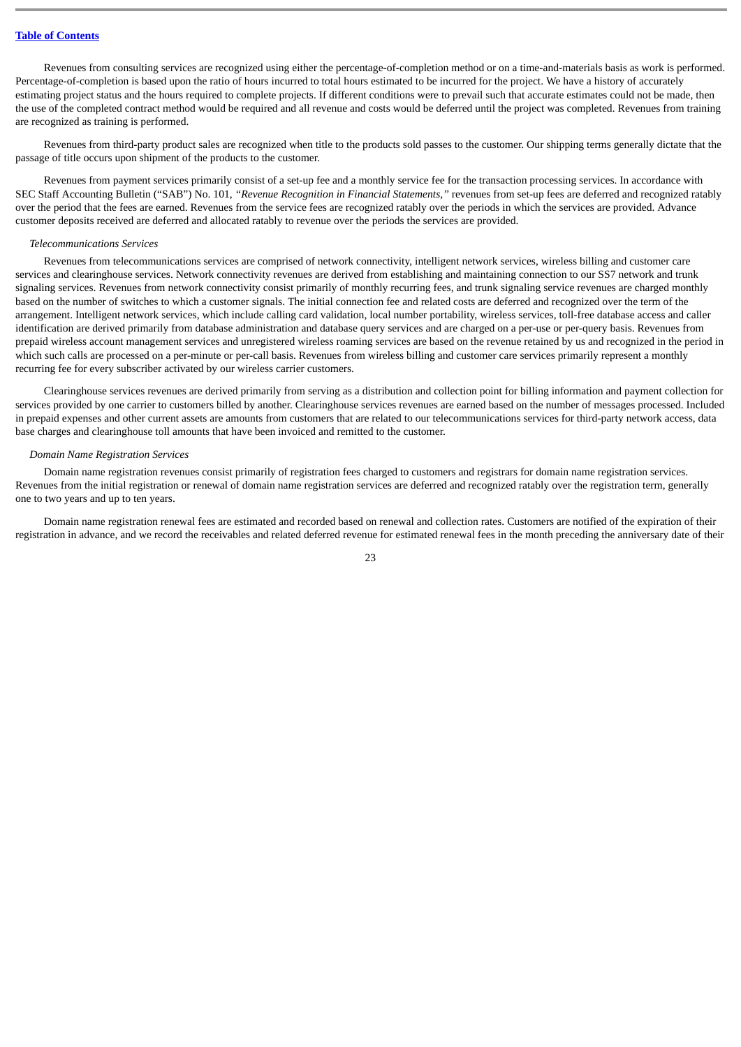Revenues from consulting services are recognized using either the percentage-of-completion method or on a time-and-materials basis as work is performed. Percentage-of-completion is based upon the ratio of hours incurred to total hours estimated to be incurred for the project. We have a history of accurately estimating project status and the hours required to complete projects. If different conditions were to prevail such that accurate estimates could not be made, then the use of the completed contract method would be required and all revenue and costs would be deferred until the project was completed. Revenues from training are recognized as training is performed.

Revenues from third-party product sales are recognized when title to the products sold passes to the customer. Our shipping terms generally dictate that the passage of title occurs upon shipment of the products to the customer.

Revenues from payment services primarily consist of a set-up fee and a monthly service fee for the transaction processing services. In accordance with SEC Staff Accounting Bulletin ("SAB") No. 101, *"Revenue Recognition in Financial Statements,"* revenues from set-up fees are deferred and recognized ratably over the period that the fees are earned. Revenues from the service fees are recognized ratably over the periods in which the services are provided. Advance customer deposits received are deferred and allocated ratably to revenue over the periods the services are provided.

#### *Telecommunications Services*

Revenues from telecommunications services are comprised of network connectivity, intelligent network services, wireless billing and customer care services and clearinghouse services. Network connectivity revenues are derived from establishing and maintaining connection to our SS7 network and trunk signaling services. Revenues from network connectivity consist primarily of monthly recurring fees, and trunk signaling service revenues are charged monthly based on the number of switches to which a customer signals. The initial connection fee and related costs are deferred and recognized over the term of the arrangement. Intelligent network services, which include calling card validation, local number portability, wireless services, toll-free database access and caller identification are derived primarily from database administration and database query services and are charged on a per-use or per-query basis. Revenues from prepaid wireless account management services and unregistered wireless roaming services are based on the revenue retained by us and recognized in the period in which such calls are processed on a per-minute or per-call basis. Revenues from wireless billing and customer care services primarily represent a monthly recurring fee for every subscriber activated by our wireless carrier customers.

Clearinghouse services revenues are derived primarily from serving as a distribution and collection point for billing information and payment collection for services provided by one carrier to customers billed by another. Clearinghouse services revenues are earned based on the number of messages processed. Included in prepaid expenses and other current assets are amounts from customers that are related to our telecommunications services for third-party network access, data base charges and clearinghouse toll amounts that have been invoiced and remitted to the customer.

#### *Domain Name Registration Services*

Domain name registration revenues consist primarily of registration fees charged to customers and registrars for domain name registration services. Revenues from the initial registration or renewal of domain name registration services are deferred and recognized ratably over the registration term, generally one to two years and up to ten years.

Domain name registration renewal fees are estimated and recorded based on renewal and collection rates. Customers are notified of the expiration of their registration in advance, and we record the receivables and related deferred revenue for estimated renewal fees in the month preceding the anniversary date of their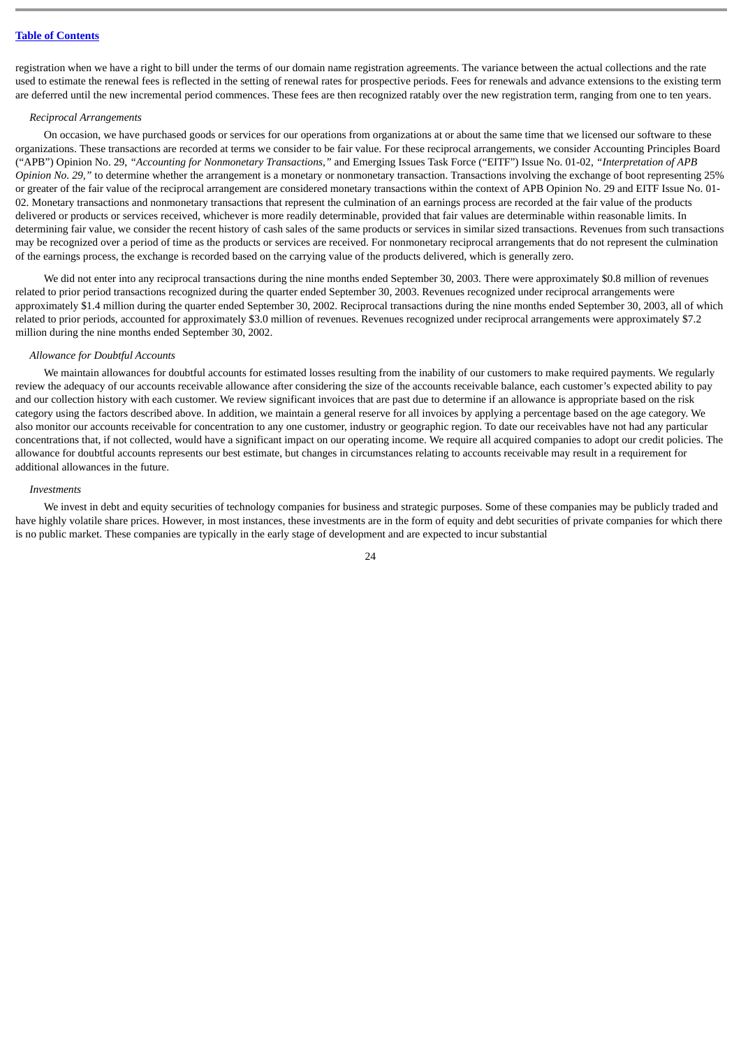registration when we have a right to bill under the terms of our domain name registration agreements. The variance between the actual collections and the rate used to estimate the renewal fees is reflected in the setting of renewal rates for prospective periods. Fees for renewals and advance extensions to the existing term are deferred until the new incremental period commences. These fees are then recognized ratably over the new registration term, ranging from one to ten years.

#### *Reciprocal Arrangements*

On occasion, we have purchased goods or services for our operations from organizations at or about the same time that we licensed our software to these organizations. These transactions are recorded at terms we consider to be fair value. For these reciprocal arrangements, we consider Accounting Principles Board ("APB") Opinion No. 29, *"Accounting for Nonmonetary Transactions,"* and Emerging Issues Task Force ("EITF") Issue No. 01-02, *"Interpretation of APB Opinion No. 29,"* to determine whether the arrangement is a monetary or nonmonetary transaction. Transactions involving the exchange of boot representing 25% or greater of the fair value of the reciprocal arrangement are considered monetary transactions within the context of APB Opinion No. 29 and EITF Issue No. 01- 02. Monetary transactions and nonmonetary transactions that represent the culmination of an earnings process are recorded at the fair value of the products delivered or products or services received, whichever is more readily determinable, provided that fair values are determinable within reasonable limits. In determining fair value, we consider the recent history of cash sales of the same products or services in similar sized transactions. Revenues from such transactions may be recognized over a period of time as the products or services are received. For nonmonetary reciprocal arrangements that do not represent the culmination of the earnings process, the exchange is recorded based on the carrying value of the products delivered, which is generally zero.

We did not enter into any reciprocal transactions during the nine months ended September 30, 2003. There were approximately \$0.8 million of revenues related to prior period transactions recognized during the quarter ended September 30, 2003. Revenues recognized under reciprocal arrangements were approximately \$1.4 million during the quarter ended September 30, 2002. Reciprocal transactions during the nine months ended September 30, 2003, all of which related to prior periods, accounted for approximately \$3.0 million of revenues. Revenues recognized under reciprocal arrangements were approximately \$7.2 million during the nine months ended September 30, 2002.

#### *Allowance for Doubtful Accounts*

We maintain allowances for doubtful accounts for estimated losses resulting from the inability of our customers to make required payments. We regularly review the adequacy of our accounts receivable allowance after considering the size of the accounts receivable balance, each customer's expected ability to pay and our collection history with each customer. We review significant invoices that are past due to determine if an allowance is appropriate based on the risk category using the factors described above. In addition, we maintain a general reserve for all invoices by applying a percentage based on the age category. We also monitor our accounts receivable for concentration to any one customer, industry or geographic region. To date our receivables have not had any particular concentrations that, if not collected, would have a significant impact on our operating income. We require all acquired companies to adopt our credit policies. The allowance for doubtful accounts represents our best estimate, but changes in circumstances relating to accounts receivable may result in a requirement for additional allowances in the future.

#### *Investments*

We invest in debt and equity securities of technology companies for business and strategic purposes. Some of these companies may be publicly traded and have highly volatile share prices. However, in most instances, these investments are in the form of equity and debt securities of private companies for which there is no public market. These companies are typically in the early stage of development and are expected to incur substantial

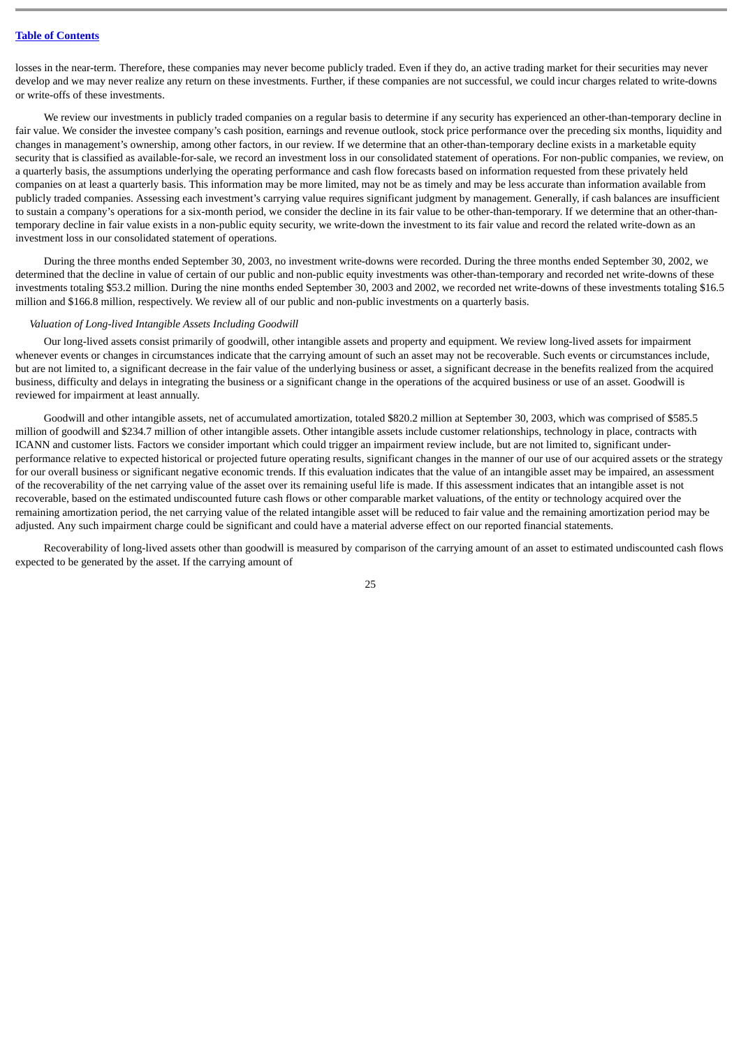losses in the near-term. Therefore, these companies may never become publicly traded. Even if they do, an active trading market for their securities may never develop and we may never realize any return on these investments. Further, if these companies are not successful, we could incur charges related to write-downs or write-offs of these investments.

We review our investments in publicly traded companies on a regular basis to determine if any security has experienced an other-than-temporary decline in fair value. We consider the investee company's cash position, earnings and revenue outlook, stock price performance over the preceding six months, liquidity and changes in management's ownership, among other factors, in our review. If we determine that an other-than-temporary decline exists in a marketable equity security that is classified as available-for-sale, we record an investment loss in our consolidated statement of operations. For non-public companies, we review, on a quarterly basis, the assumptions underlying the operating performance and cash flow forecasts based on information requested from these privately held companies on at least a quarterly basis. This information may be more limited, may not be as timely and may be less accurate than information available from publicly traded companies. Assessing each investment's carrying value requires significant judgment by management. Generally, if cash balances are insufficient to sustain a company's operations for a six-month period, we consider the decline in its fair value to be other-than-temporary. If we determine that an other-thantemporary decline in fair value exists in a non-public equity security, we write-down the investment to its fair value and record the related write-down as an investment loss in our consolidated statement of operations.

During the three months ended September 30, 2003, no investment write-downs were recorded. During the three months ended September 30, 2002, we determined that the decline in value of certain of our public and non-public equity investments was other-than-temporary and recorded net write-downs of these investments totaling \$53.2 million. During the nine months ended September 30, 2003 and 2002, we recorded net write-downs of these investments totaling \$16.5 million and \$166.8 million, respectively. We review all of our public and non-public investments on a quarterly basis.

#### *Valuation of Long-lived Intangible Assets Including Goodwill*

Our long-lived assets consist primarily of goodwill, other intangible assets and property and equipment. We review long-lived assets for impairment whenever events or changes in circumstances indicate that the carrying amount of such an asset may not be recoverable. Such events or circumstances include, but are not limited to, a significant decrease in the fair value of the underlying business or asset, a significant decrease in the benefits realized from the acquired business, difficulty and delays in integrating the business or a significant change in the operations of the acquired business or use of an asset. Goodwill is reviewed for impairment at least annually.

Goodwill and other intangible assets, net of accumulated amortization, totaled \$820.2 million at September 30, 2003, which was comprised of \$585.5 million of goodwill and \$234.7 million of other intangible assets. Other intangible assets include customer relationships, technology in place, contracts with ICANN and customer lists. Factors we consider important which could trigger an impairment review include, but are not limited to, significant underperformance relative to expected historical or projected future operating results, significant changes in the manner of our use of our acquired assets or the strategy for our overall business or significant negative economic trends. If this evaluation indicates that the value of an intangible asset may be impaired, an assessment of the recoverability of the net carrying value of the asset over its remaining useful life is made. If this assessment indicates that an intangible asset is not recoverable, based on the estimated undiscounted future cash flows or other comparable market valuations, of the entity or technology acquired over the remaining amortization period, the net carrying value of the related intangible asset will be reduced to fair value and the remaining amortization period may be adjusted. Any such impairment charge could be significant and could have a material adverse effect on our reported financial statements.

Recoverability of long-lived assets other than goodwill is measured by comparison of the carrying amount of an asset to estimated undiscounted cash flows expected to be generated by the asset. If the carrying amount of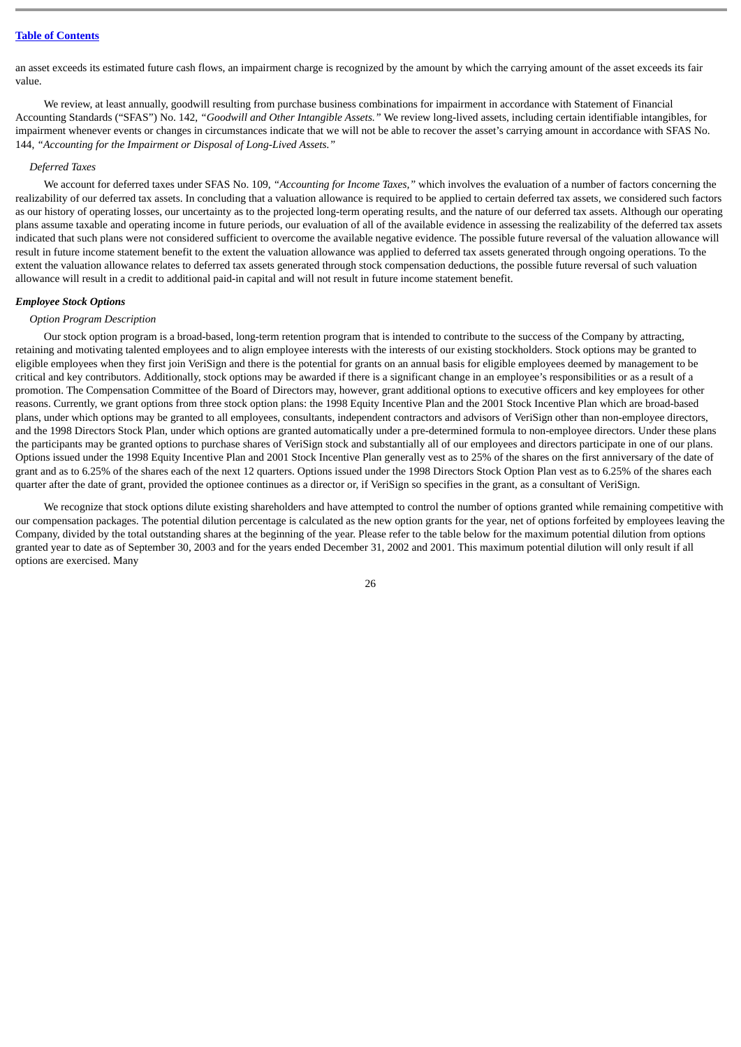an asset exceeds its estimated future cash flows, an impairment charge is recognized by the amount by which the carrying amount of the asset exceeds its fair value.

We review, at least annually, goodwill resulting from purchase business combinations for impairment in accordance with Statement of Financial Accounting Standards ("SFAS") No. 142, *"Goodwill and Other Intangible Assets."* We review long-lived assets, including certain identifiable intangibles, for impairment whenever events or changes in circumstances indicate that we will not be able to recover the asset's carrying amount in accordance with SFAS No. 144, *"Accounting for the Impairment or Disposal of Long-Lived Assets."*

#### *Deferred Taxes*

We account for deferred taxes under SFAS No. 109, *"Accounting for Income Taxes,"* which involves the evaluation of a number of factors concerning the realizability of our deferred tax assets. In concluding that a valuation allowance is required to be applied to certain deferred tax assets, we considered such factors as our history of operating losses, our uncertainty as to the projected long-term operating results, and the nature of our deferred tax assets. Although our operating plans assume taxable and operating income in future periods, our evaluation of all of the available evidence in assessing the realizability of the deferred tax assets indicated that such plans were not considered sufficient to overcome the available negative evidence. The possible future reversal of the valuation allowance will result in future income statement benefit to the extent the valuation allowance was applied to deferred tax assets generated through ongoing operations. To the extent the valuation allowance relates to deferred tax assets generated through stock compensation deductions, the possible future reversal of such valuation allowance will result in a credit to additional paid-in capital and will not result in future income statement benefit.

#### *Employee Stock Options*

#### *Option Program Description*

Our stock option program is a broad-based, long-term retention program that is intended to contribute to the success of the Company by attracting, retaining and motivating talented employees and to align employee interests with the interests of our existing stockholders. Stock options may be granted to eligible employees when they first join VeriSign and there is the potential for grants on an annual basis for eligible employees deemed by management to be critical and key contributors. Additionally, stock options may be awarded if there is a significant change in an employee's responsibilities or as a result of a promotion. The Compensation Committee of the Board of Directors may, however, grant additional options to executive officers and key employees for other reasons. Currently, we grant options from three stock option plans: the 1998 Equity Incentive Plan and the 2001 Stock Incentive Plan which are broad-based plans, under which options may be granted to all employees, consultants, independent contractors and advisors of VeriSign other than non-employee directors, and the 1998 Directors Stock Plan, under which options are granted automatically under a pre-determined formula to non-employee directors. Under these plans the participants may be granted options to purchase shares of VeriSign stock and substantially all of our employees and directors participate in one of our plans. Options issued under the 1998 Equity Incentive Plan and 2001 Stock Incentive Plan generally vest as to 25% of the shares on the first anniversary of the date of grant and as to 6.25% of the shares each of the next 12 quarters. Options issued under the 1998 Directors Stock Option Plan vest as to 6.25% of the shares each quarter after the date of grant, provided the optionee continues as a director or, if VeriSign so specifies in the grant, as a consultant of VeriSign.

We recognize that stock options dilute existing shareholders and have attempted to control the number of options granted while remaining competitive with our compensation packages. The potential dilution percentage is calculated as the new option grants for the year, net of options forfeited by employees leaving the Company, divided by the total outstanding shares at the beginning of the year. Please refer to the table below for the maximum potential dilution from options granted year to date as of September 30, 2003 and for the years ended December 31, 2002 and 2001. This maximum potential dilution will only result if all options are exercised. Many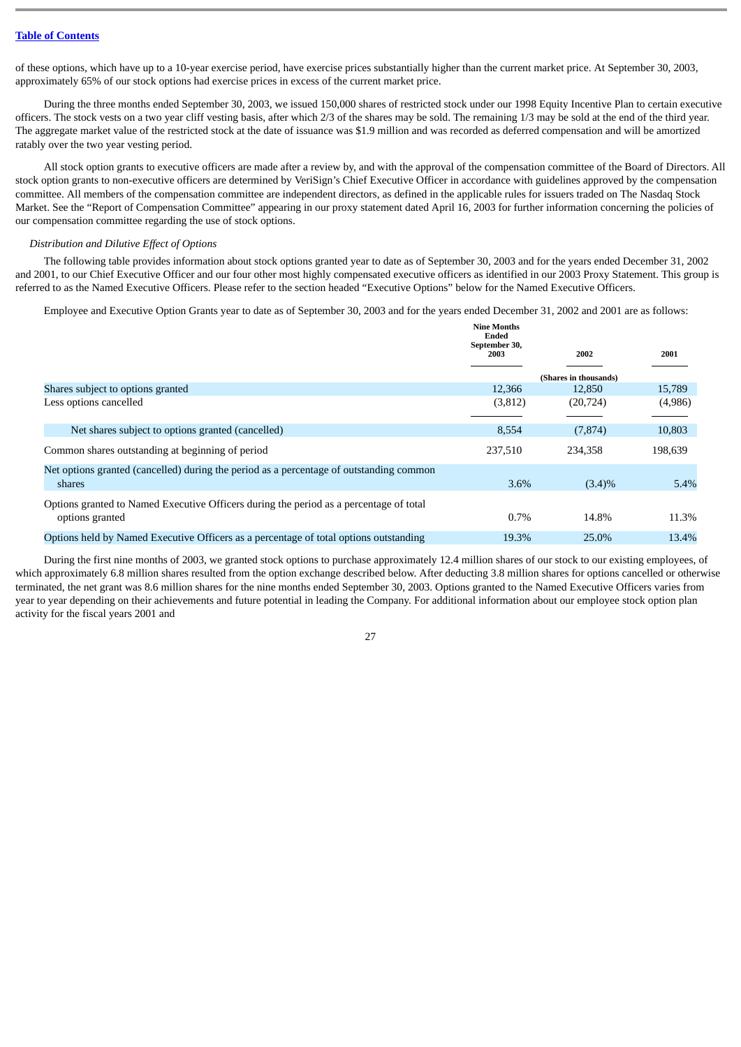of these options, which have up to a 10-year exercise period, have exercise prices substantially higher than the current market price. At September 30, 2003, approximately 65% of our stock options had exercise prices in excess of the current market price.

During the three months ended September 30, 2003, we issued 150,000 shares of restricted stock under our 1998 Equity Incentive Plan to certain executive officers. The stock vests on a two year cliff vesting basis, after which 2/3 of the shares may be sold. The remaining 1/3 may be sold at the end of the third year. The aggregate market value of the restricted stock at the date of issuance was \$1.9 million and was recorded as deferred compensation and will be amortized ratably over the two year vesting period.

All stock option grants to executive officers are made after a review by, and with the approval of the compensation committee of the Board of Directors. All stock option grants to non-executive officers are determined by VeriSign's Chief Executive Officer in accordance with guidelines approved by the compensation committee. All members of the compensation committee are independent directors, as defined in the applicable rules for issuers traded on The Nasdaq Stock Market. See the "Report of Compensation Committee" appearing in our proxy statement dated April 16, 2003 for further information concerning the policies of our compensation committee regarding the use of stock options.

#### *Distribution and Dilutive Effect of Options*

The following table provides information about stock options granted year to date as of September 30, 2003 and for the years ended December 31, 2002 and 2001, to our Chief Executive Officer and our four other most highly compensated executive officers as identified in our 2003 Proxy Statement. This group is referred to as the Named Executive Officers. Please refer to the section headed "Executive Options" below for the Named Executive Officers.

Employee and Executive Option Grants year to date as of September 30, 2003 and for the years ended December 31, 2002 and 2001 are as follows:

|                                                                                                   | <b>Nine Months</b><br>Ended<br>September 30,<br>2003 | 2002                  | 2001    |
|---------------------------------------------------------------------------------------------------|------------------------------------------------------|-----------------------|---------|
|                                                                                                   |                                                      | (Shares in thousands) |         |
| Shares subject to options granted                                                                 | 12.366                                               | 12,850                | 15,789  |
| Less options cancelled                                                                            | (3,812)                                              | (20, 724)             | (4,986) |
| Net shares subject to options granted (cancelled)                                                 | 8,554                                                | (7, 874)              | 10,803  |
| Common shares outstanding at beginning of period                                                  | 237,510                                              | 234.358               | 198,639 |
| Net options granted (cancelled) during the period as a percentage of outstanding common<br>shares | 3.6%                                                 | $(3.4)\%$             | 5.4%    |
| Options granted to Named Executive Officers during the period as a percentage of total            |                                                      |                       |         |
| options granted                                                                                   | 0.7%                                                 | 14.8%                 | 11.3%   |
| Options held by Named Executive Officers as a percentage of total options outstanding             | 19.3%                                                | 25.0%                 | 13.4%   |

During the first nine months of 2003, we granted stock options to purchase approximately 12.4 million shares of our stock to our existing employees, of which approximately 6.8 million shares resulted from the option exchange described below. After deducting 3.8 million shares for options cancelled or otherwise terminated, the net grant was 8.6 million shares for the nine months ended September 30, 2003. Options granted to the Named Executive Officers varies from year to year depending on their achievements and future potential in leading the Company. For additional information about our employee stock option plan activity for the fiscal years 2001 and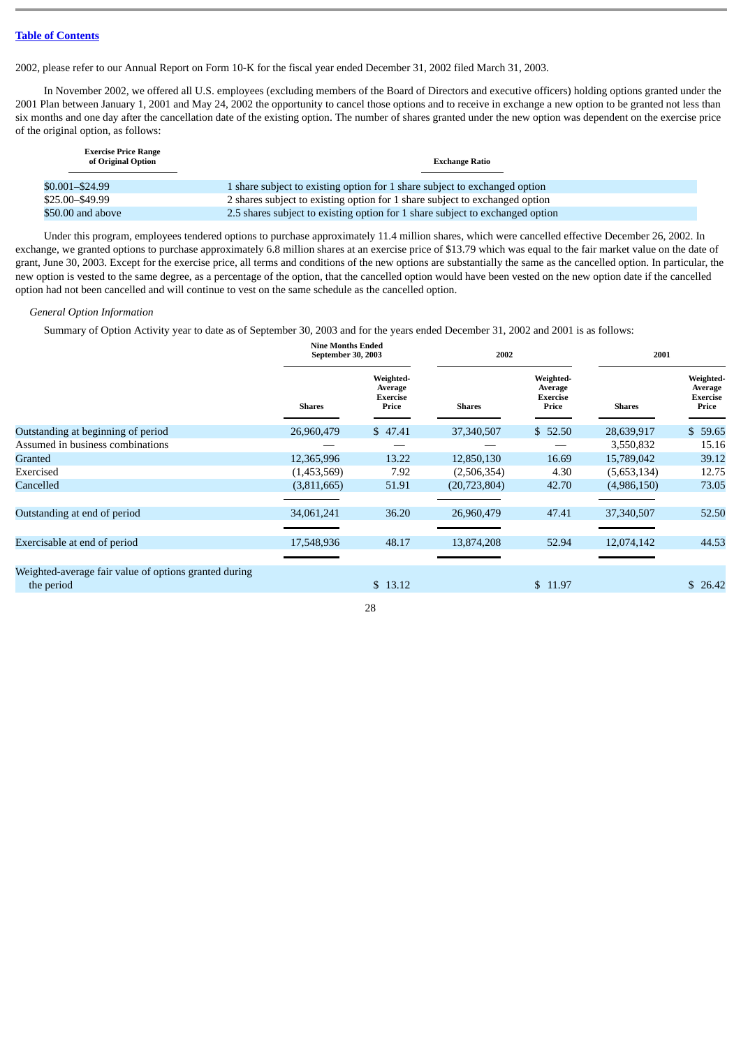2002, please refer to our Annual Report on Form 10-K for the fiscal year ended December 31, 2002 filed March 31, 2003.

In November 2002, we offered all U.S. employees (excluding members of the Board of Directors and executive officers) holding options granted under the 2001 Plan between January 1, 2001 and May 24, 2002 the opportunity to cancel those options and to receive in exchange a new option to be granted not less than six months and one day after the cancellation date of the existing option. The number of shares granted under the new option was dependent on the exercise price of the original option, as follows:

| <b>Exercise Price Range</b><br>of Original Option | <b>Exchange Ratio</b>                                                         |
|---------------------------------------------------|-------------------------------------------------------------------------------|
| \$0.001-\$24.99                                   | 1 share subject to existing option for 1 share subject to exchanged option    |
| \$25.00-\$49.99                                   | 2 shares subject to existing option for 1 share subject to exchanged option   |
| $$50.00$ and above                                | 2.5 shares subject to existing option for 1 share subject to exchanged option |

Under this program, employees tendered options to purchase approximately 11.4 million shares, which were cancelled effective December 26, 2002. In exchange, we granted options to purchase approximately 6.8 million shares at an exercise price of \$13.79 which was equal to the fair market value on the date of grant, June 30, 2003. Except for the exercise price, all terms and conditions of the new options are substantially the same as the cancelled option. In particular, the new option is vested to the same degree, as a percentage of the option, that the cancelled option would have been vested on the new option date if the cancelled option had not been cancelled and will continue to vest on the same schedule as the cancelled option.

#### *General Option Information*

Summary of Option Activity year to date as of September 30, 2003 and for the years ended December 31, 2002 and 2001 is as follows:

|                                                       | <b>Nine Months Ended</b><br>September 30, 2003 |                                                  | 2002           |                                                  | 2001          |                                                  |
|-------------------------------------------------------|------------------------------------------------|--------------------------------------------------|----------------|--------------------------------------------------|---------------|--------------------------------------------------|
|                                                       | <b>Shares</b>                                  | Weighted-<br>Average<br><b>Exercise</b><br>Price | <b>Shares</b>  | Weighted-<br>Average<br><b>Exercise</b><br>Price | <b>Shares</b> | Weighted-<br>Average<br><b>Exercise</b><br>Price |
| Outstanding at beginning of period                    | 26,960,479                                     | \$47.41                                          | 37,340,507     | \$52.50                                          | 28,639,917    | \$59.65                                          |
| Assumed in business combinations                      |                                                |                                                  |                |                                                  | 3,550,832     | 15.16                                            |
| Granted                                               | 12,365,996                                     | 13.22                                            | 12,850,130     | 16.69                                            | 15,789,042    | 39.12                                            |
| Exercised                                             | (1,453,569)                                    | 7.92                                             | (2,506,354)    | 4.30                                             | (5,653,134)   | 12.75                                            |
| Cancelled                                             | (3,811,665)                                    | 51.91                                            | (20, 723, 804) | 42.70                                            | (4,986,150)   | 73.05                                            |
|                                                       |                                                |                                                  |                |                                                  |               |                                                  |
| Outstanding at end of period                          | 34,061,241                                     | 36.20                                            | 26,960,479     | 47.41                                            | 37,340,507    | 52.50                                            |
|                                                       |                                                |                                                  |                |                                                  |               |                                                  |
| Exercisable at end of period                          | 17,548,936                                     | 48.17                                            | 13,874,208     | 52.94                                            | 12,074,142    | 44.53                                            |
|                                                       |                                                |                                                  |                |                                                  |               |                                                  |
| Weighted-average fair value of options granted during |                                                |                                                  |                |                                                  |               |                                                  |
| the period                                            |                                                | \$13.12                                          |                | \$11.97                                          |               | \$26.42                                          |
|                                                       |                                                |                                                  |                |                                                  |               |                                                  |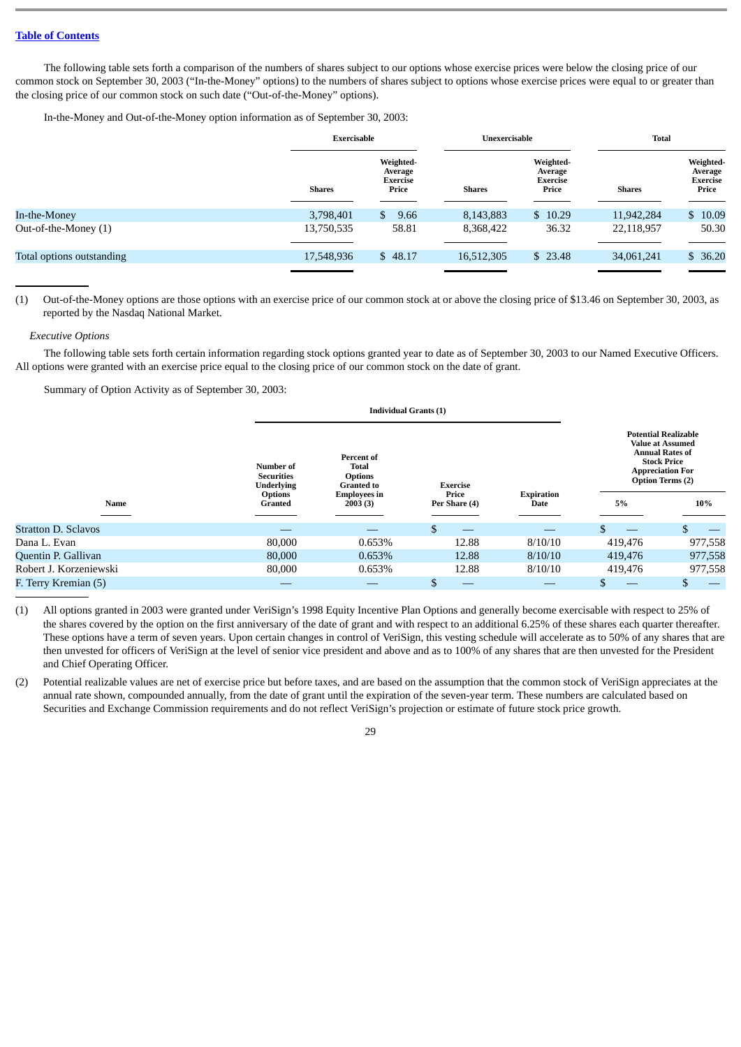The following table sets forth a comparison of the numbers of shares subject to our options whose exercise prices were below the closing price of our common stock on September 30, 2003 ("In-the-Money" options) to the numbers of shares subject to options whose exercise prices were equal to or greater than the closing price of our common stock on such date ("Out-of-the-Money" options).

In-the-Money and Out-of-the-Money option information as of September 30, 2003:

|                           | Exercisable   |                                                  | Unexercisable |                                                  | <b>Total</b>  |                                                  |
|---------------------------|---------------|--------------------------------------------------|---------------|--------------------------------------------------|---------------|--------------------------------------------------|
|                           | <b>Shares</b> | Weighted-<br>Average<br><b>Exercise</b><br>Price | <b>Shares</b> | Weighted-<br>Average<br><b>Exercise</b><br>Price | <b>Shares</b> | Weighted-<br>Average<br><b>Exercise</b><br>Price |
| In-the-Money              | 3,798,401     | 9.66<br>S                                        | 8,143,883     | \$10.29                                          | 11,942,284    | \$10.09                                          |
| Out-of-the-Money (1)      | 13,750,535    | 58.81                                            | 8,368,422     | 36.32                                            | 22,118,957    | 50.30                                            |
| Total options outstanding | 17,548,936    | \$48.17                                          | 16,512,305    | \$23.48                                          | 34,061,241    | \$36.20                                          |

(1) Out-of-the-Money options are those options with an exercise price of our common stock at or above the closing price of \$13.46 on September 30, 2003, as reported by the Nasdaq National Market.

#### *Executive Options*

The following table sets forth certain information regarding stock options granted year to date as of September 30, 2003 to our Named Executive Officers. All options were granted with an exercise price equal to the closing price of our common stock on the date of grant.

Summary of Option Activity as of September 30, 2003:

| <b>Individual Grants (1)</b> |                                                     |                                                            |    |                        |                           |         |                                                                                                                                                              |
|------------------------------|-----------------------------------------------------|------------------------------------------------------------|----|------------------------|---------------------------|---------|--------------------------------------------------------------------------------------------------------------------------------------------------------------|
|                              | Number of<br><b>Securities</b><br><b>Underlying</b> | Percent of<br>Total<br><b>Options</b><br><b>Granted to</b> |    | <b>Exercise</b>        |                           |         | <b>Potential Realizable</b><br><b>Value at Assumed</b><br><b>Annual Rates of</b><br><b>Stock Price</b><br><b>Appreciation For</b><br><b>Option Terms (2)</b> |
| Name                         | <b>Options</b><br>Granted                           | <b>Employees in</b><br>2003(3)                             |    | Price<br>Per Share (4) | <b>Expiration</b><br>Date | 5%      | 10%                                                                                                                                                          |
| <b>Stratton D. Sclavos</b>   |                                                     |                                                            | \$ |                        |                           | \$      | \$                                                                                                                                                           |
|                              |                                                     |                                                            |    |                        |                           |         |                                                                                                                                                              |
| Dana L. Evan                 | 80,000                                              | 0.653%                                                     |    | 12.88                  | 8/10/10                   | 419,476 | 977,558                                                                                                                                                      |
| Quentin P. Gallivan          | 80,000                                              | 0.653%                                                     |    | 12.88                  | 8/10/10                   | 419,476 | 977,558                                                                                                                                                      |
| Robert J. Korzeniewski       | 80,000                                              | 0.653%                                                     |    | 12.88                  | 8/10/10                   | 419,476 | 977,558                                                                                                                                                      |
| F. Terry Kremian (5)         |                                                     |                                                            | \$ |                        |                           |         | \$                                                                                                                                                           |

- (1) All options granted in 2003 were granted under VeriSign's 1998 Equity Incentive Plan Options and generally become exercisable with respect to 25% of the shares covered by the option on the first anniversary of the date of grant and with respect to an additional 6.25% of these shares each quarter thereafter. These options have a term of seven years. Upon certain changes in control of VeriSign, this vesting schedule will accelerate as to 50% of any shares that are then unvested for officers of VeriSign at the level of senior vice president and above and as to 100% of any shares that are then unvested for the President and Chief Operating Officer.
- (2) Potential realizable values are net of exercise price but before taxes, and are based on the assumption that the common stock of VeriSign appreciates at the annual rate shown, compounded annually, from the date of grant until the expiration of the seven-year term. These numbers are calculated based on Securities and Exchange Commission requirements and do not reflect VeriSign's projection or estimate of future stock price growth.

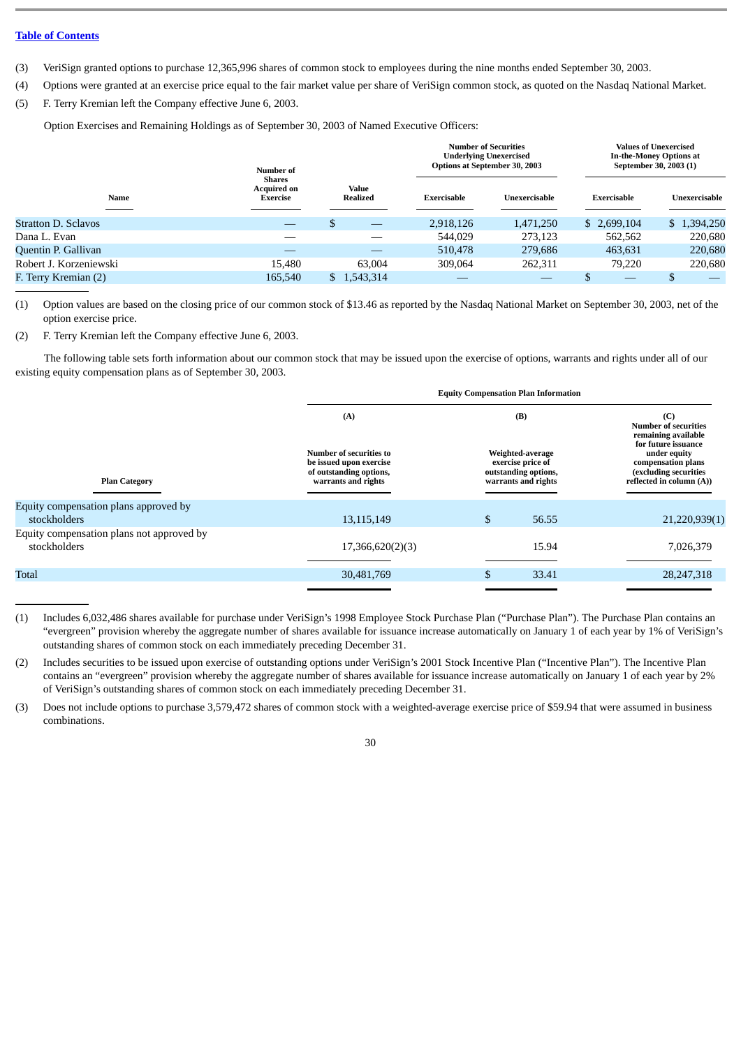- (3) VeriSign granted options to purchase 12,365,996 shares of common stock to employees during the nine months ended September 30, 2003.
- (4) Options were granted at an exercise price equal to the fair market value per share of VeriSign common stock, as quoted on the Nasdaq National Market.
- (5) F. Terry Kremian left the Company effective June 6, 2003.

Option Exercises and Remaining Holdings as of September 30, 2003 of Named Executive Officers:

|                        | Number of                                       |                   |             | <b>Number of Securities</b><br><b>Underlying Unexercised</b><br><b>Options at September 30, 2003</b> | <b>Values of Unexercised</b><br><b>In-the-Money Options at</b><br>September 30, 2003 (1) |               |
|------------------------|-------------------------------------------------|-------------------|-------------|------------------------------------------------------------------------------------------------------|------------------------------------------------------------------------------------------|---------------|
| Name                   | Shares<br><b>Acquired on</b><br><b>Exercise</b> | Value<br>Realized | Exercisable | Unexercisable                                                                                        | Exercisable                                                                              | Unexercisable |
| Stratton D. Sclavos    |                                                 | S                 | 2,918,126   | 1,471,250                                                                                            | \$2,699,104                                                                              | \$1,394,250   |
| Dana L. Evan           |                                                 |                   | 544,029     | 273,123                                                                                              | 562,562                                                                                  | 220,680       |
| Quentin P. Gallivan    |                                                 |                   | 510,478     | 279,686                                                                                              | 463,631                                                                                  | 220,680       |
| Robert J. Korzeniewski | 15.480                                          | 63.004            | 309.064     | 262,311                                                                                              | 79.220                                                                                   | 220,680       |
| F. Terry Kremian (2)   | 165.540                                         | 1,543,314<br>S.   |             |                                                                                                      |                                                                                          |               |

(1) Option values are based on the closing price of our common stock of \$13.46 as reported by the Nasdaq National Market on September 30, 2003, net of the option exercise price.

(2) F. Terry Kremian left the Company effective June 6, 2003.

The following table sets forth information about our common stock that may be issued upon the exercise of options, warrants and rights under all of our existing equity compensation plans as of September 30, 2003.

|                                                           |                                                                                             | <b>Equity Compensation Plan Information</b>                          |                     |                                                                                                                                                 |  |  |  |
|-----------------------------------------------------------|---------------------------------------------------------------------------------------------|----------------------------------------------------------------------|---------------------|-------------------------------------------------------------------------------------------------------------------------------------------------|--|--|--|
|                                                           | (A)<br><b>Number of securities to</b><br>be issued upon exercise<br>of outstanding options, | (B)<br>Weighted-average<br>exercise price of<br>outstanding options, |                     | (C)<br><b>Number of securities</b><br>remaining available<br>for future issuance<br>under equity<br>compensation plans<br>(excluding securities |  |  |  |
| <b>Plan Category</b>                                      | warrants and rights                                                                         |                                                                      | warrants and rights | reflected in column (A))                                                                                                                        |  |  |  |
| Equity compensation plans approved by                     |                                                                                             |                                                                      |                     |                                                                                                                                                 |  |  |  |
| stockholders                                              | 13,115,149                                                                                  | \$                                                                   | 56.55               | 21,220,939(1)                                                                                                                                   |  |  |  |
| Equity compensation plans not approved by<br>stockholders | 17,366,620(2)(3)                                                                            |                                                                      | 15.94               | 7,026,379                                                                                                                                       |  |  |  |
| <b>Total</b>                                              | 30,481,769                                                                                  | \$                                                                   | 33.41               | 28,247,318                                                                                                                                      |  |  |  |
|                                                           |                                                                                             |                                                                      |                     |                                                                                                                                                 |  |  |  |

<sup>(1)</sup> Includes 6,032,486 shares available for purchase under VeriSign's 1998 Employee Stock Purchase Plan ("Purchase Plan"). The Purchase Plan contains an "evergreen" provision whereby the aggregate number of shares available for issuance increase automatically on January 1 of each year by 1% of VeriSign's outstanding shares of common stock on each immediately preceding December 31.

(3) Does not include options to purchase 3,579,472 shares of common stock with a weighted-average exercise price of \$59.94 that were assumed in business combinations.

<sup>(2)</sup> Includes securities to be issued upon exercise of outstanding options under VeriSign's 2001 Stock Incentive Plan ("Incentive Plan"). The Incentive Plan contains an "evergreen" provision whereby the aggregate number of shares available for issuance increase automatically on January 1 of each year by 2% of VeriSign's outstanding shares of common stock on each immediately preceding December 31.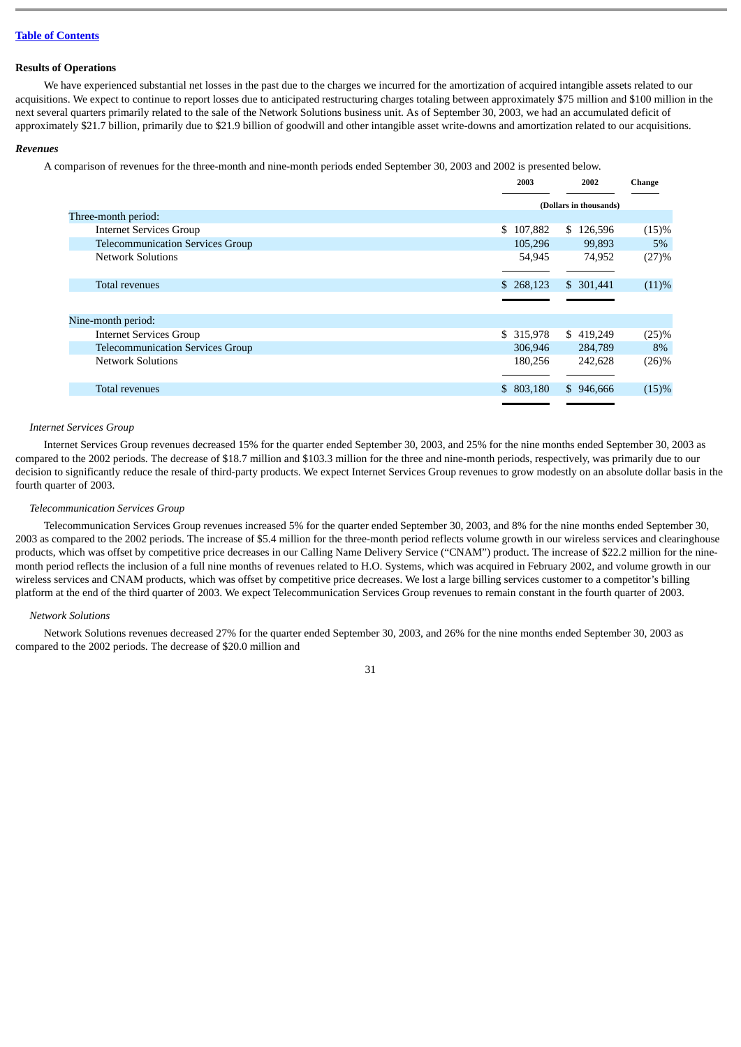#### **Results of Operations**

We have experienced substantial net losses in the past due to the charges we incurred for the amortization of acquired intangible assets related to our acquisitions. We expect to continue to report losses due to anticipated restructuring charges totaling between approximately \$75 million and \$100 million in the next several quarters primarily related to the sale of the Network Solutions business unit. As of September 30, 2003, we had an accumulated deficit of approximately \$21.7 billion, primarily due to \$21.9 billion of goodwill and other intangible asset write-downs and amortization related to our acquisitions.

#### *Revenues*

A comparison of revenues for the three-month and nine-month periods ended September 30, 2003 and 2002 is presented below.

|                                         | 2003                   | 2002          | Change   |
|-----------------------------------------|------------------------|---------------|----------|
|                                         | (Dollars in thousands) |               |          |
| Three-month period:                     |                        |               |          |
| <b>Internet Services Group</b>          | \$<br>107,882          | \$<br>126,596 | (15)%    |
| <b>Telecommunication Services Group</b> | 105,296                | 99,893        | $5\%$    |
| <b>Network Solutions</b>                | 54,945                 | 74,952        | (27)%    |
|                                         |                        |               |          |
| Total revenues                          | \$268,123              | \$ 301,441    | (11)%    |
|                                         |                        |               |          |
| Nine-month period:                      |                        |               |          |
| <b>Internet Services Group</b>          | \$ 315,978             | \$419,249     | (25)%    |
| <b>Telecommunication Services Group</b> | 306,946                | 284,789       | 8%       |
| Network Solutions                       | 180,256                | 242,628       | $(26)\%$ |
|                                         |                        |               |          |
| Total revenues                          | \$ 803,180             | \$946,666     | (15)%    |
|                                         |                        |               |          |

#### *Internet Services Group*

Internet Services Group revenues decreased 15% for the quarter ended September 30, 2003, and 25% for the nine months ended September 30, 2003 as compared to the 2002 periods. The decrease of \$18.7 million and \$103.3 million for the three and nine-month periods, respectively, was primarily due to our decision to significantly reduce the resale of third-party products. We expect Internet Services Group revenues to grow modestly on an absolute dollar basis in the fourth quarter of 2003.

#### *Telecommunication Services Group*

Telecommunication Services Group revenues increased 5% for the quarter ended September 30, 2003, and 8% for the nine months ended September 30, 2003 as compared to the 2002 periods. The increase of \$5.4 million for the three-month period reflects volume growth in our wireless services and clearinghouse products, which was offset by competitive price decreases in our Calling Name Delivery Service ("CNAM") product. The increase of \$22.2 million for the ninemonth period reflects the inclusion of a full nine months of revenues related to H.O. Systems, which was acquired in February 2002, and volume growth in our wireless services and CNAM products, which was offset by competitive price decreases. We lost a large billing services customer to a competitor's billing platform at the end of the third quarter of 2003. We expect Telecommunication Services Group revenues to remain constant in the fourth quarter of 2003.

#### *Network Solutions*

Network Solutions revenues decreased 27% for the quarter ended September 30, 2003, and 26% for the nine months ended September 30, 2003 as compared to the 2002 periods. The decrease of \$20.0 million and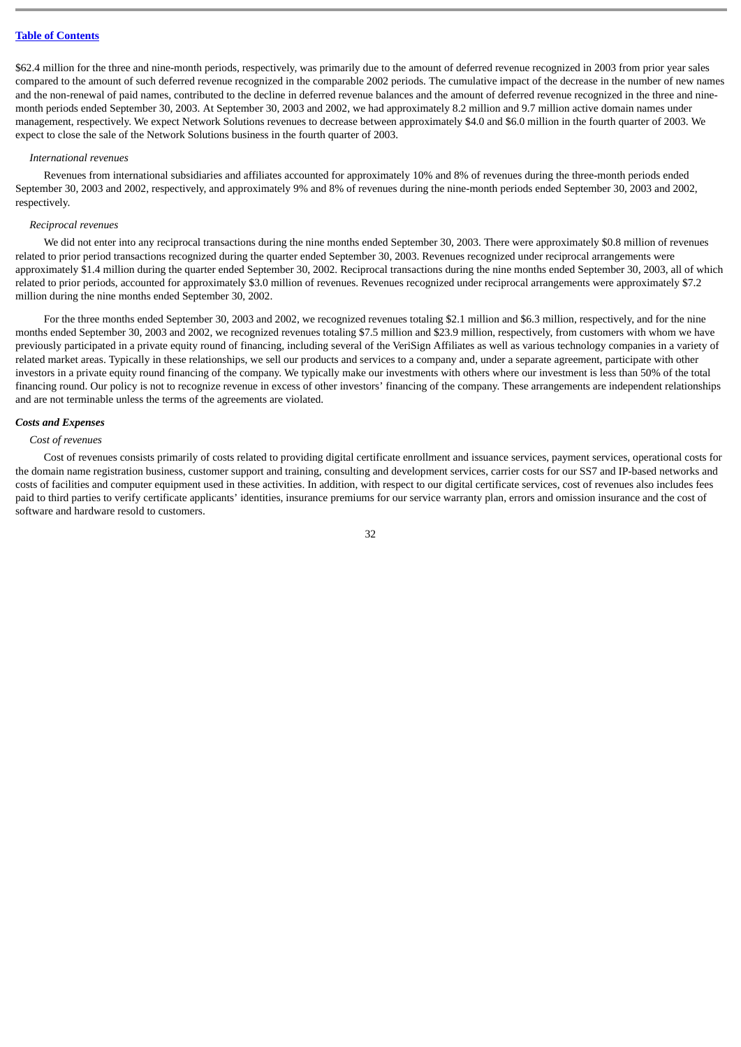\$62.4 million for the three and nine-month periods, respectively, was primarily due to the amount of deferred revenue recognized in 2003 from prior year sales compared to the amount of such deferred revenue recognized in the comparable 2002 periods. The cumulative impact of the decrease in the number of new names and the non-renewal of paid names, contributed to the decline in deferred revenue balances and the amount of deferred revenue recognized in the three and ninemonth periods ended September 30, 2003. At September 30, 2003 and 2002, we had approximately 8.2 million and 9.7 million active domain names under management, respectively. We expect Network Solutions revenues to decrease between approximately \$4.0 and \$6.0 million in the fourth quarter of 2003. We expect to close the sale of the Network Solutions business in the fourth quarter of 2003.

#### *International revenues*

Revenues from international subsidiaries and affiliates accounted for approximately 10% and 8% of revenues during the three-month periods ended September 30, 2003 and 2002, respectively, and approximately 9% and 8% of revenues during the nine-month periods ended September 30, 2003 and 2002, respectively.

#### *Reciprocal revenues*

We did not enter into any reciprocal transactions during the nine months ended September 30, 2003. There were approximately \$0.8 million of revenues related to prior period transactions recognized during the quarter ended September 30, 2003. Revenues recognized under reciprocal arrangements were approximately \$1.4 million during the quarter ended September 30, 2002. Reciprocal transactions during the nine months ended September 30, 2003, all of which related to prior periods, accounted for approximately \$3.0 million of revenues. Revenues recognized under reciprocal arrangements were approximately \$7.2 million during the nine months ended September 30, 2002.

For the three months ended September 30, 2003 and 2002, we recognized revenues totaling \$2.1 million and \$6.3 million, respectively, and for the nine months ended September 30, 2003 and 2002, we recognized revenues totaling \$7.5 million and \$23.9 million, respectively, from customers with whom we have previously participated in a private equity round of financing, including several of the VeriSign Affiliates as well as various technology companies in a variety of related market areas. Typically in these relationships, we sell our products and services to a company and, under a separate agreement, participate with other investors in a private equity round financing of the company. We typically make our investments with others where our investment is less than 50% of the total financing round. Our policy is not to recognize revenue in excess of other investors' financing of the company. These arrangements are independent relationships and are not terminable unless the terms of the agreements are violated.

#### *Costs and Expenses*

#### *Cost of revenues*

Cost of revenues consists primarily of costs related to providing digital certificate enrollment and issuance services, payment services, operational costs for the domain name registration business, customer support and training, consulting and development services, carrier costs for our SS7 and IP-based networks and costs of facilities and computer equipment used in these activities. In addition, with respect to our digital certificate services, cost of revenues also includes fees paid to third parties to verify certificate applicants' identities, insurance premiums for our service warranty plan, errors and omission insurance and the cost of software and hardware resold to customers.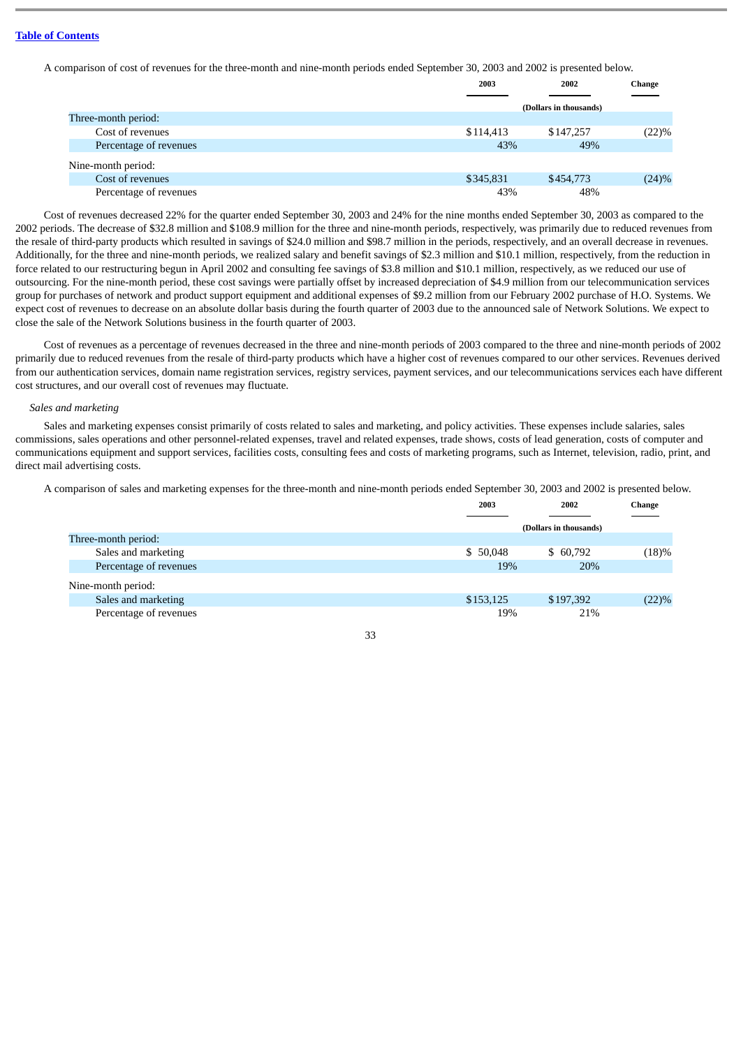A comparison of cost of revenues for the three-month and nine-month periods ended September 30, 2003 and 2002 is presented below.

|                        | 2003      | 2002                   | Change |
|------------------------|-----------|------------------------|--------|
|                        |           | (Dollars in thousands) |        |
| Three-month period:    |           |                        |        |
| Cost of revenues       | \$114,413 | \$147,257              | (22)%  |
| Percentage of revenues | 43%       | 49%                    |        |
| Nine-month period:     |           |                        |        |
| Cost of revenues       | \$345,831 | \$454,773              | (24)%  |
| Percentage of revenues | 43%       | 48%                    |        |

Cost of revenues decreased 22% for the quarter ended September 30, 2003 and 24% for the nine months ended September 30, 2003 as compared to the 2002 periods. The decrease of \$32.8 million and \$108.9 million for the three and nine-month periods, respectively, was primarily due to reduced revenues from the resale of third-party products which resulted in savings of \$24.0 million and \$98.7 million in the periods, respectively, and an overall decrease in revenues. Additionally, for the three and nine-month periods, we realized salary and benefit savings of \$2.3 million and \$10.1 million, respectively, from the reduction in force related to our restructuring begun in April 2002 and consulting fee savings of \$3.8 million and \$10.1 million, respectively, as we reduced our use of outsourcing. For the nine-month period, these cost savings were partially offset by increased depreciation of \$4.9 million from our telecommunication services group for purchases of network and product support equipment and additional expenses of \$9.2 million from our February 2002 purchase of H.O. Systems. We expect cost of revenues to decrease on an absolute dollar basis during the fourth quarter of 2003 due to the announced sale of Network Solutions. We expect to close the sale of the Network Solutions business in the fourth quarter of 2003.

Cost of revenues as a percentage of revenues decreased in the three and nine-month periods of 2003 compared to the three and nine-month periods of 2002 primarily due to reduced revenues from the resale of third-party products which have a higher cost of revenues compared to our other services. Revenues derived from our authentication services, domain name registration services, registry services, payment services, and our telecommunications services each have different cost structures, and our overall cost of revenues may fluctuate.

#### *Sales and marketing*

Sales and marketing expenses consist primarily of costs related to sales and marketing, and policy activities. These expenses include salaries, sales commissions, sales operations and other personnel-related expenses, travel and related expenses, trade shows, costs of lead generation, costs of computer and communications equipment and support services, facilities costs, consulting fees and costs of marketing programs, such as Internet, television, radio, print, and direct mail advertising costs.

A comparison of sales and marketing expenses for the three-month and nine-month periods ended September 30, 2003 and 2002 is presented below.

|                        | 2003      | 2002                   | Change |
|------------------------|-----------|------------------------|--------|
|                        |           | (Dollars in thousands) |        |
| Three-month period:    |           |                        |        |
| Sales and marketing    | \$50,048  | \$ 60,792              | (18)%  |
| Percentage of revenues | 19%       | 20%                    |        |
| Nine-month period:     |           |                        |        |
| Sales and marketing    | \$153,125 | \$197,392              | (22)%  |
| Percentage of revenues | 19%       | 21%                    |        |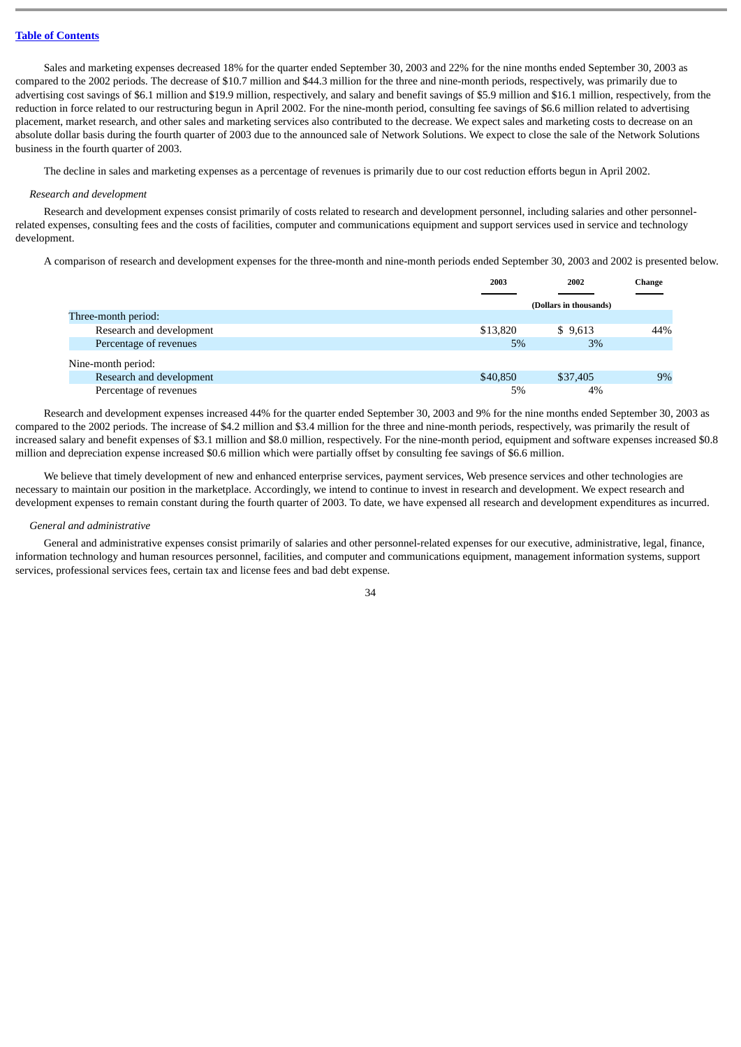Sales and marketing expenses decreased 18% for the quarter ended September 30, 2003 and 22% for the nine months ended September 30, 2003 as compared to the 2002 periods. The decrease of \$10.7 million and \$44.3 million for the three and nine-month periods, respectively, was primarily due to advertising cost savings of \$6.1 million and \$19.9 million, respectively, and salary and benefit savings of \$5.9 million and \$16.1 million, respectively, from the reduction in force related to our restructuring begun in April 2002. For the nine-month period, consulting fee savings of \$6.6 million related to advertising placement, market research, and other sales and marketing services also contributed to the decrease. We expect sales and marketing costs to decrease on an absolute dollar basis during the fourth quarter of 2003 due to the announced sale of Network Solutions. We expect to close the sale of the Network Solutions business in the fourth quarter of 2003.

The decline in sales and marketing expenses as a percentage of revenues is primarily due to our cost reduction efforts begun in April 2002.

#### *Research and development*

Research and development expenses consist primarily of costs related to research and development personnel, including salaries and other personnelrelated expenses, consulting fees and the costs of facilities, computer and communications equipment and support services used in service and technology development.

A comparison of research and development expenses for the three-month and nine-month periods ended September 30, 2003 and 2002 is presented below.

|                          | 2003     | 2002                   | Change |
|--------------------------|----------|------------------------|--------|
|                          |          | (Dollars in thousands) |        |
| Three-month period:      |          |                        |        |
| Research and development | \$13,820 | \$9,613                | 44%    |
| Percentage of revenues   | 5%       | 3%                     |        |
| Nine-month period:       |          |                        |        |
| Research and development | \$40,850 | \$37,405               | 9%     |
| Percentage of revenues   | 5%       | 4%                     |        |

Research and development expenses increased 44% for the quarter ended September 30, 2003 and 9% for the nine months ended September 30, 2003 as compared to the 2002 periods. The increase of \$4.2 million and \$3.4 million for the three and nine-month periods, respectively, was primarily the result of increased salary and benefit expenses of \$3.1 million and \$8.0 million, respectively. For the nine-month period, equipment and software expenses increased \$0.8 million and depreciation expense increased \$0.6 million which were partially offset by consulting fee savings of \$6.6 million.

We believe that timely development of new and enhanced enterprise services, payment services, Web presence services and other technologies are necessary to maintain our position in the marketplace. Accordingly, we intend to continue to invest in research and development. We expect research and development expenses to remain constant during the fourth quarter of 2003. To date, we have expensed all research and development expenditures as incurred.

#### *General and administrative*

General and administrative expenses consist primarily of salaries and other personnel-related expenses for our executive, administrative, legal, finance, information technology and human resources personnel, facilities, and computer and communications equipment, management information systems, support services, professional services fees, certain tax and license fees and bad debt expense.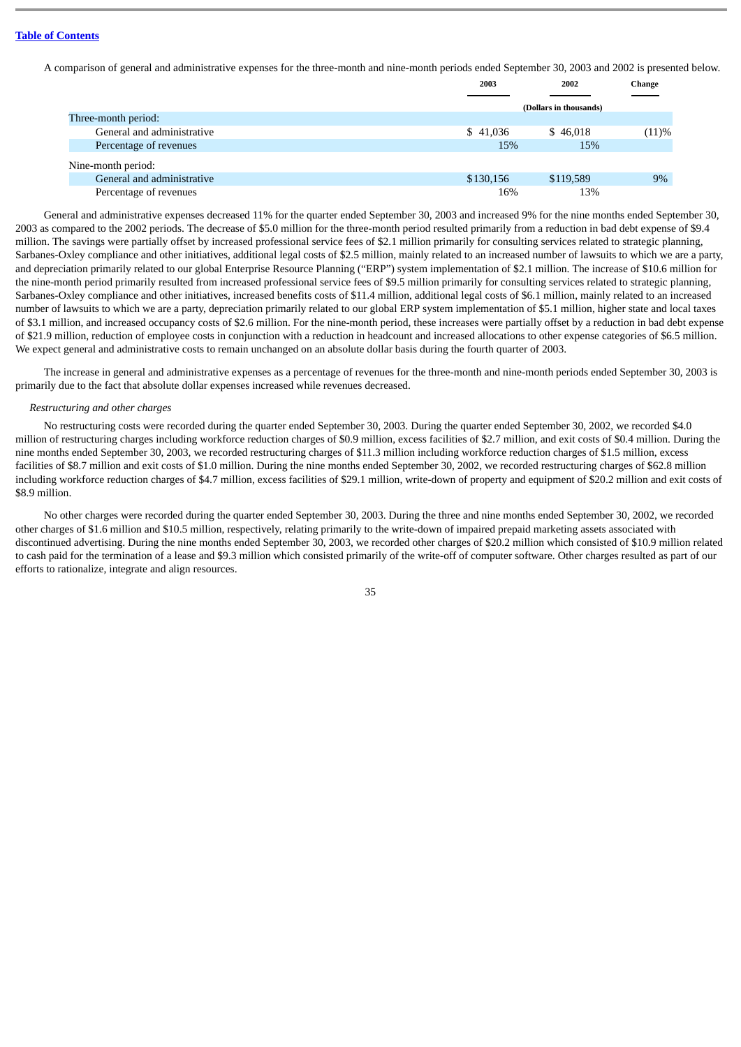A comparison of general and administrative expenses for the three-month and nine-month periods ended September 30, 2003 and 2002 is presented below.

|                            | 2003      | 2002                   | Change |
|----------------------------|-----------|------------------------|--------|
|                            |           |                        |        |
|                            |           | (Dollars in thousands) |        |
| Three-month period:        |           |                        |        |
| General and administrative | \$41,036  | \$46,018               | (11)%  |
| Percentage of revenues     | 15%       | 15%                    |        |
| Nine-month period:         |           |                        |        |
| General and administrative | \$130,156 | \$119,589              | 9%     |
| Percentage of revenues     | 16%       | 13%                    |        |

General and administrative expenses decreased 11% for the quarter ended September 30, 2003 and increased 9% for the nine months ended September 30, 2003 as compared to the 2002 periods. The decrease of \$5.0 million for the three-month period resulted primarily from a reduction in bad debt expense of \$9.4 million. The savings were partially offset by increased professional service fees of \$2.1 million primarily for consulting services related to strategic planning, Sarbanes-Oxley compliance and other initiatives, additional legal costs of \$2.5 million, mainly related to an increased number of lawsuits to which we are a party, and depreciation primarily related to our global Enterprise Resource Planning ("ERP") system implementation of \$2.1 million. The increase of \$10.6 million for the nine-month period primarily resulted from increased professional service fees of \$9.5 million primarily for consulting services related to strategic planning, Sarbanes-Oxley compliance and other initiatives, increased benefits costs of \$11.4 million, additional legal costs of \$6.1 million, mainly related to an increased number of lawsuits to which we are a party, depreciation primarily related to our global ERP system implementation of \$5.1 million, higher state and local taxes of \$3.1 million, and increased occupancy costs of \$2.6 million. For the nine-month period, these increases were partially offset by a reduction in bad debt expense of \$21.9 million, reduction of employee costs in conjunction with a reduction in headcount and increased allocations to other expense categories of \$6.5 million. We expect general and administrative costs to remain unchanged on an absolute dollar basis during the fourth quarter of 2003.

The increase in general and administrative expenses as a percentage of revenues for the three-month and nine-month periods ended September 30, 2003 is primarily due to the fact that absolute dollar expenses increased while revenues decreased.

#### *Restructuring and other charges*

No restructuring costs were recorded during the quarter ended September 30, 2003. During the quarter ended September 30, 2002, we recorded \$4.0 million of restructuring charges including workforce reduction charges of \$0.9 million, excess facilities of \$2.7 million, and exit costs of \$0.4 million. During the nine months ended September 30, 2003, we recorded restructuring charges of \$11.3 million including workforce reduction charges of \$1.5 million, excess facilities of \$8.7 million and exit costs of \$1.0 million. During the nine months ended September 30, 2002, we recorded restructuring charges of \$62.8 million including workforce reduction charges of \$4.7 million, excess facilities of \$29.1 million, write-down of property and equipment of \$20.2 million and exit costs of \$8.9 million.

No other charges were recorded during the quarter ended September 30, 2003. During the three and nine months ended September 30, 2002, we recorded other charges of \$1.6 million and \$10.5 million, respectively, relating primarily to the write-down of impaired prepaid marketing assets associated with discontinued advertising. During the nine months ended September 30, 2003, we recorded other charges of \$20.2 million which consisted of \$10.9 million related to cash paid for the termination of a lease and \$9.3 million which consisted primarily of the write-off of computer software. Other charges resulted as part of our efforts to rationalize, integrate and align resources.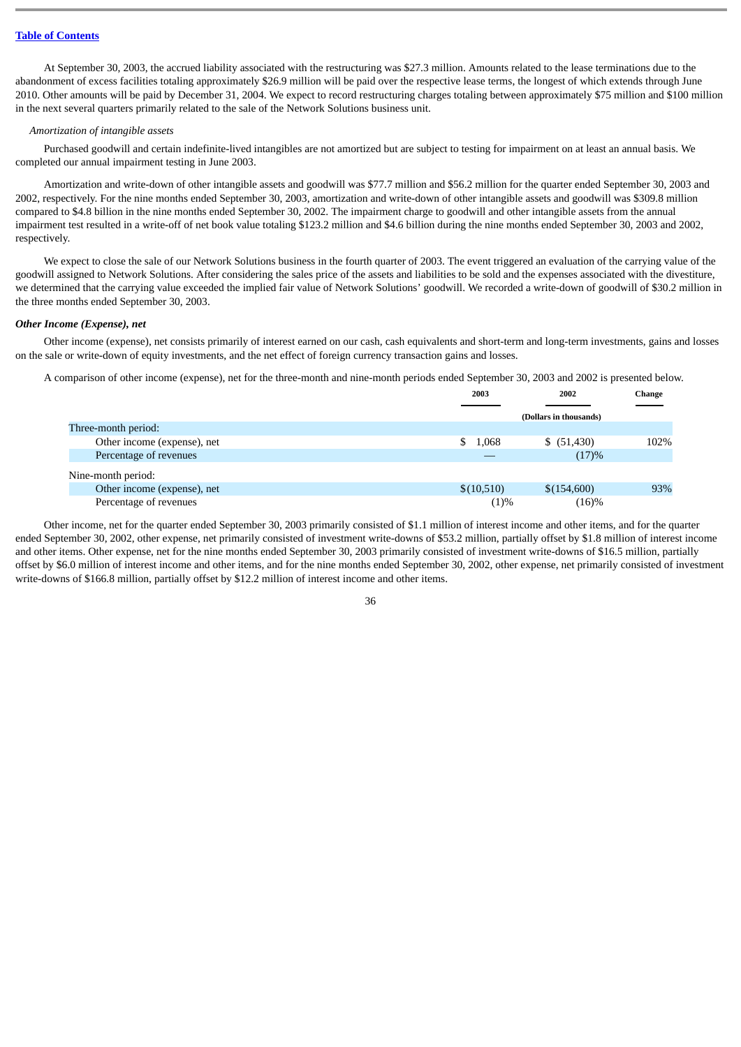At September 30, 2003, the accrued liability associated with the restructuring was \$27.3 million. Amounts related to the lease terminations due to the abandonment of excess facilities totaling approximately \$26.9 million will be paid over the respective lease terms, the longest of which extends through June 2010. Other amounts will be paid by December 31, 2004. We expect to record restructuring charges totaling between approximately \$75 million and \$100 million in the next several quarters primarily related to the sale of the Network Solutions business unit.

#### *Amortization of intangible assets*

Purchased goodwill and certain indefinite-lived intangibles are not amortized but are subject to testing for impairment on at least an annual basis. We completed our annual impairment testing in June 2003.

Amortization and write-down of other intangible assets and goodwill was \$77.7 million and \$56.2 million for the quarter ended September 30, 2003 and 2002, respectively. For the nine months ended September 30, 2003, amortization and write-down of other intangible assets and goodwill was \$309.8 million compared to \$4.8 billion in the nine months ended September 30, 2002. The impairment charge to goodwill and other intangible assets from the annual impairment test resulted in a write-off of net book value totaling \$123.2 million and \$4.6 billion during the nine months ended September 30, 2003 and 2002, respectively.

We expect to close the sale of our Network Solutions business in the fourth quarter of 2003. The event triggered an evaluation of the carrying value of the goodwill assigned to Network Solutions. After considering the sales price of the assets and liabilities to be sold and the expenses associated with the divestiture, we determined that the carrying value exceeded the implied fair value of Network Solutions' goodwill. We recorded a write-down of goodwill of \$30.2 million in the three months ended September 30, 2003.

#### *Other Income (Expense), net*

Other income (expense), net consists primarily of interest earned on our cash, cash equivalents and short-term and long-term investments, gains and losses on the sale or write-down of equity investments, and the net effect of foreign currency transaction gains and losses.

A comparison of other income (expense), net for the three-month and nine-month periods ended September 30, 2003 and 2002 is presented below.

|                             | 2003       | 2002                   | Change |
|-----------------------------|------------|------------------------|--------|
|                             |            | (Dollars in thousands) |        |
| Three-month period:         |            |                        |        |
| Other income (expense), net | 1,068<br>S | \$ (51,430)            | 102%   |
| Percentage of revenues      |            | (17)%                  |        |
| Nine-month period:          |            |                        |        |
| Other income (expense), net | \$(10,510) | \$(154,600)            | 93%    |
| Percentage of revenues      | (1)%       | (16)%                  |        |

Other income, net for the quarter ended September 30, 2003 primarily consisted of \$1.1 million of interest income and other items, and for the quarter ended September 30, 2002, other expense, net primarily consisted of investment write-downs of \$53.2 million, partially offset by \$1.8 million of interest income and other items. Other expense, net for the nine months ended September 30, 2003 primarily consisted of investment write-downs of \$16.5 million, partially offset by \$6.0 million of interest income and other items, and for the nine months ended September 30, 2002, other expense, net primarily consisted of investment write-downs of \$166.8 million, partially offset by \$12.2 million of interest income and other items.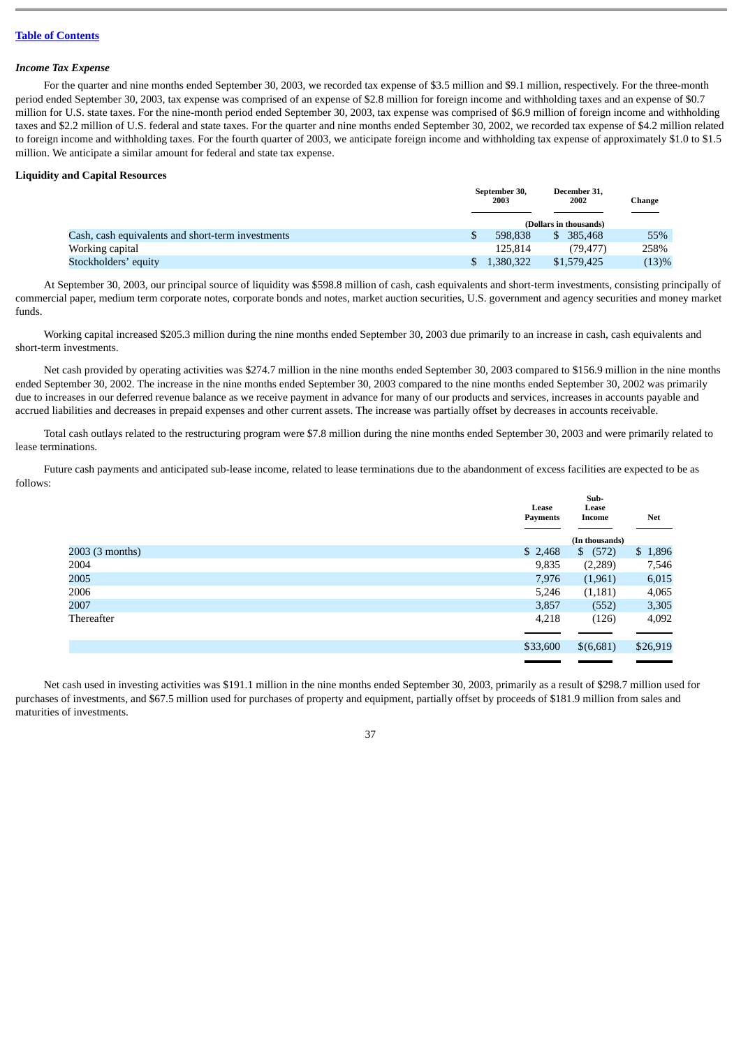#### *Income Tax Expense*

For the quarter and nine months ended September 30, 2003, we recorded tax expense of \$3.5 million and \$9.1 million, respectively. For the three-month period ended September 30, 2003, tax expense was comprised of an expense of \$2.8 million for foreign income and withholding taxes and an expense of \$0.7 million for U.S. state taxes. For the nine-month period ended September 30, 2003, tax expense was comprised of \$6.9 million of foreign income and withholding taxes and \$2.2 million of U.S. federal and state taxes. For the quarter and nine months ended September 30, 2002, we recorded tax expense of \$4.2 million related to foreign income and withholding taxes. For the fourth quarter of 2003, we anticipate foreign income and withholding tax expense of approximately \$1.0 to \$1.5 million. We anticipate a similar amount for federal and state tax expense.

## **Liquidity and Capital Resources**

|                                                   | September 30,<br>2003 | December 31,<br>2002   | Change |
|---------------------------------------------------|-----------------------|------------------------|--------|
|                                                   |                       | (Dollars in thousands) |        |
| Cash, cash equivalents and short-term investments | 598.838               | 385,468                | 55%    |
| Working capital                                   | 125.814               | (79.477)               | 258%   |
| Stockholders' equity                              | 1,380,322             | \$1,579,425            | (13)%  |

At September 30, 2003, our principal source of liquidity was \$598.8 million of cash, cash equivalents and short-term investments, consisting principally of commercial paper, medium term corporate notes, corporate bonds and notes, market auction securities, U.S. government and agency securities and money market funds.

Working capital increased \$205.3 million during the nine months ended September 30, 2003 due primarily to an increase in cash, cash equivalents and short-term investments.

Net cash provided by operating activities was \$274.7 million in the nine months ended September 30, 2003 compared to \$156.9 million in the nine months ended September 30, 2002. The increase in the nine months ended September 30, 2003 compared to the nine months ended September 30, 2002 was primarily due to increases in our deferred revenue balance as we receive payment in advance for many of our products and services, increases in accounts payable and accrued liabilities and decreases in prepaid expenses and other current assets. The increase was partially offset by decreases in accounts receivable.

Total cash outlays related to the restructuring program were \$7.8 million during the nine months ended September 30, 2003 and were primarily related to lease terminations.

Future cash payments and anticipated sub-lease income, related to lease terminations due to the abandonment of excess facilities are expected to be as follows:

|                 | Lease<br><b>Payments</b> | Sub-<br>Lease<br>Income<br>(In thousands) | Net      |
|-----------------|--------------------------|-------------------------------------------|----------|
| 2003 (3 months) | \$2,468                  | (572)<br>\$                               | \$1,896  |
| 2004            | 9,835                    | (2,289)                                   | 7,546    |
| 2005            | 7,976                    | (1,961)                                   | 6,015    |
| 2006            | 5,246                    | (1, 181)                                  | 4,065    |
| 2007            | 3,857                    | (552)                                     | 3,305    |
| Thereafter      | 4,218                    | (126)                                     | 4,092    |
|                 | \$33,600                 | \$(6,681)                                 | \$26,919 |

Net cash used in investing activities was \$191.1 million in the nine months ended September 30, 2003, primarily as a result of \$298.7 million used for purchases of investments, and \$67.5 million used for purchases of property and equipment, partially offset by proceeds of \$181.9 million from sales and maturities of investments.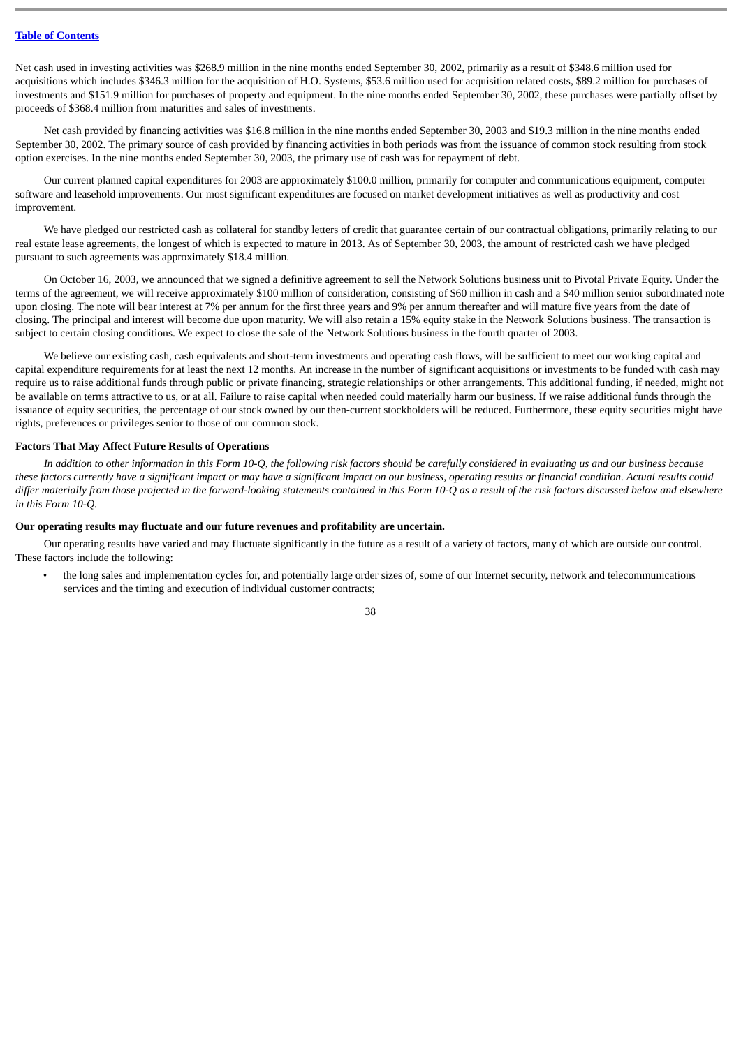Net cash used in investing activities was \$268.9 million in the nine months ended September 30, 2002, primarily as a result of \$348.6 million used for acquisitions which includes \$346.3 million for the acquisition of H.O. Systems, \$53.6 million used for acquisition related costs, \$89.2 million for purchases of investments and \$151.9 million for purchases of property and equipment. In the nine months ended September 30, 2002, these purchases were partially offset by proceeds of \$368.4 million from maturities and sales of investments.

Net cash provided by financing activities was \$16.8 million in the nine months ended September 30, 2003 and \$19.3 million in the nine months ended September 30, 2002. The primary source of cash provided by financing activities in both periods was from the issuance of common stock resulting from stock option exercises. In the nine months ended September 30, 2003, the primary use of cash was for repayment of debt.

Our current planned capital expenditures for 2003 are approximately \$100.0 million, primarily for computer and communications equipment, computer software and leasehold improvements. Our most significant expenditures are focused on market development initiatives as well as productivity and cost improvement.

We have pledged our restricted cash as collateral for standby letters of credit that guarantee certain of our contractual obligations, primarily relating to our real estate lease agreements, the longest of which is expected to mature in 2013. As of September 30, 2003, the amount of restricted cash we have pledged pursuant to such agreements was approximately \$18.4 million.

On October 16, 2003, we announced that we signed a definitive agreement to sell the Network Solutions business unit to Pivotal Private Equity. Under the terms of the agreement, we will receive approximately \$100 million of consideration, consisting of \$60 million in cash and a \$40 million senior subordinated note upon closing. The note will bear interest at 7% per annum for the first three years and 9% per annum thereafter and will mature five years from the date of closing. The principal and interest will become due upon maturity. We will also retain a 15% equity stake in the Network Solutions business. The transaction is subject to certain closing conditions. We expect to close the sale of the Network Solutions business in the fourth quarter of 2003.

We believe our existing cash, cash equivalents and short-term investments and operating cash flows, will be sufficient to meet our working capital and capital expenditure requirements for at least the next 12 months. An increase in the number of significant acquisitions or investments to be funded with cash may require us to raise additional funds through public or private financing, strategic relationships or other arrangements. This additional funding, if needed, might not be available on terms attractive to us, or at all. Failure to raise capital when needed could materially harm our business. If we raise additional funds through the issuance of equity securities, the percentage of our stock owned by our then-current stockholders will be reduced. Furthermore, these equity securities might have rights, preferences or privileges senior to those of our common stock.

#### **Factors That May Affect Future Results of Operations**

*In addition to other information in this Form 10-Q, the following risk factors should be carefully considered in evaluating us and our business because these factors currently have a significant impact or may have a significant impact on our business, operating results or financial condition. Actual results could differ materially from those projected in the forward-looking statements contained in this Form 10-Q as a result of the risk factors discussed below and elsewhere in this Form 10-Q.*

#### **Our operating results may fluctuate and our future revenues and profitability are uncertain.**

Our operating results have varied and may fluctuate significantly in the future as a result of a variety of factors, many of which are outside our control. These factors include the following:

• the long sales and implementation cycles for, and potentially large order sizes of, some of our Internet security, network and telecommunications services and the timing and execution of individual customer contracts;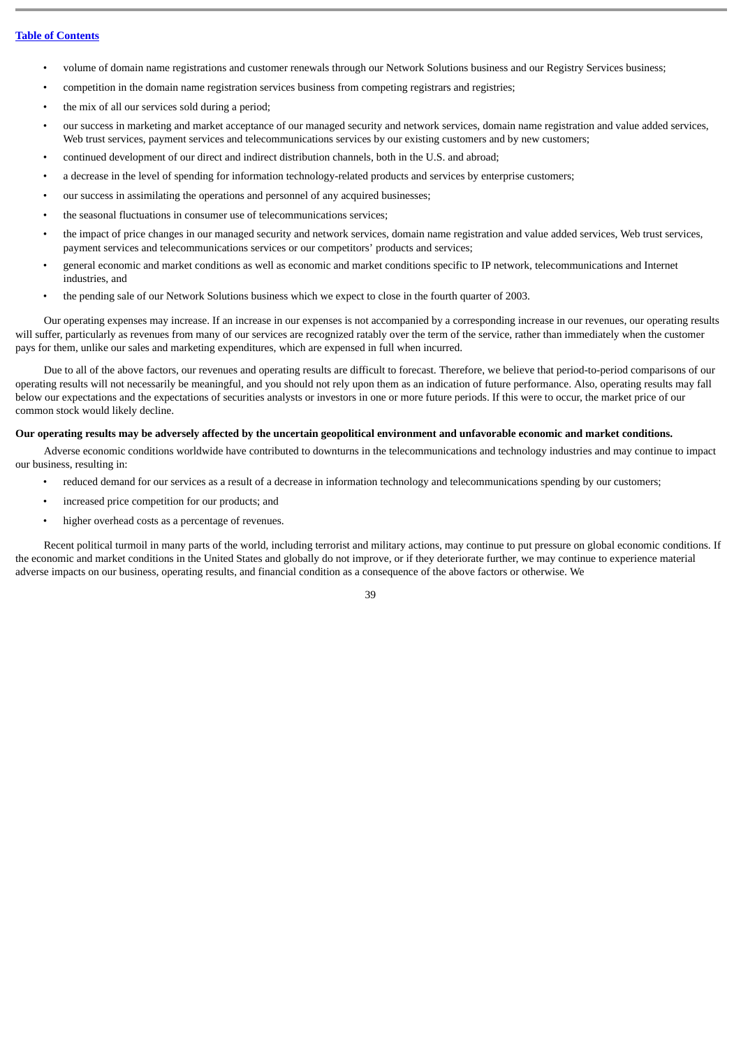- volume of domain name registrations and customer renewals through our Network Solutions business and our Registry Services business;
- competition in the domain name registration services business from competing registrars and registries;
- the mix of all our services sold during a period:
- our success in marketing and market acceptance of our managed security and network services, domain name registration and value added services, Web trust services, payment services and telecommunications services by our existing customers and by new customers;
- continued development of our direct and indirect distribution channels, both in the U.S. and abroad;
- a decrease in the level of spending for information technology-related products and services by enterprise customers;
- our success in assimilating the operations and personnel of any acquired businesses;
- the seasonal fluctuations in consumer use of telecommunications services;
- the impact of price changes in our managed security and network services, domain name registration and value added services, Web trust services, payment services and telecommunications services or our competitors' products and services;
- general economic and market conditions as well as economic and market conditions specific to IP network, telecommunications and Internet industries, and
- the pending sale of our Network Solutions business which we expect to close in the fourth quarter of 2003.

Our operating expenses may increase. If an increase in our expenses is not accompanied by a corresponding increase in our revenues, our operating results will suffer, particularly as revenues from many of our services are recognized ratably over the term of the service, rather than immediately when the customer pays for them, unlike our sales and marketing expenditures, which are expensed in full when incurred.

Due to all of the above factors, our revenues and operating results are difficult to forecast. Therefore, we believe that period-to-period comparisons of our operating results will not necessarily be meaningful, and you should not rely upon them as an indication of future performance. Also, operating results may fall below our expectations and the expectations of securities analysts or investors in one or more future periods. If this were to occur, the market price of our common stock would likely decline.

## **Our operating results may be adversely affected by the uncertain geopolitical environment and unfavorable economic and market conditions.**

Adverse economic conditions worldwide have contributed to downturns in the telecommunications and technology industries and may continue to impact our business, resulting in:

- reduced demand for our services as a result of a decrease in information technology and telecommunications spending by our customers;
- increased price competition for our products; and
- higher overhead costs as a percentage of revenues.

Recent political turmoil in many parts of the world, including terrorist and military actions, may continue to put pressure on global economic conditions. If the economic and market conditions in the United States and globally do not improve, or if they deteriorate further, we may continue to experience material adverse impacts on our business, operating results, and financial condition as a consequence of the above factors or otherwise. We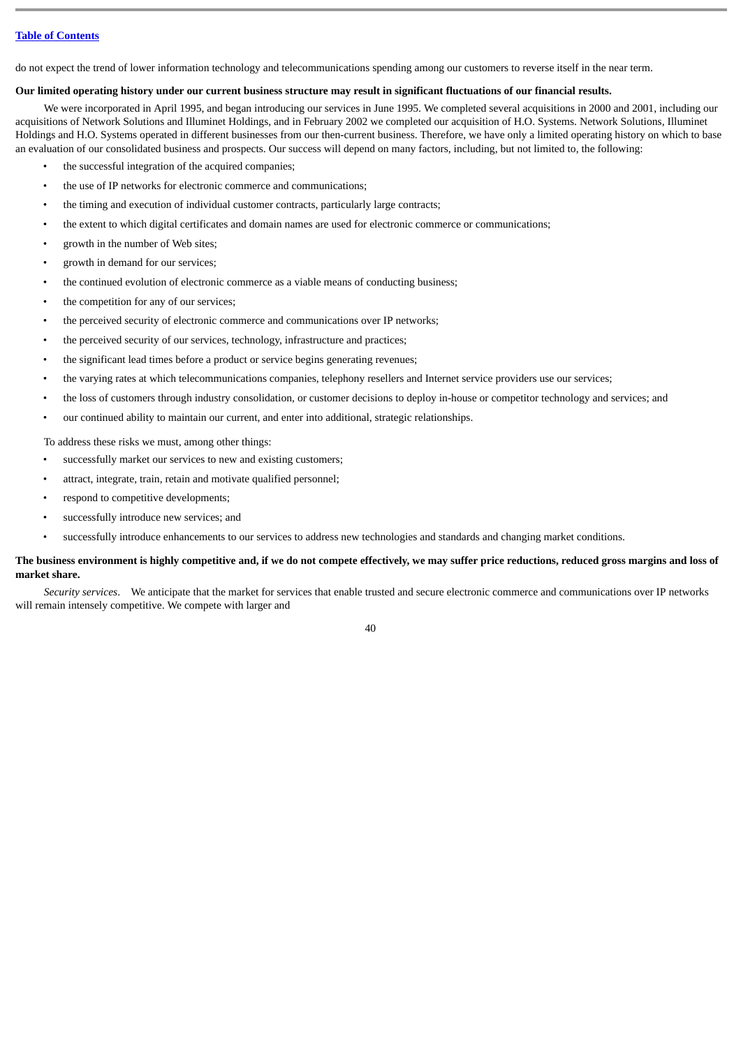do not expect the trend of lower information technology and telecommunications spending among our customers to reverse itself in the near term.

#### **Our limited operating history under our current business structure may result in significant fluctuations of our financial results.**

We were incorporated in April 1995, and began introducing our services in June 1995. We completed several acquisitions in 2000 and 2001, including our acquisitions of Network Solutions and Illuminet Holdings, and in February 2002 we completed our acquisition of H.O. Systems. Network Solutions, Illuminet Holdings and H.O. Systems operated in different businesses from our then-current business. Therefore, we have only a limited operating history on which to base an evaluation of our consolidated business and prospects. Our success will depend on many factors, including, but not limited to, the following:

- the successful integration of the acquired companies;
- the use of IP networks for electronic commerce and communications;
- the timing and execution of individual customer contracts, particularly large contracts;
- the extent to which digital certificates and domain names are used for electronic commerce or communications;
- growth in the number of Web sites;
- growth in demand for our services;
- the continued evolution of electronic commerce as a viable means of conducting business;
- the competition for any of our services;
- the perceived security of electronic commerce and communications over IP networks;
- the perceived security of our services, technology, infrastructure and practices;
- the significant lead times before a product or service begins generating revenues;
- the varying rates at which telecommunications companies, telephony resellers and Internet service providers use our services;
- the loss of customers through industry consolidation, or customer decisions to deploy in-house or competitor technology and services; and
- our continued ability to maintain our current, and enter into additional, strategic relationships.

To address these risks we must, among other things:

- successfully market our services to new and existing customers;
- attract, integrate, train, retain and motivate qualified personnel;
- respond to competitive developments;
- successfully introduce new services; and
- successfully introduce enhancements to our services to address new technologies and standards and changing market conditions.

## **The business environment is highly competitive and, if we do not compete effectively, we may suffer price reductions, reduced gross margins and loss of market share.**

*Security services*. We anticipate that the market for services that enable trusted and secure electronic commerce and communications over IP networks will remain intensely competitive. We compete with larger and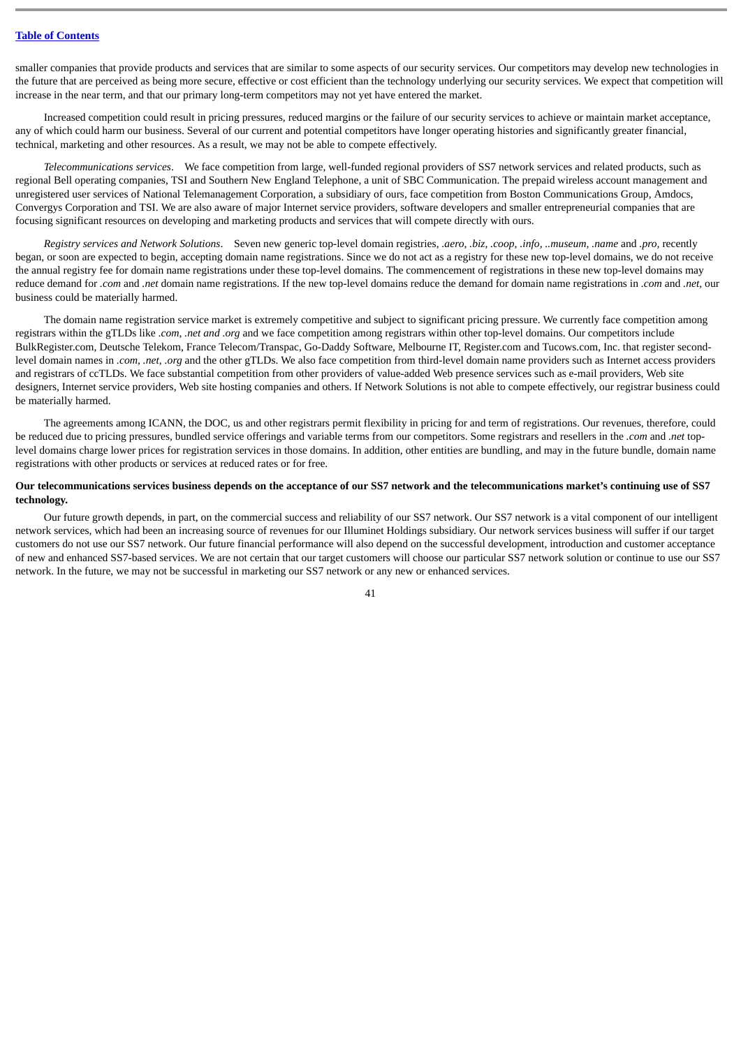smaller companies that provide products and services that are similar to some aspects of our security services. Our competitors may develop new technologies in the future that are perceived as being more secure, effective or cost efficient than the technology underlying our security services. We expect that competition will increase in the near term, and that our primary long-term competitors may not yet have entered the market.

Increased competition could result in pricing pressures, reduced margins or the failure of our security services to achieve or maintain market acceptance, any of which could harm our business. Several of our current and potential competitors have longer operating histories and significantly greater financial, technical, marketing and other resources. As a result, we may not be able to compete effectively.

*Telecommunications services*. We face competition from large, well-funded regional providers of SS7 network services and related products, such as regional Bell operating companies, TSI and Southern New England Telephone, a unit of SBC Communication. The prepaid wireless account management and unregistered user services of National Telemanagement Corporation, a subsidiary of ours, face competition from Boston Communications Group, Amdocs, Convergys Corporation and TSI. We are also aware of major Internet service providers, software developers and smaller entrepreneurial companies that are focusing significant resources on developing and marketing products and services that will compete directly with ours.

*Registry services and Network Solutions*. Seven new generic top-level domain registries, *.aero, .biz, .coop, .info, ..museum, .name* and *.pro,* recently began, or soon are expected to begin, accepting domain name registrations. Since we do not act as a registry for these new top-level domains, we do not receive the annual registry fee for domain name registrations under these top-level domains. The commencement of registrations in these new top-level domains may reduce demand for *.com* and *.net* domain name registrations. If the new top-level domains reduce the demand for domain name registrations in *.com* and *.net*, our business could be materially harmed.

The domain name registration service market is extremely competitive and subject to significant pricing pressure. We currently face competition among registrars within the gTLDs like .*com, .net and .org* and we face competition among registrars within other top-level domains. Our competitors include BulkRegister.com, Deutsche Telekom, France Telecom/Transpac, Go-Daddy Software, Melbourne IT, Register.com and Tucows.com, Inc. that register secondlevel domain names in *.com*, *.net, .org* and the other gTLDs. We also face competition from third-level domain name providers such as Internet access providers and registrars of ccTLDs. We face substantial competition from other providers of value-added Web presence services such as e-mail providers, Web site designers, Internet service providers, Web site hosting companies and others. If Network Solutions is not able to compete effectively, our registrar business could be materially harmed.

The agreements among ICANN, the DOC, us and other registrars permit flexibility in pricing for and term of registrations. Our revenues, therefore, could be reduced due to pricing pressures, bundled service offerings and variable terms from our competitors. Some registrars and resellers in the *.com* and *.net* toplevel domains charge lower prices for registration services in those domains. In addition, other entities are bundling, and may in the future bundle, domain name registrations with other products or services at reduced rates or for free.

## **Our telecommunications services business depends on the acceptance of our SS7 network and the telecommunications market's continuing use of SS7 technology.**

Our future growth depends, in part, on the commercial success and reliability of our SS7 network. Our SS7 network is a vital component of our intelligent network services, which had been an increasing source of revenues for our Illuminet Holdings subsidiary. Our network services business will suffer if our target customers do not use our SS7 network. Our future financial performance will also depend on the successful development, introduction and customer acceptance of new and enhanced SS7-based services. We are not certain that our target customers will choose our particular SS7 network solution or continue to use our SS7 network. In the future, we may not be successful in marketing our SS7 network or any new or enhanced services.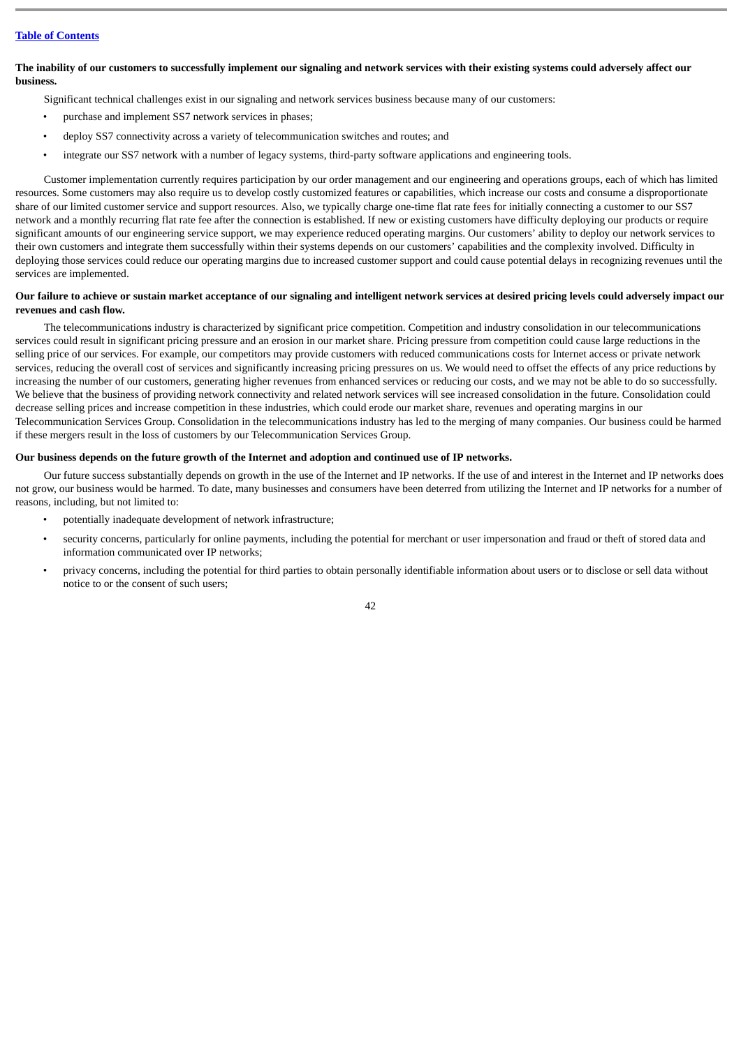## **The inability of our customers to successfully implement our signaling and network services with their existing systems could adversely affect our business.**

Significant technical challenges exist in our signaling and network services business because many of our customers:

- purchase and implement SS7 network services in phases;
- deploy SS7 connectivity across a variety of telecommunication switches and routes; and
- integrate our SS7 network with a number of legacy systems, third-party software applications and engineering tools.

Customer implementation currently requires participation by our order management and our engineering and operations groups, each of which has limited resources. Some customers may also require us to develop costly customized features or capabilities, which increase our costs and consume a disproportionate share of our limited customer service and support resources. Also, we typically charge one-time flat rate fees for initially connecting a customer to our SS7 network and a monthly recurring flat rate fee after the connection is established. If new or existing customers have difficulty deploying our products or require significant amounts of our engineering service support, we may experience reduced operating margins. Our customers' ability to deploy our network services to their own customers and integrate them successfully within their systems depends on our customers' capabilities and the complexity involved. Difficulty in deploying those services could reduce our operating margins due to increased customer support and could cause potential delays in recognizing revenues until the services are implemented.

## **Our failure to achieve or sustain market acceptance of our signaling and intelligent network services at desired pricing levels could adversely impact our revenues and cash flow.**

The telecommunications industry is characterized by significant price competition. Competition and industry consolidation in our telecommunications services could result in significant pricing pressure and an erosion in our market share. Pricing pressure from competition could cause large reductions in the selling price of our services. For example, our competitors may provide customers with reduced communications costs for Internet access or private network services, reducing the overall cost of services and significantly increasing pricing pressures on us. We would need to offset the effects of any price reductions by increasing the number of our customers, generating higher revenues from enhanced services or reducing our costs, and we may not be able to do so successfully. We believe that the business of providing network connectivity and related network services will see increased consolidation in the future. Consolidation could decrease selling prices and increase competition in these industries, which could erode our market share, revenues and operating margins in our Telecommunication Services Group. Consolidation in the telecommunications industry has led to the merging of many companies. Our business could be harmed if these mergers result in the loss of customers by our Telecommunication Services Group.

## **Our business depends on the future growth of the Internet and adoption and continued use of IP networks.**

Our future success substantially depends on growth in the use of the Internet and IP networks. If the use of and interest in the Internet and IP networks does not grow, our business would be harmed. To date, many businesses and consumers have been deterred from utilizing the Internet and IP networks for a number of reasons, including, but not limited to:

- potentially inadequate development of network infrastructure;
- security concerns, particularly for online payments, including the potential for merchant or user impersonation and fraud or theft of stored data and information communicated over IP networks;
- privacy concerns, including the potential for third parties to obtain personally identifiable information about users or to disclose or sell data without notice to or the consent of such users;

 $\Delta$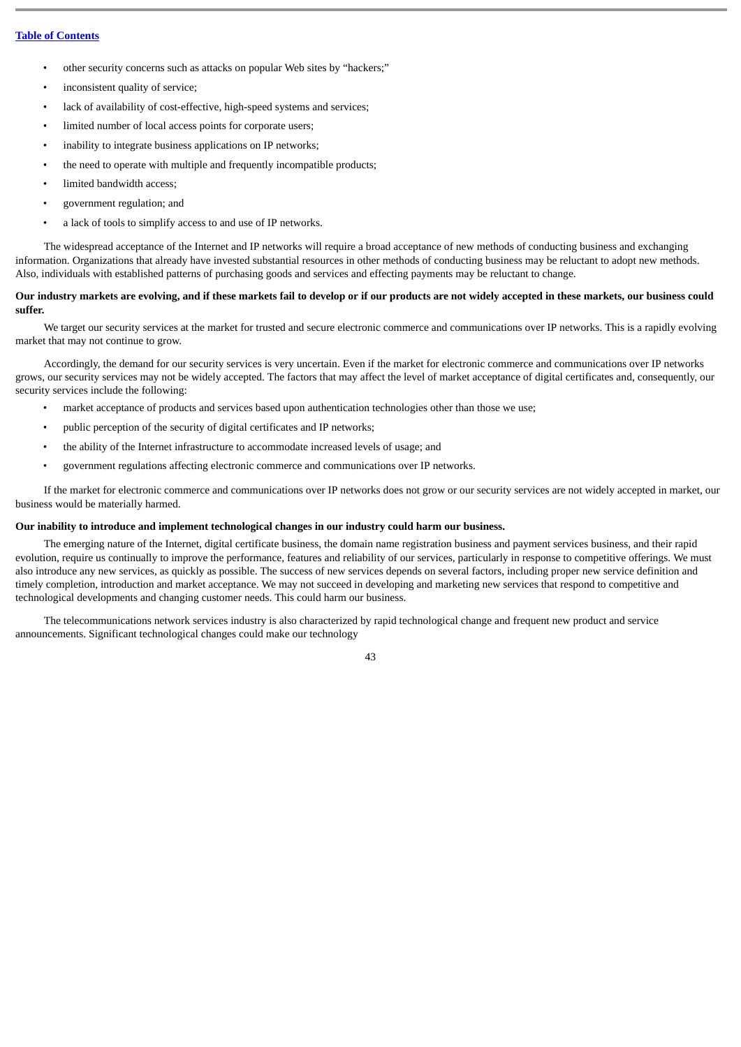- other security concerns such as attacks on popular Web sites by "hackers;"
- inconsistent quality of service;
- lack of availability of cost-effective, high-speed systems and services;
- limited number of local access points for corporate users;
- inability to integrate business applications on IP networks;
- the need to operate with multiple and frequently incompatible products:
- limited bandwidth access;
- government regulation; and
- a lack of tools to simplify access to and use of IP networks.

The widespread acceptance of the Internet and IP networks will require a broad acceptance of new methods of conducting business and exchanging information. Organizations that already have invested substantial resources in other methods of conducting business may be reluctant to adopt new methods. Also, individuals with established patterns of purchasing goods and services and effecting payments may be reluctant to change.

## **Our industry markets are evolving, and if these markets fail to develop or if our products are not widely accepted in these markets, our business could suffer.**

We target our security services at the market for trusted and secure electronic commerce and communications over IP networks. This is a rapidly evolving market that may not continue to grow.

Accordingly, the demand for our security services is very uncertain. Even if the market for electronic commerce and communications over IP networks grows, our security services may not be widely accepted. The factors that may affect the level of market acceptance of digital certificates and, consequently, our security services include the following:

- market acceptance of products and services based upon authentication technologies other than those we use;
- public perception of the security of digital certificates and IP networks;
- the ability of the Internet infrastructure to accommodate increased levels of usage; and
- government regulations affecting electronic commerce and communications over IP networks.

If the market for electronic commerce and communications over IP networks does not grow or our security services are not widely accepted in market, our business would be materially harmed.

## **Our inability to introduce and implement technological changes in our industry could harm our business.**

The emerging nature of the Internet, digital certificate business, the domain name registration business and payment services business, and their rapid evolution, require us continually to improve the performance, features and reliability of our services, particularly in response to competitive offerings. We must also introduce any new services, as quickly as possible. The success of new services depends on several factors, including proper new service definition and timely completion, introduction and market acceptance. We may not succeed in developing and marketing new services that respond to competitive and technological developments and changing customer needs. This could harm our business.

The telecommunications network services industry is also characterized by rapid technological change and frequent new product and service announcements. Significant technological changes could make our technology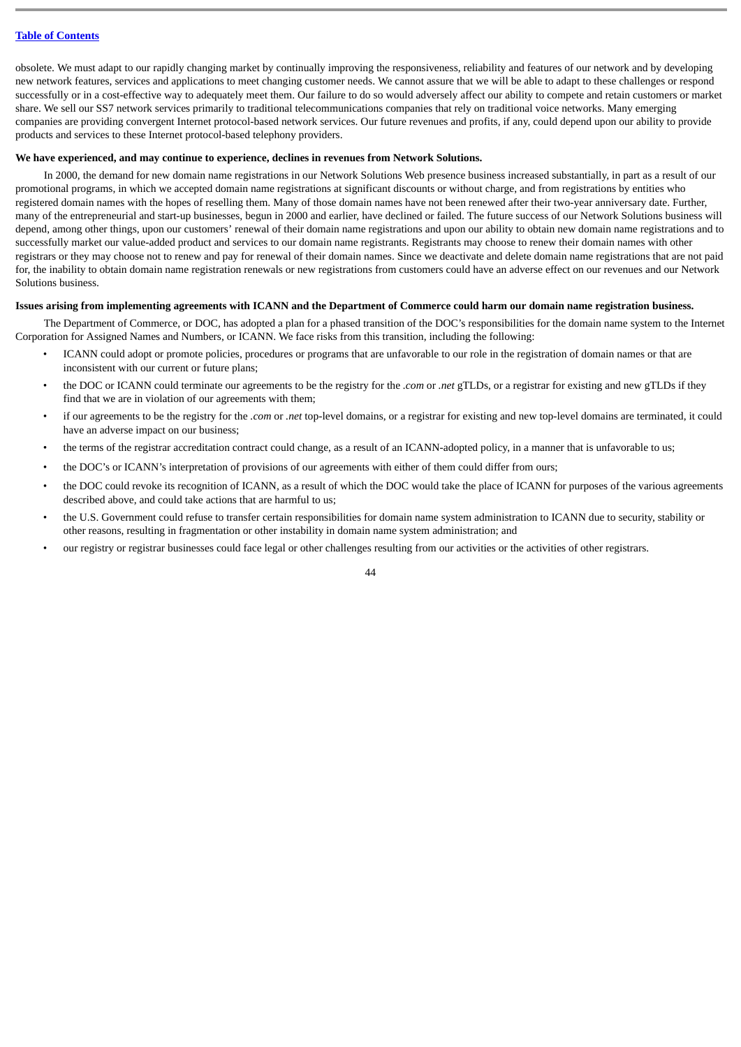obsolete. We must adapt to our rapidly changing market by continually improving the responsiveness, reliability and features of our network and by developing new network features, services and applications to meet changing customer needs. We cannot assure that we will be able to adapt to these challenges or respond successfully or in a cost-effective way to adequately meet them. Our failure to do so would adversely affect our ability to compete and retain customers or market share. We sell our SS7 network services primarily to traditional telecommunications companies that rely on traditional voice networks. Many emerging companies are providing convergent Internet protocol-based network services. Our future revenues and profits, if any, could depend upon our ability to provide products and services to these Internet protocol-based telephony providers.

#### **We have experienced, and may continue to experience, declines in revenues from Network Solutions.**

In 2000, the demand for new domain name registrations in our Network Solutions Web presence business increased substantially, in part as a result of our promotional programs, in which we accepted domain name registrations at significant discounts or without charge, and from registrations by entities who registered domain names with the hopes of reselling them. Many of those domain names have not been renewed after their two-year anniversary date. Further, many of the entrepreneurial and start-up businesses, begun in 2000 and earlier, have declined or failed. The future success of our Network Solutions business will depend, among other things, upon our customers' renewal of their domain name registrations and upon our ability to obtain new domain name registrations and to successfully market our value-added product and services to our domain name registrants. Registrants may choose to renew their domain names with other registrars or they may choose not to renew and pay for renewal of their domain names. Since we deactivate and delete domain name registrations that are not paid for, the inability to obtain domain name registration renewals or new registrations from customers could have an adverse effect on our revenues and our Network Solutions business.

#### **Issues arising from implementing agreements with ICANN and the Department of Commerce could harm our domain name registration business.**

The Department of Commerce, or DOC, has adopted a plan for a phased transition of the DOC's responsibilities for the domain name system to the Internet Corporation for Assigned Names and Numbers, or ICANN. We face risks from this transition, including the following:

- ICANN could adopt or promote policies, procedures or programs that are unfavorable to our role in the registration of domain names or that are inconsistent with our current or future plans;
- the DOC or ICANN could terminate our agreements to be the registry for the *.com* or *.net* gTLDs, or a registrar for existing and new gTLDs if they find that we are in violation of our agreements with them;
- if our agreements to be the registry for the *.com* or *.net* top-level domains, or a registrar for existing and new top-level domains are terminated, it could have an adverse impact on our business;
- the terms of the registrar accreditation contract could change, as a result of an ICANN-adopted policy, in a manner that is unfavorable to us;
- the DOC's or ICANN's interpretation of provisions of our agreements with either of them could differ from ours;
- the DOC could revoke its recognition of ICANN, as a result of which the DOC would take the place of ICANN for purposes of the various agreements described above, and could take actions that are harmful to us;
- the U.S. Government could refuse to transfer certain responsibilities for domain name system administration to ICANN due to security, stability or other reasons, resulting in fragmentation or other instability in domain name system administration; and
- our registry or registrar businesses could face legal or other challenges resulting from our activities or the activities of other registrars.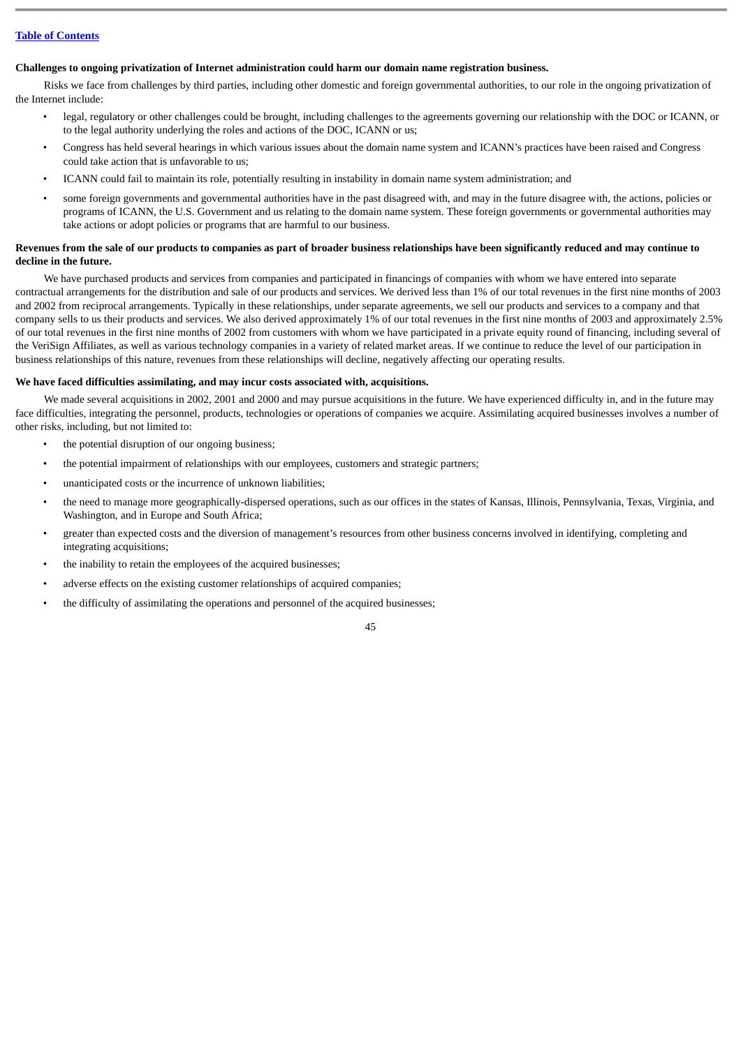## **Challenges to ongoing privatization of Internet administration could harm our domain name registration business.**

Risks we face from challenges by third parties, including other domestic and foreign governmental authorities, to our role in the ongoing privatization of the Internet include:

- legal, regulatory or other challenges could be brought, including challenges to the agreements governing our relationship with the DOC or ICANN, or to the legal authority underlying the roles and actions of the DOC, ICANN or us;
- Congress has held several hearings in which various issues about the domain name system and ICANN's practices have been raised and Congress could take action that is unfavorable to us;
- ICANN could fail to maintain its role, potentially resulting in instability in domain name system administration; and
- some foreign governments and governmental authorities have in the past disagreed with, and may in the future disagree with, the actions, policies or programs of ICANN, the U.S. Government and us relating to the domain name system. These foreign governments or governmental authorities may take actions or adopt policies or programs that are harmful to our business.

## **Revenues from the sale of our products to companies as part of broader business relationships have been significantly reduced and may continue to decline in the future.**

We have purchased products and services from companies and participated in financings of companies with whom we have entered into separate contractual arrangements for the distribution and sale of our products and services. We derived less than 1% of our total revenues in the first nine months of 2003 and 2002 from reciprocal arrangements. Typically in these relationships, under separate agreements, we sell our products and services to a company and that company sells to us their products and services. We also derived approximately 1% of our total revenues in the first nine months of 2003 and approximately 2.5% of our total revenues in the first nine months of 2002 from customers with whom we have participated in a private equity round of financing, including several of the VeriSign Affiliates, as well as various technology companies in a variety of related market areas. If we continue to reduce the level of our participation in business relationships of this nature, revenues from these relationships will decline, negatively affecting our operating results.

## **We have faced difficulties assimilating, and may incur costs associated with, acquisitions.**

We made several acquisitions in 2002, 2001 and 2000 and may pursue acquisitions in the future. We have experienced difficulty in, and in the future may face difficulties, integrating the personnel, products, technologies or operations of companies we acquire. Assimilating acquired businesses involves a number of other risks, including, but not limited to:

- the potential disruption of our ongoing business:
- the potential impairment of relationships with our employees, customers and strategic partners;
- unanticipated costs or the incurrence of unknown liabilities;
- the need to manage more geographically-dispersed operations, such as our offices in the states of Kansas, Illinois, Pennsylvania, Texas, Virginia, and Washington, and in Europe and South Africa;
- greater than expected costs and the diversion of management's resources from other business concerns involved in identifying, completing and integrating acquisitions;
- the inability to retain the employees of the acquired businesses;
- adverse effects on the existing customer relationships of acquired companies;
- the difficulty of assimilating the operations and personnel of the acquired businesses;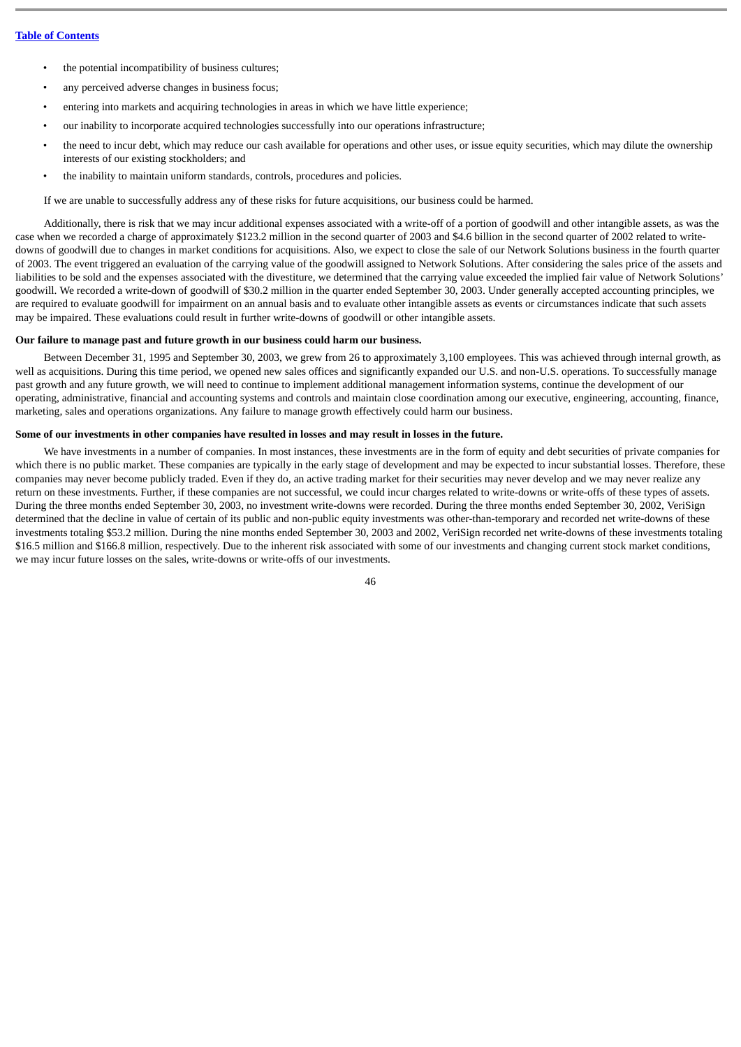- the potential incompatibility of business cultures;
- any perceived adverse changes in business focus;
- entering into markets and acquiring technologies in areas in which we have little experience;
- our inability to incorporate acquired technologies successfully into our operations infrastructure;
- the need to incur debt, which may reduce our cash available for operations and other uses, or issue equity securities, which may dilute the ownership interests of our existing stockholders; and
- the inability to maintain uniform standards, controls, procedures and policies.

If we are unable to successfully address any of these risks for future acquisitions, our business could be harmed.

Additionally, there is risk that we may incur additional expenses associated with a write-off of a portion of goodwill and other intangible assets, as was the case when we recorded a charge of approximately \$123.2 million in the second quarter of 2003 and \$4.6 billion in the second quarter of 2002 related to writedowns of goodwill due to changes in market conditions for acquisitions. Also, we expect to close the sale of our Network Solutions business in the fourth quarter of 2003. The event triggered an evaluation of the carrying value of the goodwill assigned to Network Solutions. After considering the sales price of the assets and liabilities to be sold and the expenses associated with the divestiture, we determined that the carrying value exceeded the implied fair value of Network Solutions' goodwill. We recorded a write-down of goodwill of \$30.2 million in the quarter ended September 30, 2003. Under generally accepted accounting principles, we are required to evaluate goodwill for impairment on an annual basis and to evaluate other intangible assets as events or circumstances indicate that such assets may be impaired. These evaluations could result in further write-downs of goodwill or other intangible assets.

#### **Our failure to manage past and future growth in our business could harm our business.**

Between December 31, 1995 and September 30, 2003, we grew from 26 to approximately 3,100 employees. This was achieved through internal growth, as well as acquisitions. During this time period, we opened new sales offices and significantly expanded our U.S. and non-U.S. operations. To successfully manage past growth and any future growth, we will need to continue to implement additional management information systems, continue the development of our operating, administrative, financial and accounting systems and controls and maintain close coordination among our executive, engineering, accounting, finance, marketing, sales and operations organizations. Any failure to manage growth effectively could harm our business.

#### **Some of our investments in other companies have resulted in losses and may result in losses in the future.**

We have investments in a number of companies. In most instances, these investments are in the form of equity and debt securities of private companies for which there is no public market. These companies are typically in the early stage of development and may be expected to incur substantial losses. Therefore, these companies may never become publicly traded. Even if they do, an active trading market for their securities may never develop and we may never realize any return on these investments. Further, if these companies are not successful, we could incur charges related to write-downs or write-offs of these types of assets. During the three months ended September 30, 2003, no investment write-downs were recorded. During the three months ended September 30, 2002, VeriSign determined that the decline in value of certain of its public and non-public equity investments was other-than-temporary and recorded net write-downs of these investments totaling \$53.2 million. During the nine months ended September 30, 2003 and 2002, VeriSign recorded net write-downs of these investments totaling \$16.5 million and \$166.8 million, respectively. Due to the inherent risk associated with some of our investments and changing current stock market conditions, we may incur future losses on the sales, write-downs or write-offs of our investments.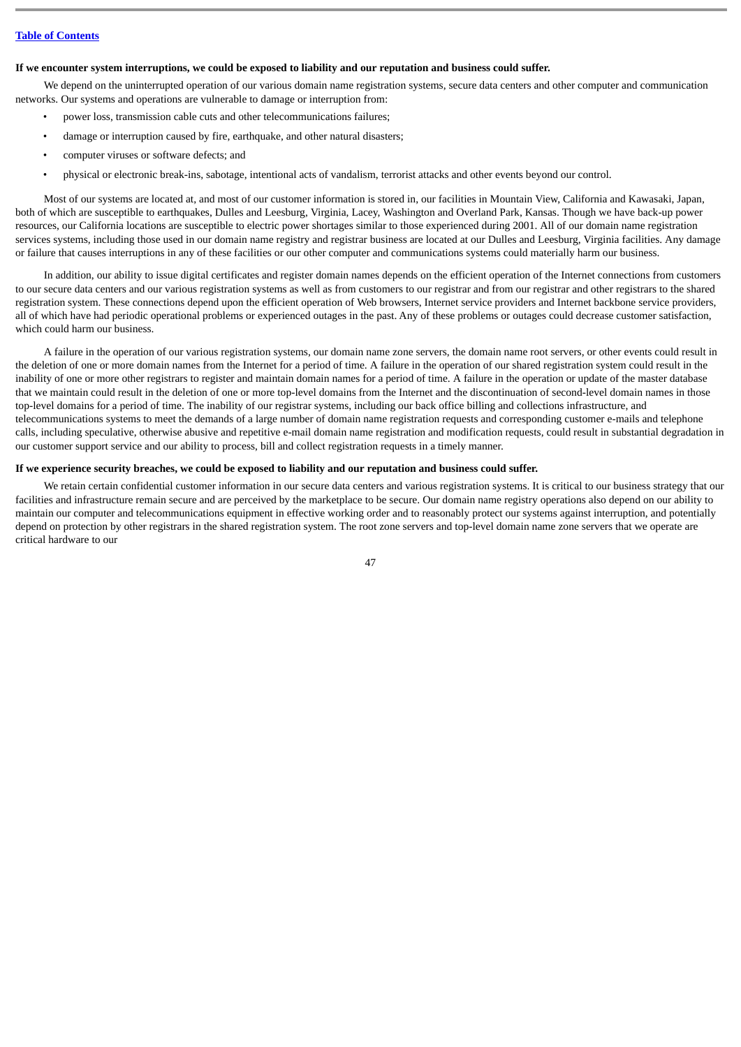#### **If we encounter system interruptions, we could be exposed to liability and our reputation and business could suffer.**

We depend on the uninterrupted operation of our various domain name registration systems, secure data centers and other computer and communication networks. Our systems and operations are vulnerable to damage or interruption from:

- power loss, transmission cable cuts and other telecommunications failures;
- damage or interruption caused by fire, earthquake, and other natural disasters;
- computer viruses or software defects; and
- physical or electronic break-ins, sabotage, intentional acts of vandalism, terrorist attacks and other events beyond our control.

Most of our systems are located at, and most of our customer information is stored in, our facilities in Mountain View, California and Kawasaki, Japan, both of which are susceptible to earthquakes, Dulles and Leesburg, Virginia, Lacey, Washington and Overland Park, Kansas. Though we have back-up power resources, our California locations are susceptible to electric power shortages similar to those experienced during 2001. All of our domain name registration services systems, including those used in our domain name registry and registrar business are located at our Dulles and Leesburg, Virginia facilities. Any damage or failure that causes interruptions in any of these facilities or our other computer and communications systems could materially harm our business.

In addition, our ability to issue digital certificates and register domain names depends on the efficient operation of the Internet connections from customers to our secure data centers and our various registration systems as well as from customers to our registrar and from our registrar and other registrars to the shared registration system. These connections depend upon the efficient operation of Web browsers, Internet service providers and Internet backbone service providers, all of which have had periodic operational problems or experienced outages in the past. Any of these problems or outages could decrease customer satisfaction, which could harm our business.

A failure in the operation of our various registration systems, our domain name zone servers, the domain name root servers, or other events could result in the deletion of one or more domain names from the Internet for a period of time. A failure in the operation of our shared registration system could result in the inability of one or more other registrars to register and maintain domain names for a period of time. A failure in the operation or update of the master database that we maintain could result in the deletion of one or more top-level domains from the Internet and the discontinuation of second-level domain names in those top-level domains for a period of time. The inability of our registrar systems, including our back office billing and collections infrastructure, and telecommunications systems to meet the demands of a large number of domain name registration requests and corresponding customer e-mails and telephone calls, including speculative, otherwise abusive and repetitive e-mail domain name registration and modification requests, could result in substantial degradation in our customer support service and our ability to process, bill and collect registration requests in a timely manner.

## **If we experience security breaches, we could be exposed to liability and our reputation and business could suffer.**

We retain certain confidential customer information in our secure data centers and various registration systems. It is critical to our business strategy that our facilities and infrastructure remain secure and are perceived by the marketplace to be secure. Our domain name registry operations also depend on our ability to maintain our computer and telecommunications equipment in effective working order and to reasonably protect our systems against interruption, and potentially depend on protection by other registrars in the shared registration system. The root zone servers and top-level domain name zone servers that we operate are critical hardware to our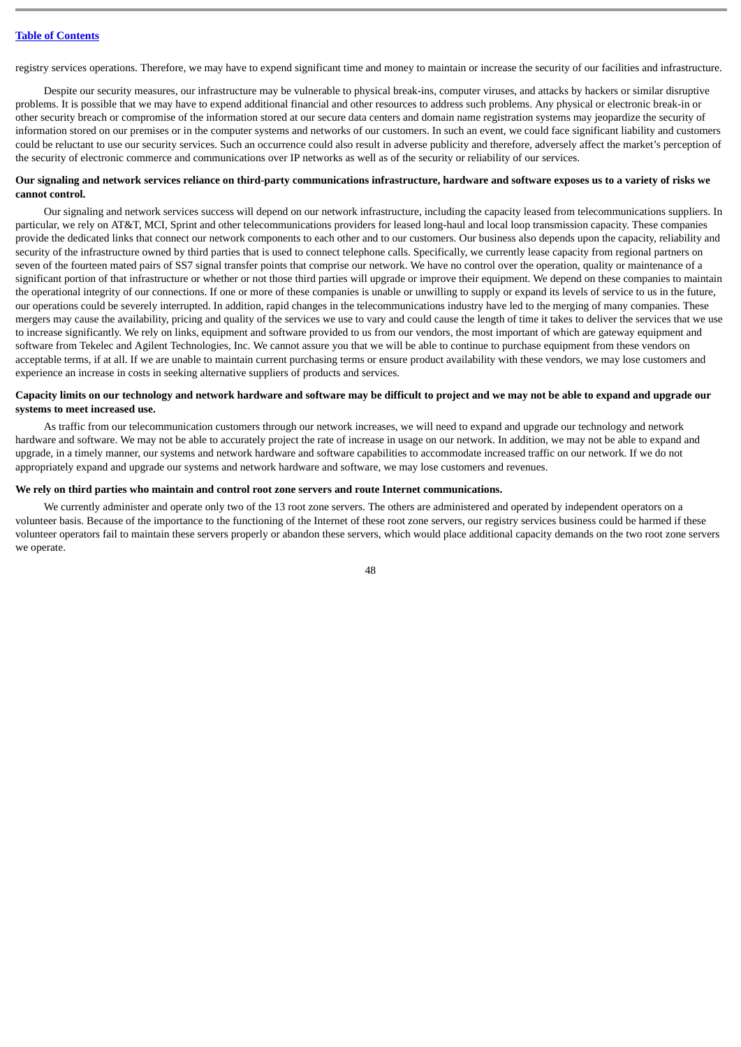registry services operations. Therefore, we may have to expend significant time and money to maintain or increase the security of our facilities and infrastructure.

Despite our security measures, our infrastructure may be vulnerable to physical break-ins, computer viruses, and attacks by hackers or similar disruptive problems. It is possible that we may have to expend additional financial and other resources to address such problems. Any physical or electronic break-in or other security breach or compromise of the information stored at our secure data centers and domain name registration systems may jeopardize the security of information stored on our premises or in the computer systems and networks of our customers. In such an event, we could face significant liability and customers could be reluctant to use our security services. Such an occurrence could also result in adverse publicity and therefore, adversely affect the market's perception of the security of electronic commerce and communications over IP networks as well as of the security or reliability of our services.

### **Our signaling and network services reliance on third-party communications infrastructure, hardware and software exposes us to a variety of risks we cannot control.**

Our signaling and network services success will depend on our network infrastructure, including the capacity leased from telecommunications suppliers. In particular, we rely on AT&T, MCI, Sprint and other telecommunications providers for leased long-haul and local loop transmission capacity. These companies provide the dedicated links that connect our network components to each other and to our customers. Our business also depends upon the capacity, reliability and security of the infrastructure owned by third parties that is used to connect telephone calls. Specifically, we currently lease capacity from regional partners on seven of the fourteen mated pairs of SS7 signal transfer points that comprise our network. We have no control over the operation, quality or maintenance of a significant portion of that infrastructure or whether or not those third parties will upgrade or improve their equipment. We depend on these companies to maintain the operational integrity of our connections. If one or more of these companies is unable or unwilling to supply or expand its levels of service to us in the future, our operations could be severely interrupted. In addition, rapid changes in the telecommunications industry have led to the merging of many companies. These mergers may cause the availability, pricing and quality of the services we use to vary and could cause the length of time it takes to deliver the services that we use to increase significantly. We rely on links, equipment and software provided to us from our vendors, the most important of which are gateway equipment and software from Tekelec and Agilent Technologies, Inc. We cannot assure you that we will be able to continue to purchase equipment from these vendors on acceptable terms, if at all. If we are unable to maintain current purchasing terms or ensure product availability with these vendors, we may lose customers and experience an increase in costs in seeking alternative suppliers of products and services.

## **Capacity limits on our technology and network hardware and software may be difficult to project and we may not be able to expand and upgrade our systems to meet increased use.**

As traffic from our telecommunication customers through our network increases, we will need to expand and upgrade our technology and network hardware and software. We may not be able to accurately project the rate of increase in usage on our network. In addition, we may not be able to expand and upgrade, in a timely manner, our systems and network hardware and software capabilities to accommodate increased traffic on our network. If we do not appropriately expand and upgrade our systems and network hardware and software, we may lose customers and revenues.

#### **We rely on third parties who maintain and control root zone servers and route Internet communications.**

We currently administer and operate only two of the 13 root zone servers. The others are administered and operated by independent operators on a volunteer basis. Because of the importance to the functioning of the Internet of these root zone servers, our registry services business could be harmed if these volunteer operators fail to maintain these servers properly or abandon these servers, which would place additional capacity demands on the two root zone servers we operate.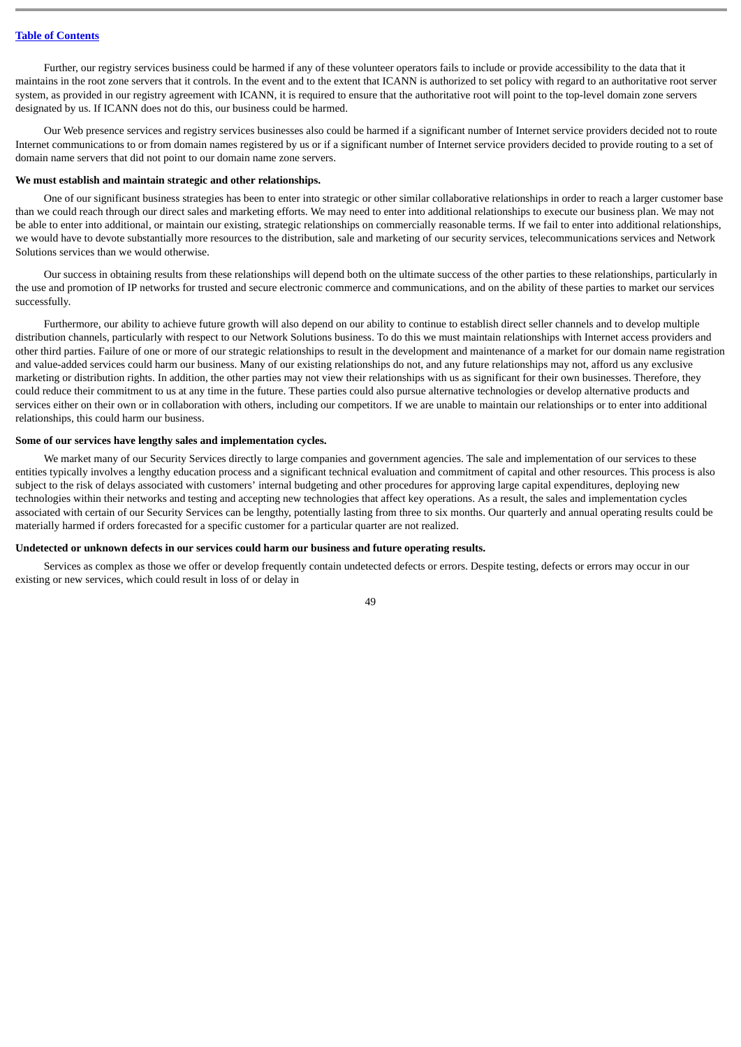Further, our registry services business could be harmed if any of these volunteer operators fails to include or provide accessibility to the data that it maintains in the root zone servers that it controls. In the event and to the extent that ICANN is authorized to set policy with regard to an authoritative root server system, as provided in our registry agreement with ICANN, it is required to ensure that the authoritative root will point to the top-level domain zone servers designated by us. If ICANN does not do this, our business could be harmed.

Our Web presence services and registry services businesses also could be harmed if a significant number of Internet service providers decided not to route Internet communications to or from domain names registered by us or if a significant number of Internet service providers decided to provide routing to a set of domain name servers that did not point to our domain name zone servers.

#### **We must establish and maintain strategic and other relationships.**

One of our significant business strategies has been to enter into strategic or other similar collaborative relationships in order to reach a larger customer base than we could reach through our direct sales and marketing efforts. We may need to enter into additional relationships to execute our business plan. We may not be able to enter into additional, or maintain our existing, strategic relationships on commercially reasonable terms. If we fail to enter into additional relationships, we would have to devote substantially more resources to the distribution, sale and marketing of our security services, telecommunications services and Network Solutions services than we would otherwise.

Our success in obtaining results from these relationships will depend both on the ultimate success of the other parties to these relationships, particularly in the use and promotion of IP networks for trusted and secure electronic commerce and communications, and on the ability of these parties to market our services successfully.

Furthermore, our ability to achieve future growth will also depend on our ability to continue to establish direct seller channels and to develop multiple distribution channels, particularly with respect to our Network Solutions business. To do this we must maintain relationships with Internet access providers and other third parties. Failure of one or more of our strategic relationships to result in the development and maintenance of a market for our domain name registration and value-added services could harm our business. Many of our existing relationships do not, and any future relationships may not, afford us any exclusive marketing or distribution rights. In addition, the other parties may not view their relationships with us as significant for their own businesses. Therefore, they could reduce their commitment to us at any time in the future. These parties could also pursue alternative technologies or develop alternative products and services either on their own or in collaboration with others, including our competitors. If we are unable to maintain our relationships or to enter into additional relationships, this could harm our business.

#### **Some of our services have lengthy sales and implementation cycles.**

We market many of our Security Services directly to large companies and government agencies. The sale and implementation of our services to these entities typically involves a lengthy education process and a significant technical evaluation and commitment of capital and other resources. This process is also subject to the risk of delays associated with customers' internal budgeting and other procedures for approving large capital expenditures, deploying new technologies within their networks and testing and accepting new technologies that affect key operations. As a result, the sales and implementation cycles associated with certain of our Security Services can be lengthy, potentially lasting from three to six months. Our quarterly and annual operating results could be materially harmed if orders forecasted for a specific customer for a particular quarter are not realized.

#### **Undetected or unknown defects in our services could harm our business and future operating results.**

Services as complex as those we offer or develop frequently contain undetected defects or errors. Despite testing, defects or errors may occur in our existing or new services, which could result in loss of or delay in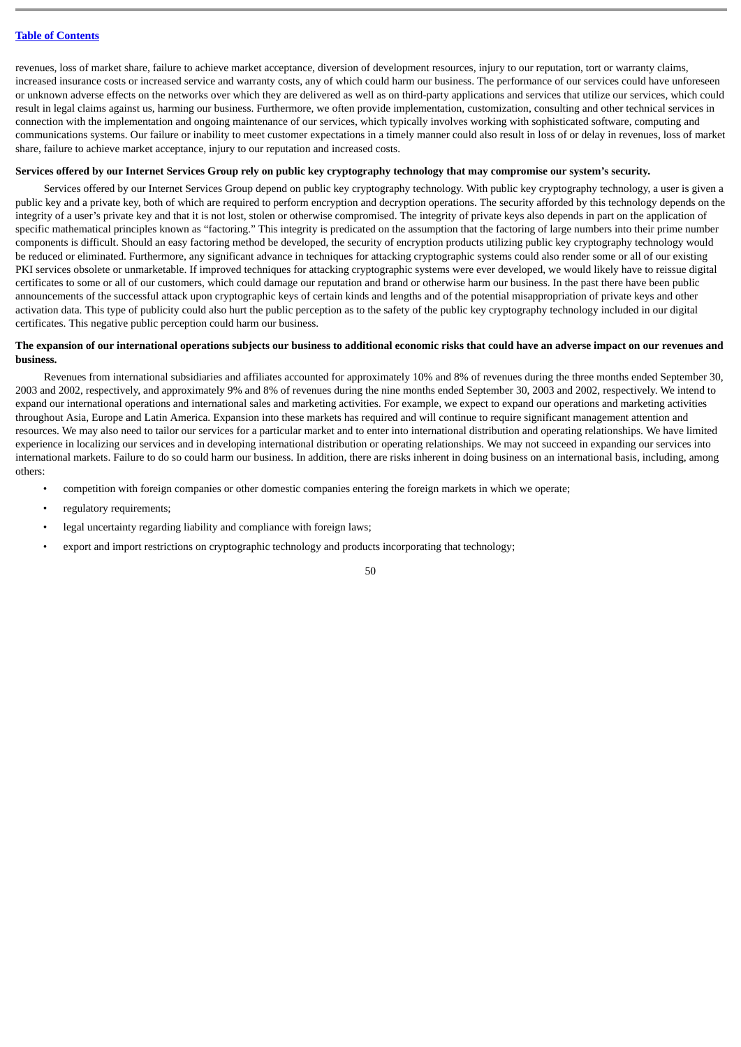revenues, loss of market share, failure to achieve market acceptance, diversion of development resources, injury to our reputation, tort or warranty claims, increased insurance costs or increased service and warranty costs, any of which could harm our business. The performance of our services could have unforeseen or unknown adverse effects on the networks over which they are delivered as well as on third-party applications and services that utilize our services, which could result in legal claims against us, harming our business. Furthermore, we often provide implementation, customization, consulting and other technical services in connection with the implementation and ongoing maintenance of our services, which typically involves working with sophisticated software, computing and communications systems. Our failure or inability to meet customer expectations in a timely manner could also result in loss of or delay in revenues, loss of market share, failure to achieve market acceptance, injury to our reputation and increased costs.

## **Services offered by our Internet Services Group rely on public key cryptography technology that may compromise our system's security.**

Services offered by our Internet Services Group depend on public key cryptography technology. With public key cryptography technology, a user is given a public key and a private key, both of which are required to perform encryption and decryption operations. The security afforded by this technology depends on the integrity of a user's private key and that it is not lost, stolen or otherwise compromised. The integrity of private keys also depends in part on the application of specific mathematical principles known as "factoring." This integrity is predicated on the assumption that the factoring of large numbers into their prime number components is difficult. Should an easy factoring method be developed, the security of encryption products utilizing public key cryptography technology would be reduced or eliminated. Furthermore, any significant advance in techniques for attacking cryptographic systems could also render some or all of our existing PKI services obsolete or unmarketable. If improved techniques for attacking cryptographic systems were ever developed, we would likely have to reissue digital certificates to some or all of our customers, which could damage our reputation and brand or otherwise harm our business. In the past there have been public announcements of the successful attack upon cryptographic keys of certain kinds and lengths and of the potential misappropriation of private keys and other activation data. This type of publicity could also hurt the public perception as to the safety of the public key cryptography technology included in our digital certificates. This negative public perception could harm our business.

## **The expansion of our international operations subjects our business to additional economic risks that could have an adverse impact on our revenues and business.**

Revenues from international subsidiaries and affiliates accounted for approximately 10% and 8% of revenues during the three months ended September 30, 2003 and 2002, respectively, and approximately 9% and 8% of revenues during the nine months ended September 30, 2003 and 2002, respectively. We intend to expand our international operations and international sales and marketing activities. For example, we expect to expand our operations and marketing activities throughout Asia, Europe and Latin America. Expansion into these markets has required and will continue to require significant management attention and resources. We may also need to tailor our services for a particular market and to enter into international distribution and operating relationships. We have limited experience in localizing our services and in developing international distribution or operating relationships. We may not succeed in expanding our services into international markets. Failure to do so could harm our business. In addition, there are risks inherent in doing business on an international basis, including, among others:

- competition with foreign companies or other domestic companies entering the foreign markets in which we operate;
- regulatory requirements;
- legal uncertainty regarding liability and compliance with foreign laws;
- export and import restrictions on cryptographic technology and products incorporating that technology;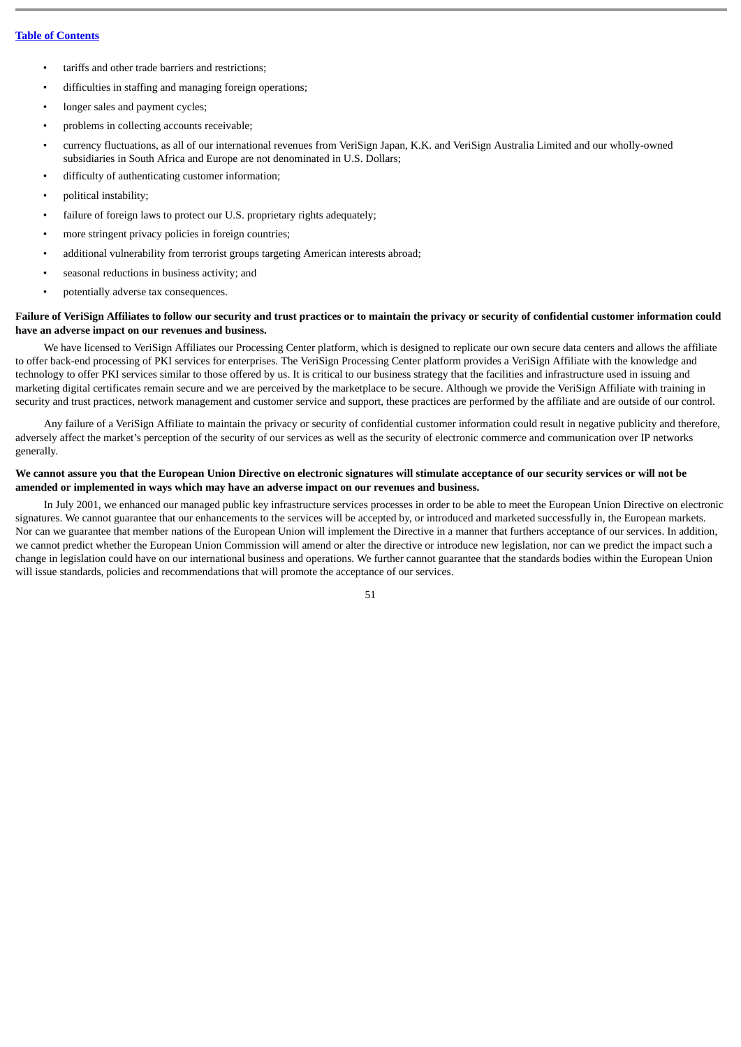- tariffs and other trade barriers and restrictions;
- difficulties in staffing and managing foreign operations;
- longer sales and payment cycles;
- problems in collecting accounts receivable;
- currency fluctuations, as all of our international revenues from VeriSign Japan, K.K. and VeriSign Australia Limited and our wholly-owned subsidiaries in South Africa and Europe are not denominated in U.S. Dollars;
- difficulty of authenticating customer information;
- political instability;
- failure of foreign laws to protect our U.S. proprietary rights adequately;
- more stringent privacy policies in foreign countries;
- additional vulnerability from terrorist groups targeting American interests abroad;
- seasonal reductions in business activity; and
- potentially adverse tax consequences.

## **Failure of VeriSign Affiliates to follow our security and trust practices or to maintain the privacy or security of confidential customer information could have an adverse impact on our revenues and business.**

We have licensed to VeriSign Affiliates our Processing Center platform, which is designed to replicate our own secure data centers and allows the affiliate to offer back-end processing of PKI services for enterprises. The VeriSign Processing Center platform provides a VeriSign Affiliate with the knowledge and technology to offer PKI services similar to those offered by us. It is critical to our business strategy that the facilities and infrastructure used in issuing and marketing digital certificates remain secure and we are perceived by the marketplace to be secure. Although we provide the VeriSign Affiliate with training in security and trust practices, network management and customer service and support, these practices are performed by the affiliate and are outside of our control.

Any failure of a VeriSign Affiliate to maintain the privacy or security of confidential customer information could result in negative publicity and therefore, adversely affect the market's perception of the security of our services as well as the security of electronic commerce and communication over IP networks generally.

### **We cannot assure you that the European Union Directive on electronic signatures will stimulate acceptance of our security services or will not be amended or implemented in ways which may have an adverse impact on our revenues and business.**

In July 2001, we enhanced our managed public key infrastructure services processes in order to be able to meet the European Union Directive on electronic signatures. We cannot guarantee that our enhancements to the services will be accepted by, or introduced and marketed successfully in, the European markets. Nor can we guarantee that member nations of the European Union will implement the Directive in a manner that furthers acceptance of our services. In addition, we cannot predict whether the European Union Commission will amend or alter the directive or introduce new legislation, nor can we predict the impact such a change in legislation could have on our international business and operations. We further cannot guarantee that the standards bodies within the European Union will issue standards, policies and recommendations that will promote the acceptance of our services.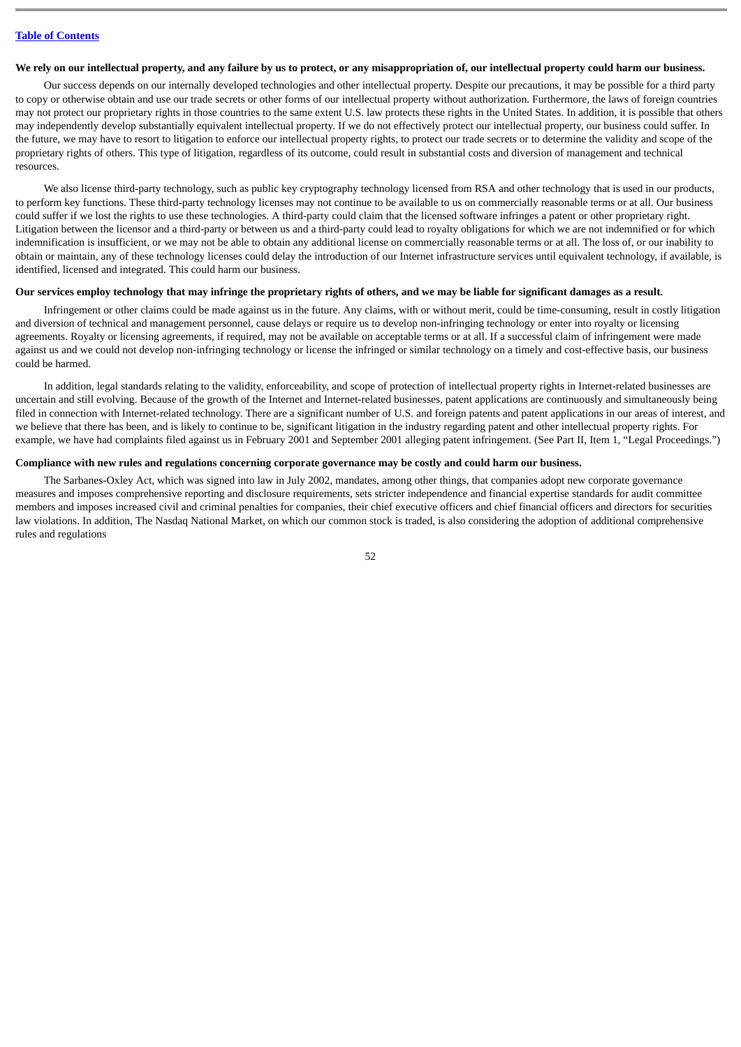#### **We rely on our intellectual property, and any failure by us to protect, or any misappropriation of, our intellectual property could harm our business.**

Our success depends on our internally developed technologies and other intellectual property. Despite our precautions, it may be possible for a third party to copy or otherwise obtain and use our trade secrets or other forms of our intellectual property without authorization. Furthermore, the laws of foreign countries may not protect our proprietary rights in those countries to the same extent U.S. law protects these rights in the United States. In addition, it is possible that others may independently develop substantially equivalent intellectual property. If we do not effectively protect our intellectual property, our business could suffer. In the future, we may have to resort to litigation to enforce our intellectual property rights, to protect our trade secrets or to determine the validity and scope of the proprietary rights of others. This type of litigation, regardless of its outcome, could result in substantial costs and diversion of management and technical resources.

We also license third-party technology, such as public key cryptography technology licensed from RSA and other technology that is used in our products, to perform key functions. These third-party technology licenses may not continue to be available to us on commercially reasonable terms or at all. Our business could suffer if we lost the rights to use these technologies. A third-party could claim that the licensed software infringes a patent or other proprietary right. Litigation between the licensor and a third-party or between us and a third-party could lead to royalty obligations for which we are not indemnified or for which indemnification is insufficient, or we may not be able to obtain any additional license on commercially reasonable terms or at all. The loss of, or our inability to obtain or maintain, any of these technology licenses could delay the introduction of our Internet infrastructure services until equivalent technology, if available, is identified, licensed and integrated. This could harm our business.

#### **Our services employ technology that may infringe the proprietary rights of others, and we may be liable for significant damages as a result.**

Infringement or other claims could be made against us in the future. Any claims, with or without merit, could be time-consuming, result in costly litigation and diversion of technical and management personnel, cause delays or require us to develop non-infringing technology or enter into royalty or licensing agreements. Royalty or licensing agreements, if required, may not be available on acceptable terms or at all. If a successful claim of infringement were made against us and we could not develop non-infringing technology or license the infringed or similar technology on a timely and cost-effective basis, our business could be harmed.

In addition, legal standards relating to the validity, enforceability, and scope of protection of intellectual property rights in Internet-related businesses are uncertain and still evolving. Because of the growth of the Internet and Internet-related businesses, patent applications are continuously and simultaneously being filed in connection with Internet-related technology. There are a significant number of U.S. and foreign patents and patent applications in our areas of interest, and we believe that there has been, and is likely to continue to be, significant litigation in the industry regarding patent and other intellectual property rights. For example, we have had complaints filed against us in February 2001 and September 2001 alleging patent infringement. (See Part II, Item 1, "Legal Proceedings.")

#### **Compliance with new rules and regulations concerning corporate governance may be costly and could harm our business.**

The Sarbanes-Oxley Act, which was signed into law in July 2002, mandates, among other things, that companies adopt new corporate governance measures and imposes comprehensive reporting and disclosure requirements, sets stricter independence and financial expertise standards for audit committee members and imposes increased civil and criminal penalties for companies, their chief executive officers and chief financial officers and directors for securities law violations. In addition, The Nasdaq National Market, on which our common stock is traded, is also considering the adoption of additional comprehensive rules and regulations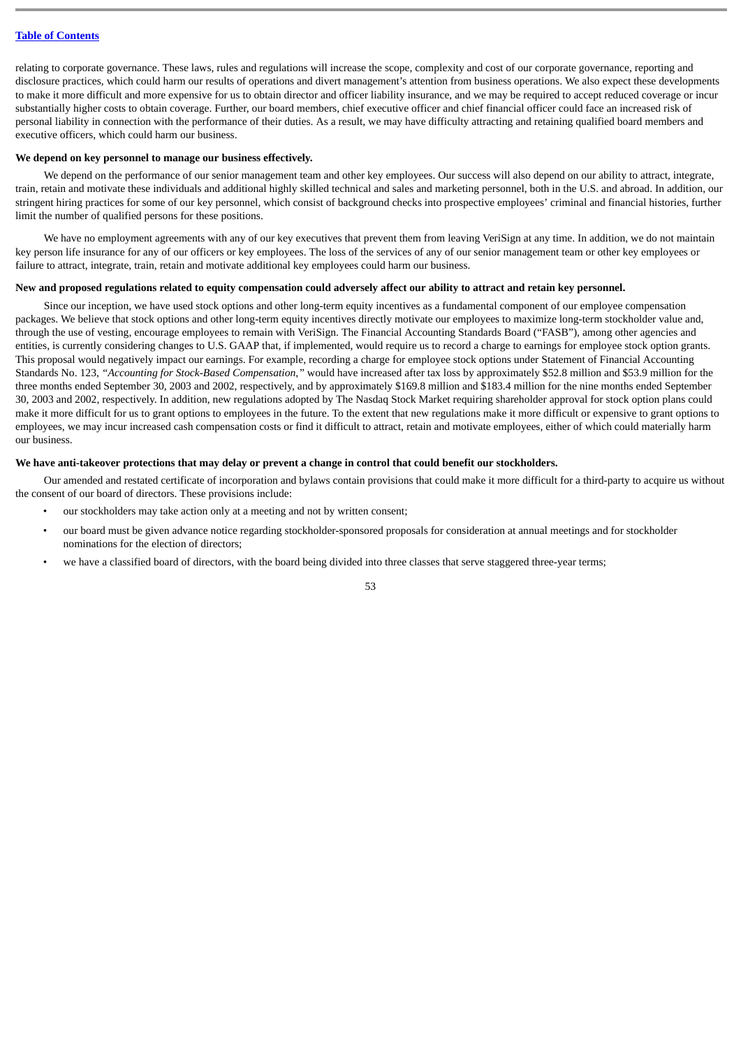relating to corporate governance. These laws, rules and regulations will increase the scope, complexity and cost of our corporate governance, reporting and disclosure practices, which could harm our results of operations and divert management's attention from business operations. We also expect these developments to make it more difficult and more expensive for us to obtain director and officer liability insurance, and we may be required to accept reduced coverage or incur substantially higher costs to obtain coverage. Further, our board members, chief executive officer and chief financial officer could face an increased risk of personal liability in connection with the performance of their duties. As a result, we may have difficulty attracting and retaining qualified board members and executive officers, which could harm our business.

#### **We depend on key personnel to manage our business effectively.**

We depend on the performance of our senior management team and other key employees. Our success will also depend on our ability to attract, integrate, train, retain and motivate these individuals and additional highly skilled technical and sales and marketing personnel, both in the U.S. and abroad. In addition, our stringent hiring practices for some of our key personnel, which consist of background checks into prospective employees' criminal and financial histories, further limit the number of qualified persons for these positions.

We have no employment agreements with any of our key executives that prevent them from leaving VeriSign at any time. In addition, we do not maintain key person life insurance for any of our officers or key employees. The loss of the services of any of our senior management team or other key employees or failure to attract, integrate, train, retain and motivate additional key employees could harm our business.

#### **New and proposed regulations related to equity compensation could adversely affect our ability to attract and retain key personnel.**

Since our inception, we have used stock options and other long-term equity incentives as a fundamental component of our employee compensation packages. We believe that stock options and other long-term equity incentives directly motivate our employees to maximize long-term stockholder value and, through the use of vesting, encourage employees to remain with VeriSign. The Financial Accounting Standards Board ("FASB"), among other agencies and entities, is currently considering changes to U.S. GAAP that, if implemented, would require us to record a charge to earnings for employee stock option grants. This proposal would negatively impact our earnings. For example, recording a charge for employee stock options under Statement of Financial Accounting Standards No. 123, *"Accounting for Stock-Based Compensation,"* would have increased after tax loss by approximately \$52.8 million and \$53.9 million for the three months ended September 30, 2003 and 2002, respectively, and by approximately \$169.8 million and \$183.4 million for the nine months ended September 30, 2003 and 2002, respectively. In addition, new regulations adopted by The Nasdaq Stock Market requiring shareholder approval for stock option plans could make it more difficult for us to grant options to employees in the future. To the extent that new regulations make it more difficult or expensive to grant options to employees, we may incur increased cash compensation costs or find it difficult to attract, retain and motivate employees, either of which could materially harm our business.

#### **We have anti-takeover protections that may delay or prevent a change in control that could benefit our stockholders.**

Our amended and restated certificate of incorporation and bylaws contain provisions that could make it more difficult for a third-party to acquire us without the consent of our board of directors. These provisions include:

- our stockholders may take action only at a meeting and not by written consent;
- our board must be given advance notice regarding stockholder-sponsored proposals for consideration at annual meetings and for stockholder nominations for the election of directors;
- we have a classified board of directors, with the board being divided into three classes that serve staggered three-year terms;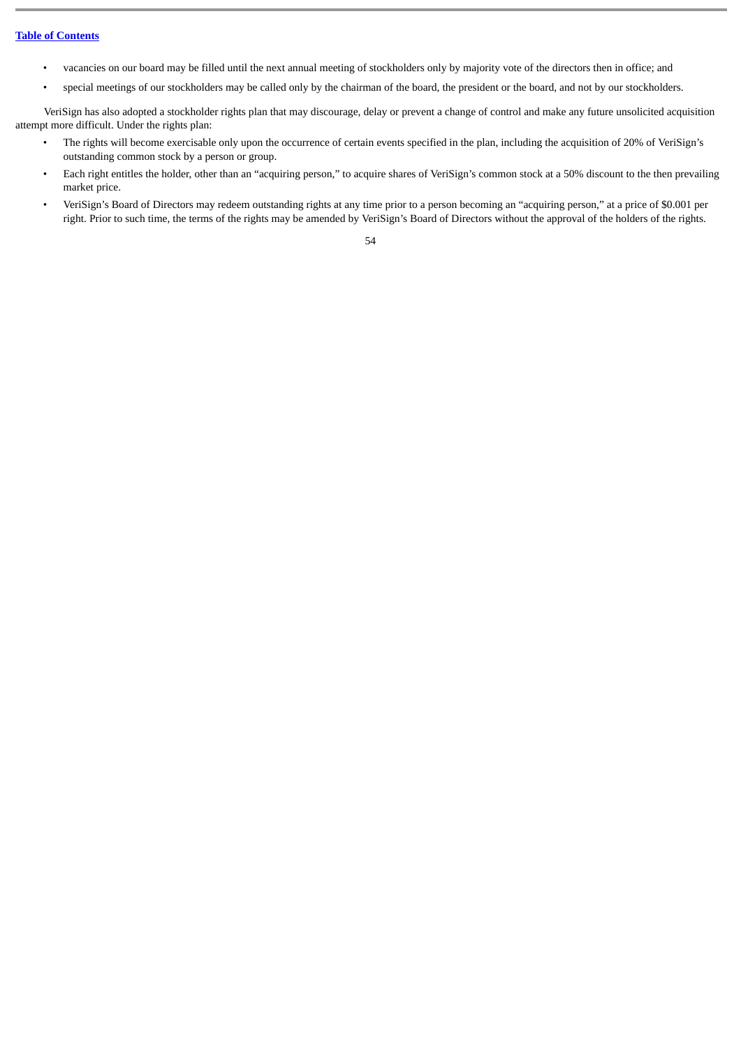- vacancies on our board may be filled until the next annual meeting of stockholders only by majority vote of the directors then in office; and
- special meetings of our stockholders may be called only by the chairman of the board, the president or the board, and not by our stockholders.

VeriSign has also adopted a stockholder rights plan that may discourage, delay or prevent a change of control and make any future unsolicited acquisition attempt more difficult. Under the rights plan:

- The rights will become exercisable only upon the occurrence of certain events specified in the plan, including the acquisition of 20% of VeriSign's outstanding common stock by a person or group.
- Each right entitles the holder, other than an "acquiring person," to acquire shares of VeriSign's common stock at a 50% discount to the then prevailing market price.
- VeriSign's Board of Directors may redeem outstanding rights at any time prior to a person becoming an "acquiring person," at a price of \$0.001 per right. Prior to such time, the terms of the rights may be amended by VeriSign's Board of Directors without the approval of the holders of the rights.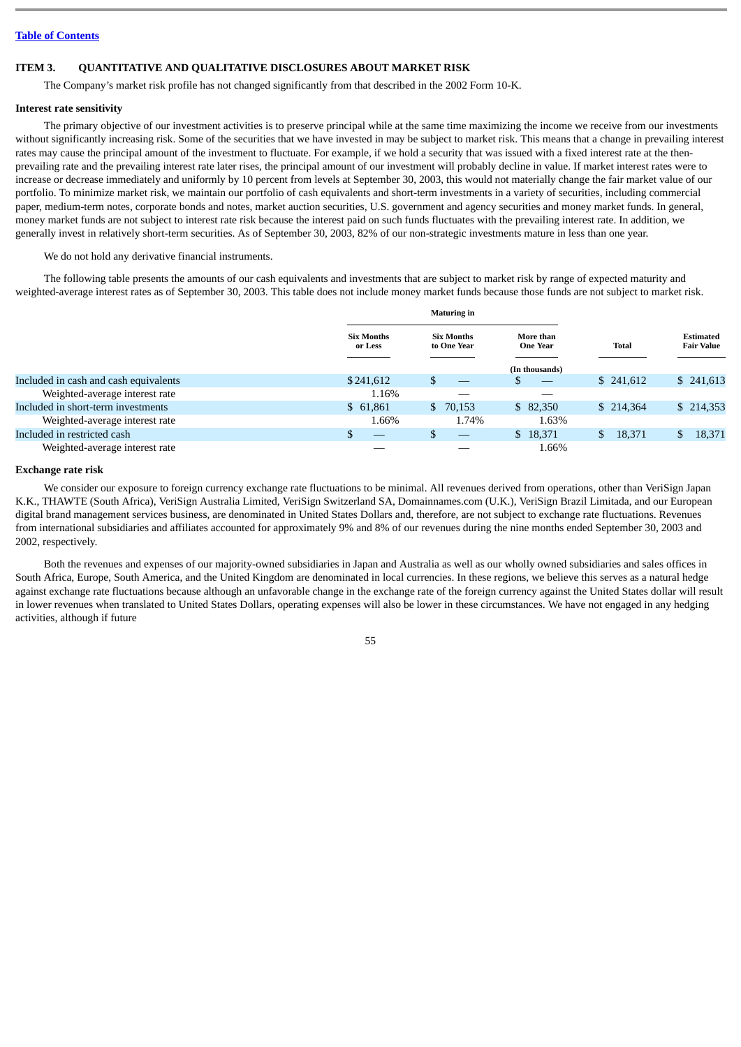#### **ITEM 3. QUANTITATIVE AND QUALITATIVE DISCLOSURES ABOUT MARKET RISK**

The Company's market risk profile has not changed significantly from that described in the 2002 Form 10-K.

#### **Interest rate sensitivity**

The primary objective of our investment activities is to preserve principal while at the same time maximizing the income we receive from our investments without significantly increasing risk. Some of the securities that we have invested in may be subject to market risk. This means that a change in prevailing interest rates may cause the principal amount of the investment to fluctuate. For example, if we hold a security that was issued with a fixed interest rate at the thenprevailing rate and the prevailing interest rate later rises, the principal amount of our investment will probably decline in value. If market interest rates were to increase or decrease immediately and uniformly by 10 percent from levels at September 30, 2003, this would not materially change the fair market value of our portfolio. To minimize market risk, we maintain our portfolio of cash equivalents and short-term investments in a variety of securities, including commercial paper, medium-term notes, corporate bonds and notes, market auction securities, U.S. government and agency securities and money market funds. In general, money market funds are not subject to interest rate risk because the interest paid on such funds fluctuates with the prevailing interest rate. In addition, we generally invest in relatively short-term securities. As of September 30, 2003, 82% of our non-strategic investments mature in less than one year.

We do not hold any derivative financial instruments.

The following table presents the amounts of our cash equivalents and investments that are subject to market risk by range of expected maturity and weighted-average interest rates as of September 30, 2003. This table does not include money market funds because those funds are not subject to market risk.

|                                       |                                | <b>Maturing in</b>               |                              |              |                                       |
|---------------------------------------|--------------------------------|----------------------------------|------------------------------|--------------|---------------------------------------|
|                                       | <b>Six Months</b><br>or Less   | <b>Six Months</b><br>to One Year | More than<br><b>One Year</b> | <b>Total</b> | <b>Estimated</b><br><b>Fair Value</b> |
|                                       |                                |                                  | (In thousands)               |              |                                       |
| Included in cash and cash equivalents | \$241,612                      | \$                               |                              | \$241,612    | \$241,613                             |
| Weighted-average interest rate        | 1.16%                          |                                  |                              |              |                                       |
| Included in short-term investments    | \$ 61,861                      | \$70,153                         | \$82.350                     | \$214,364    | \$214,353                             |
| Weighted-average interest rate        | 1.66%                          | 1.74%                            | 1.63%                        |              |                                       |
| Included in restricted cash           | $\overbrace{\phantom{123321}}$ | \$                               | \$18,371                     | 18,371<br>\$ | 18,371<br>S.                          |
| Weighted-average interest rate        |                                |                                  | 1.66%                        |              |                                       |

#### **Exchange rate risk**

We consider our exposure to foreign currency exchange rate fluctuations to be minimal. All revenues derived from operations, other than VeriSign Japan K.K., THAWTE (South Africa), VeriSign Australia Limited, VeriSign Switzerland SA, Domainnames.com (U.K.), VeriSign Brazil Limitada, and our European digital brand management services business, are denominated in United States Dollars and, therefore, are not subject to exchange rate fluctuations. Revenues from international subsidiaries and affiliates accounted for approximately 9% and 8% of our revenues during the nine months ended September 30, 2003 and 2002, respectively.

Both the revenues and expenses of our majority-owned subsidiaries in Japan and Australia as well as our wholly owned subsidiaries and sales offices in South Africa, Europe, South America, and the United Kingdom are denominated in local currencies. In these regions, we believe this serves as a natural hedge against exchange rate fluctuations because although an unfavorable change in the exchange rate of the foreign currency against the United States dollar will result in lower revenues when translated to United States Dollars, operating expenses will also be lower in these circumstances. We have not engaged in any hedging activities, although if future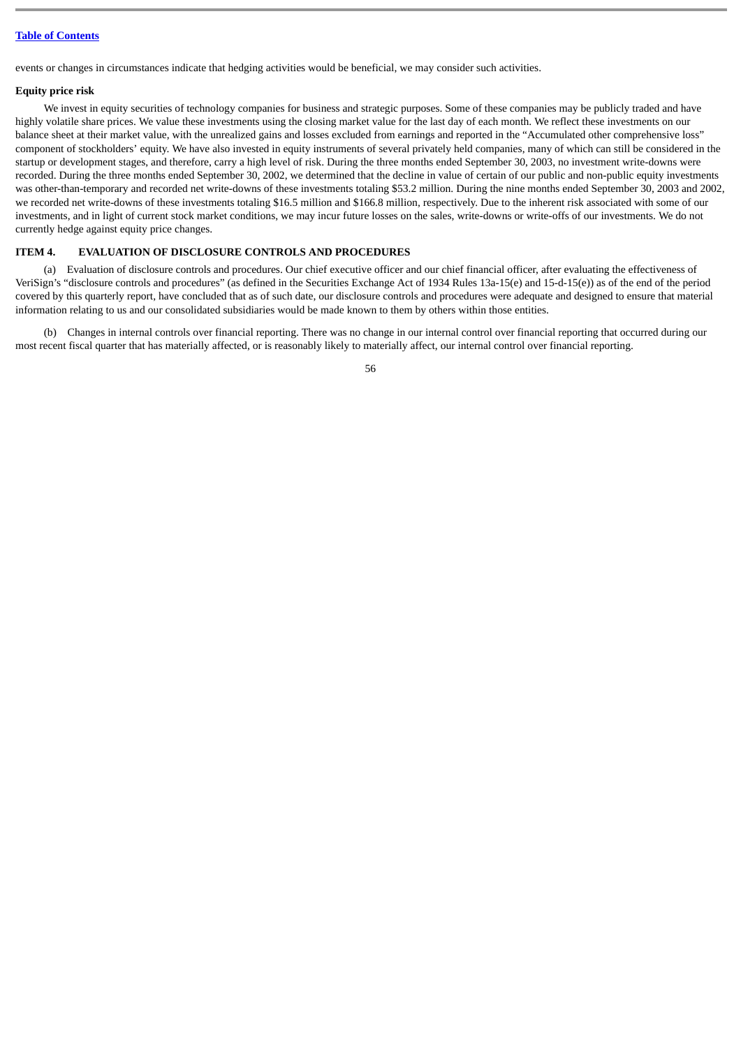events or changes in circumstances indicate that hedging activities would be beneficial, we may consider such activities.

## **Equity price risk**

We invest in equity securities of technology companies for business and strategic purposes. Some of these companies may be publicly traded and have highly volatile share prices. We value these investments using the closing market value for the last day of each month. We reflect these investments on our balance sheet at their market value, with the unrealized gains and losses excluded from earnings and reported in the "Accumulated other comprehensive loss" component of stockholders' equity. We have also invested in equity instruments of several privately held companies, many of which can still be considered in the startup or development stages, and therefore, carry a high level of risk. During the three months ended September 30, 2003, no investment write-downs were recorded. During the three months ended September 30, 2002, we determined that the decline in value of certain of our public and non-public equity investments was other-than-temporary and recorded net write-downs of these investments totaling \$53.2 million. During the nine months ended September 30, 2003 and 2002, we recorded net write-downs of these investments totaling \$16.5 million and \$166.8 million, respectively. Due to the inherent risk associated with some of our investments, and in light of current stock market conditions, we may incur future losses on the sales, write-downs or write-offs of our investments. We do not currently hedge against equity price changes.

## **ITEM 4. EVALUATION OF DISCLOSURE CONTROLS AND PROCEDURES**

(a) Evaluation of disclosure controls and procedures. Our chief executive officer and our chief financial officer, after evaluating the effectiveness of VeriSign's "disclosure controls and procedures" (as defined in the Securities Exchange Act of 1934 Rules 13a-15(e) and 15-d-15(e)) as of the end of the period covered by this quarterly report, have concluded that as of such date, our disclosure controls and procedures were adequate and designed to ensure that material information relating to us and our consolidated subsidiaries would be made known to them by others within those entities.

(b) Changes in internal controls over financial reporting. There was no change in our internal control over financial reporting that occurred during our most recent fiscal quarter that has materially affected, or is reasonably likely to materially affect, our internal control over financial reporting.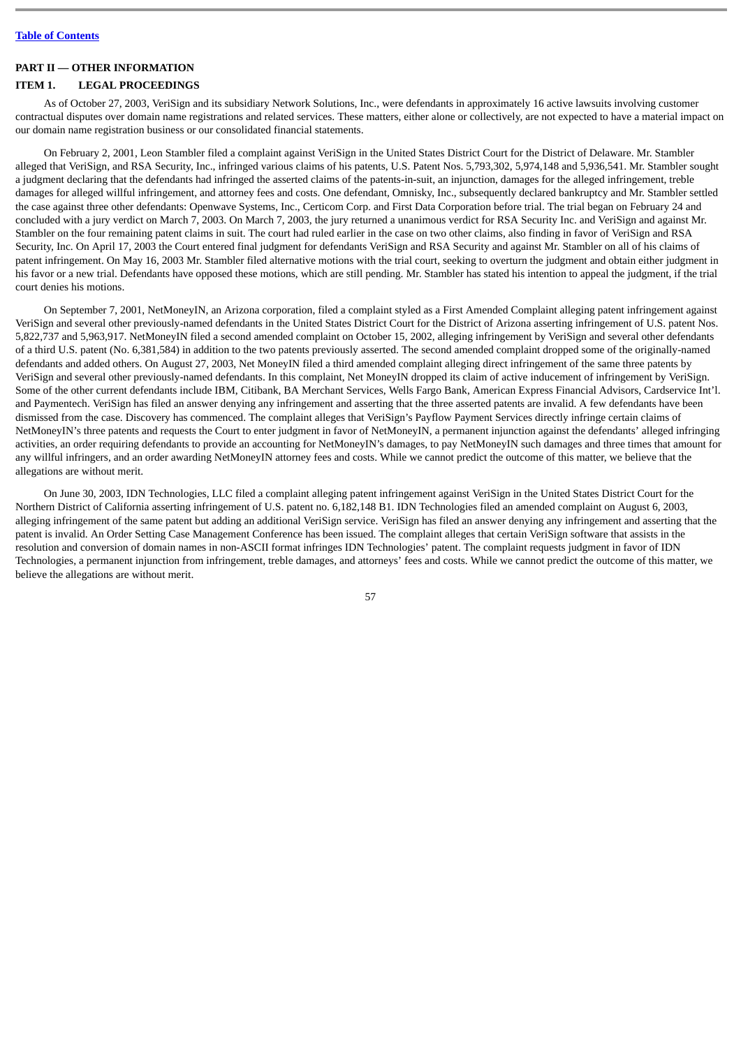# **PART II — OTHER INFORMATION**

## **ITEM 1. LEGAL PROCEEDINGS**

As of October 27, 2003, VeriSign and its subsidiary Network Solutions, Inc., were defendants in approximately 16 active lawsuits involving customer contractual disputes over domain name registrations and related services. These matters, either alone or collectively, are not expected to have a material impact on our domain name registration business or our consolidated financial statements.

On February 2, 2001, Leon Stambler filed a complaint against VeriSign in the United States District Court for the District of Delaware. Mr. Stambler alleged that VeriSign, and RSA Security, Inc., infringed various claims of his patents, U.S. Patent Nos. 5,793,302, 5,974,148 and 5,936,541. Mr. Stambler sought a judgment declaring that the defendants had infringed the asserted claims of the patents-in-suit, an injunction, damages for the alleged infringement, treble damages for alleged willful infringement, and attorney fees and costs. One defendant, Omnisky, Inc., subsequently declared bankruptcy and Mr. Stambler settled the case against three other defendants: Openwave Systems, Inc., Certicom Corp. and First Data Corporation before trial. The trial began on February 24 and concluded with a jury verdict on March 7, 2003. On March 7, 2003, the jury returned a unanimous verdict for RSA Security Inc. and VeriSign and against Mr. Stambler on the four remaining patent claims in suit. The court had ruled earlier in the case on two other claims, also finding in favor of VeriSign and RSA Security, Inc. On April 17, 2003 the Court entered final judgment for defendants VeriSign and RSA Security and against Mr. Stambler on all of his claims of patent infringement. On May 16, 2003 Mr. Stambler filed alternative motions with the trial court, seeking to overturn the judgment and obtain either judgment in his favor or a new trial. Defendants have opposed these motions, which are still pending. Mr. Stambler has stated his intention to appeal the judgment, if the trial court denies his motions.

On September 7, 2001, NetMoneyIN, an Arizona corporation, filed a complaint styled as a First Amended Complaint alleging patent infringement against VeriSign and several other previously-named defendants in the United States District Court for the District of Arizona asserting infringement of U.S. patent Nos. 5,822,737 and 5,963,917. NetMoneyIN filed a second amended complaint on October 15, 2002, alleging infringement by VeriSign and several other defendants of a third U.S. patent (No. 6,381,584) in addition to the two patents previously asserted. The second amended complaint dropped some of the originally-named defendants and added others. On August 27, 2003, Net MoneyIN filed a third amended complaint alleging direct infringement of the same three patents by VeriSign and several other previously-named defendants. In this complaint, Net MoneyIN dropped its claim of active inducement of infringement by VeriSign. Some of the other current defendants include IBM, Citibank, BA Merchant Services, Wells Fargo Bank, American Express Financial Advisors, Cardservice Int'l. and Paymentech. VeriSign has filed an answer denying any infringement and asserting that the three asserted patents are invalid. A few defendants have been dismissed from the case. Discovery has commenced. The complaint alleges that VeriSign's Payflow Payment Services directly infringe certain claims of NetMoneyIN's three patents and requests the Court to enter judgment in favor of NetMoneyIN, a permanent injunction against the defendants' alleged infringing activities, an order requiring defendants to provide an accounting for NetMoneyIN's damages, to pay NetMoneyIN such damages and three times that amount for any willful infringers, and an order awarding NetMoneyIN attorney fees and costs. While we cannot predict the outcome of this matter, we believe that the allegations are without merit.

On June 30, 2003, IDN Technologies, LLC filed a complaint alleging patent infringement against VeriSign in the United States District Court for the Northern District of California asserting infringement of U.S. patent no. 6,182,148 B1. IDN Technologies filed an amended complaint on August 6, 2003, alleging infringement of the same patent but adding an additional VeriSign service. VeriSign has filed an answer denying any infringement and asserting that the patent is invalid. An Order Setting Case Management Conference has been issued. The complaint alleges that certain VeriSign software that assists in the resolution and conversion of domain names in non-ASCII format infringes IDN Technologies' patent. The complaint requests judgment in favor of IDN Technologies, a permanent injunction from infringement, treble damages, and attorneys' fees and costs. While we cannot predict the outcome of this matter, we believe the allegations are without merit.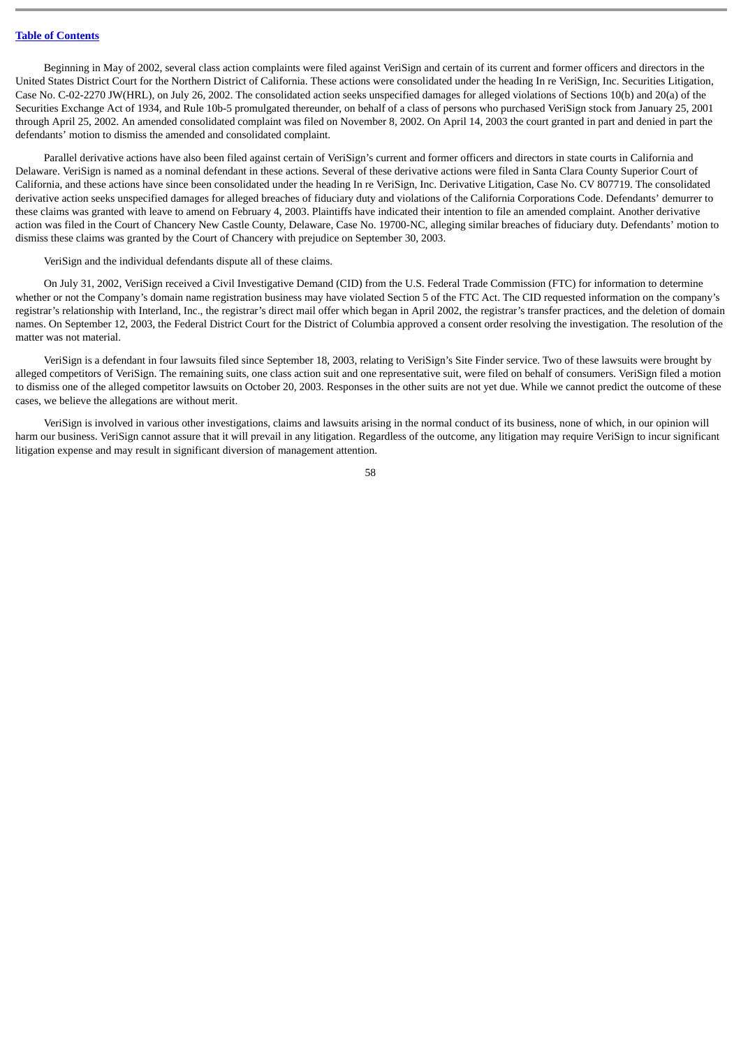Beginning in May of 2002, several class action complaints were filed against VeriSign and certain of its current and former officers and directors in the United States District Court for the Northern District of California. These actions were consolidated under the heading In re VeriSign, Inc. Securities Litigation, Case No. C-02-2270 JW(HRL), on July 26, 2002. The consolidated action seeks unspecified damages for alleged violations of Sections 10(b) and 20(a) of the Securities Exchange Act of 1934, and Rule 10b-5 promulgated thereunder, on behalf of a class of persons who purchased VeriSign stock from January 25, 2001 through April 25, 2002. An amended consolidated complaint was filed on November 8, 2002. On April 14, 2003 the court granted in part and denied in part the defendants' motion to dismiss the amended and consolidated complaint.

Parallel derivative actions have also been filed against certain of VeriSign's current and former officers and directors in state courts in California and Delaware. VeriSign is named as a nominal defendant in these actions. Several of these derivative actions were filed in Santa Clara County Superior Court of California, and these actions have since been consolidated under the heading In re VeriSign, Inc. Derivative Litigation, Case No. CV 807719. The consolidated derivative action seeks unspecified damages for alleged breaches of fiduciary duty and violations of the California Corporations Code. Defendants' demurrer to these claims was granted with leave to amend on February 4, 2003. Plaintiffs have indicated their intention to file an amended complaint. Another derivative action was filed in the Court of Chancery New Castle County, Delaware, Case No. 19700-NC, alleging similar breaches of fiduciary duty. Defendants' motion to dismiss these claims was granted by the Court of Chancery with prejudice on September 30, 2003.

VeriSign and the individual defendants dispute all of these claims.

On July 31, 2002, VeriSign received a Civil Investigative Demand (CID) from the U.S. Federal Trade Commission (FTC) for information to determine whether or not the Company's domain name registration business may have violated Section 5 of the FTC Act. The CID requested information on the company's registrar's relationship with Interland, Inc., the registrar's direct mail offer which began in April 2002, the registrar's transfer practices, and the deletion of domain names. On September 12, 2003, the Federal District Court for the District of Columbia approved a consent order resolving the investigation. The resolution of the matter was not material.

VeriSign is a defendant in four lawsuits filed since September 18, 2003, relating to VeriSign's Site Finder service. Two of these lawsuits were brought by alleged competitors of VeriSign. The remaining suits, one class action suit and one representative suit, were filed on behalf of consumers. VeriSign filed a motion to dismiss one of the alleged competitor lawsuits on October 20, 2003. Responses in the other suits are not yet due. While we cannot predict the outcome of these cases, we believe the allegations are without merit.

VeriSign is involved in various other investigations, claims and lawsuits arising in the normal conduct of its business, none of which, in our opinion will harm our business. VeriSign cannot assure that it will prevail in any litigation. Regardless of the outcome, any litigation may require VeriSign to incur significant litigation expense and may result in significant diversion of management attention.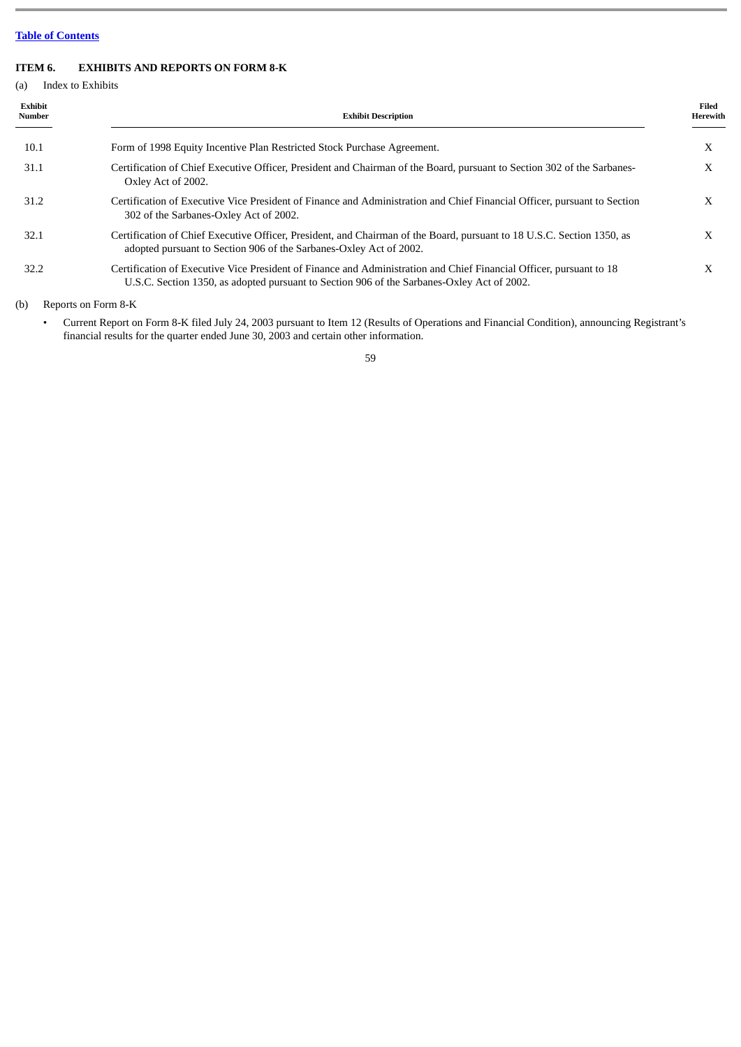## **ITEM 6. EXHIBITS AND REPORTS ON FORM 8-K**

## (a) Index to Exhibits

| Exhibit<br>Number | <b>Exhibit Description</b>                                                                                                                                                                                        | Filed<br>Herewith |
|-------------------|-------------------------------------------------------------------------------------------------------------------------------------------------------------------------------------------------------------------|-------------------|
| 10.1              | Form of 1998 Equity Incentive Plan Restricted Stock Purchase Agreement.                                                                                                                                           | X                 |
| 31.1              | Certification of Chief Executive Officer, President and Chairman of the Board, pursuant to Section 302 of the Sarbanes-<br>Oxley Act of 2002.                                                                     | $\lambda$         |
| 31.2              | Certification of Executive Vice President of Finance and Administration and Chief Financial Officer, pursuant to Section<br>302 of the Sarbanes-Oxley Act of 2002.                                                | X                 |
| 32.1              | Certification of Chief Executive Officer, President, and Chairman of the Board, pursuant to 18 U.S.C. Section 1350, as<br>adopted pursuant to Section 906 of the Sarbanes-Oxley Act of 2002.                      | х                 |
| 32.2              | Certification of Executive Vice President of Finance and Administration and Chief Financial Officer, pursuant to 18<br>U.S.C. Section 1350, as adopted pursuant to Section 906 of the Sarbanes-Oxley Act of 2002. | $\lambda$         |

(b) Reports on Form 8-K

• Current Report on Form 8-K filed July 24, 2003 pursuant to Item 12 (Results of Operations and Financial Condition), announcing Registrant's financial results for the quarter ended June 30, 2003 and certain other information.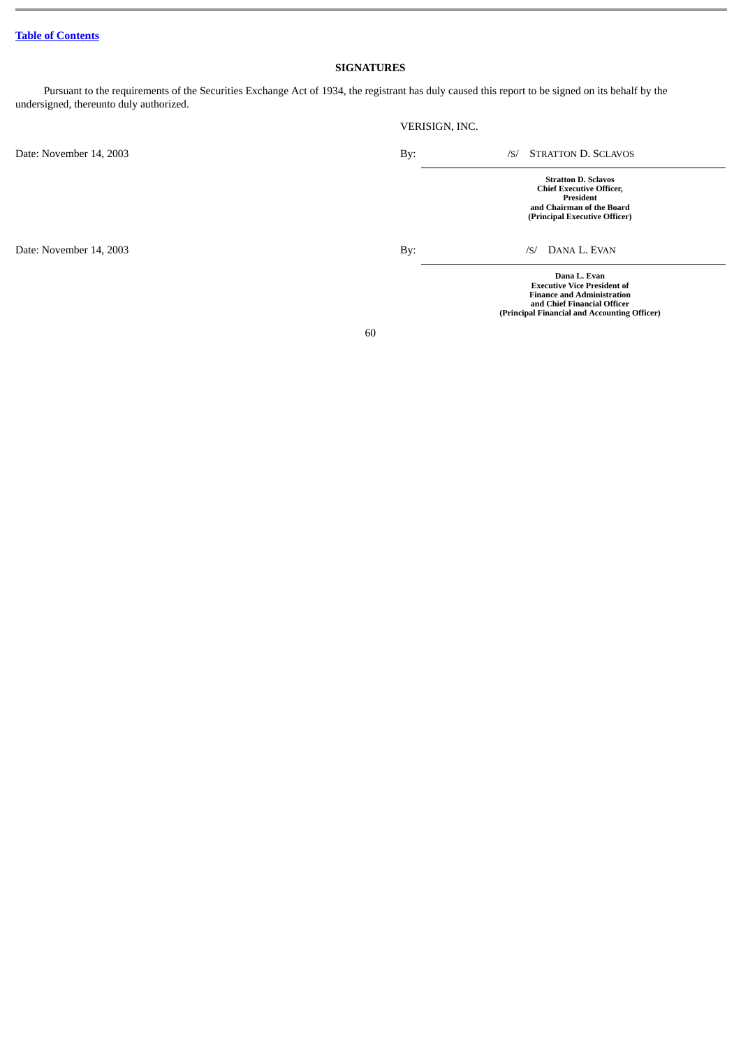# **SIGNATURES**

Pursuant to the requirements of the Securities Exchange Act of 1934, the registrant has duly caused this report to be signed on its behalf by the undersigned, thereunto duly authorized.

Date: November 14, 2003 By: /S/ STRATTON D. SCLAVOS

Date: November 14, 2003 By: /S/ DANA L. EVAN

VERISIGN, INC.

**Stratton D. Sclavos Chief Executive Officer, President and Chairman of the Board (Principal Executive Officer)**

**Dana L. Evan Executive Vice President of Finance and Administration and Chief Financial Officer (Principal Financial and Accounting Officer)**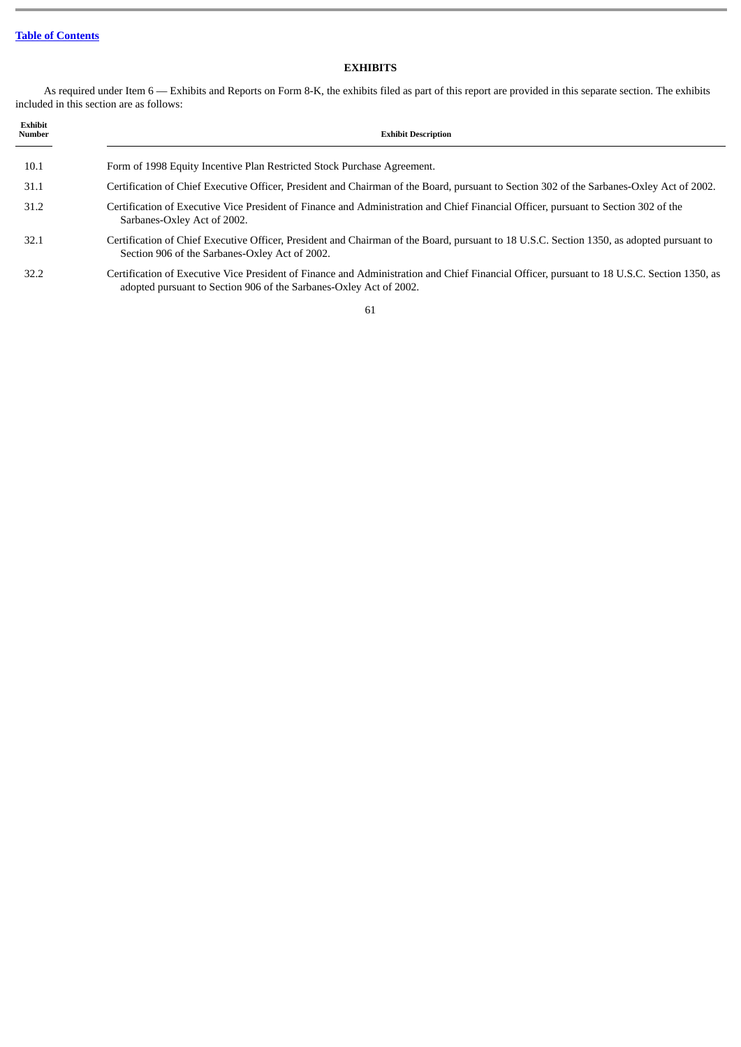# **EXHIBITS**

As required under Item 6 — Exhibits and Reports on Form 8-K, the exhibits filed as part of this report are provided in this separate section. The exhibits included in this section are as follows:

| Exhibit<br>Number | <b>Exhibit Description</b>                                                                                                                                                                                        |  |  |
|-------------------|-------------------------------------------------------------------------------------------------------------------------------------------------------------------------------------------------------------------|--|--|
| 10.1              | Form of 1998 Equity Incentive Plan Restricted Stock Purchase Agreement.                                                                                                                                           |  |  |
| 31.1              | Certification of Chief Executive Officer, President and Chairman of the Board, pursuant to Section 302 of the Sarbanes-Oxley Act of 2002.                                                                         |  |  |
| 31.2              | Certification of Executive Vice President of Finance and Administration and Chief Financial Officer, pursuant to Section 302 of the<br>Sarbanes-Oxley Act of 2002.                                                |  |  |
| 32.1              | Certification of Chief Executive Officer, President and Chairman of the Board, pursuant to 18 U.S.C. Section 1350, as adopted pursuant to<br>Section 906 of the Sarbanes-Oxley Act of 2002.                       |  |  |
| 32.2              | Certification of Executive Vice President of Finance and Administration and Chief Financial Officer, pursuant to 18 U.S.C. Section 1350, as<br>adopted pursuant to Section 906 of the Sarbanes-Oxley Act of 2002. |  |  |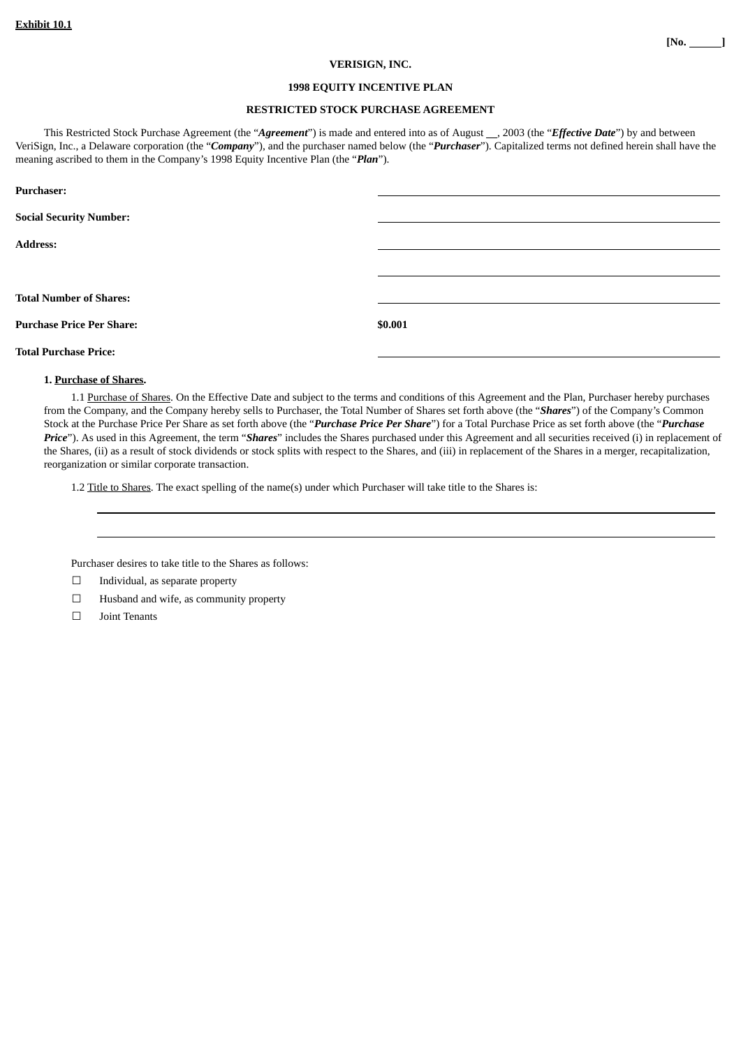# **VERISIGN, INC.**

## **1998 EQUITY INCENTIVE PLAN**

#### **RESTRICTED STOCK PURCHASE AGREEMENT**

This Restricted Stock Purchase Agreement (the "Agreement") is made and entered into as of August \_, 2003 (the "Effective Date") by and between VeriSign, Inc., a Delaware corporation (the "*Company*"), and the purchaser named below (the "*Purchaser*"). Capitalized terms not defined herein shall have the meaning ascribed to them in the Company's 1998 Equity Incentive Plan (the "*Plan*").

| <b>Purchaser:</b>                |         |
|----------------------------------|---------|
| <b>Social Security Number:</b>   |         |
| <b>Address:</b>                  |         |
|                                  |         |
| <b>Total Number of Shares:</b>   |         |
| <b>Purchase Price Per Share:</b> | \$0.001 |
| <b>Total Purchase Price:</b>     |         |

#### **1. Purchase of Shares.**

1.1 Purchase of Shares. On the Effective Date and subject to the terms and conditions of this Agreement and the Plan, Purchaser hereby purchases from the Company, and the Company hereby sells to Purchaser, the Total Number of Shares set forth above (the "*Shares*") of the Company's Common Stock at the Purchase Price Per Share as set forth above (the "*Purchase Price Per Share*") for a Total Purchase Price as set forth above (the "*Purchase Price*"). As used in this Agreement, the term "*Shares*" includes the Shares purchased under this Agreement and all securities received (i) in replacement of the Shares, (ii) as a result of stock dividends or stock splits with respect to the Shares, and (iii) in replacement of the Shares in a merger, recapitalization, reorganization or similar corporate transaction.

1.2 Title to Shares. The exact spelling of the name(s) under which Purchaser will take title to the Shares is:

Purchaser desires to take title to the Shares as follows:

- ☐ Individual, as separate property
- ☐ Husband and wife, as community property
- ☐ Joint Tenants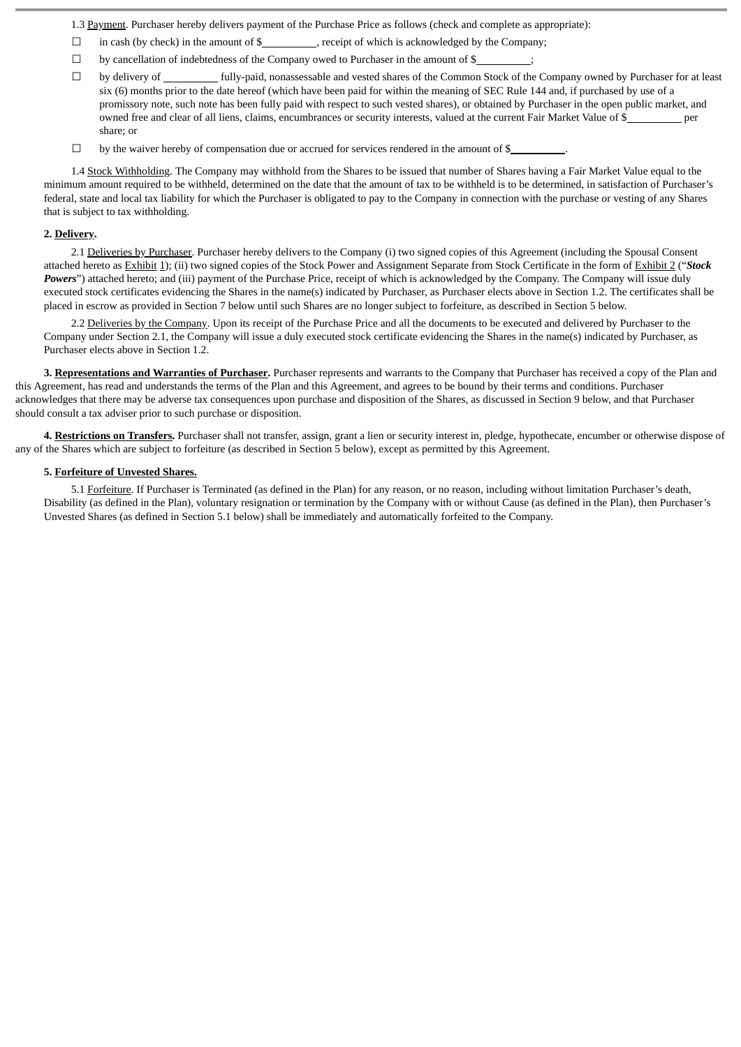1.3 Payment. Purchaser hereby delivers payment of the Purchase Price as follows (check and complete as appropriate):

- $\Box$  in cash (by check) in the amount of \$, receipt of which is acknowledged by the Company;
- $\Box$  by cancellation of indebtedness of the Company owed to Purchaser in the amount of \$
- ☐ by delivery of fully-paid, nonassessable and vested shares of the Common Stock of the Company owned by Purchaser for at least six (6) months prior to the date hereof (which have been paid for within the meaning of SEC Rule 144 and, if purchased by use of a promissory note, such note has been fully paid with respect to such vested shares), or obtained by Purchaser in the open public market, and owned free and clear of all liens, claims, encumbrances or security interests, valued at the current Fair Market Value of \$ per share; or
- $\Box$  by the waiver hereby of compensation due or accrued for services rendered in the amount of \$

1.4 Stock Withholding. The Company may withhold from the Shares to be issued that number of Shares having a Fair Market Value equal to the minimum amount required to be withheld, determined on the date that the amount of tax to be withheld is to be determined, in satisfaction of Purchaser's federal, state and local tax liability for which the Purchaser is obligated to pay to the Company in connection with the purchase or vesting of any Shares that is subject to tax withholding.

#### **2. Delivery.**

2.1 Deliveries by Purchaser. Purchaser hereby delivers to the Company (i) two signed copies of this Agreement (including the Spousal Consent attached hereto as Exhibit 1); (ii) two signed copies of the Stock Power and Assignment Separate from Stock Certificate in the form of Exhibit 2 ("*Stock Powers*") attached hereto; and (iii) payment of the Purchase Price, receipt of which is acknowledged by the Company. The Company will issue duly executed stock certificates evidencing the Shares in the name(s) indicated by Purchaser, as Purchaser elects above in Section 1.2. The certificates shall be placed in escrow as provided in Section 7 below until such Shares are no longer subject to forfeiture, as described in Section 5 below.

2.2 Deliveries by the Company. Upon its receipt of the Purchase Price and all the documents to be executed and delivered by Purchaser to the Company under Section 2.1, the Company will issue a duly executed stock certificate evidencing the Shares in the name(s) indicated by Purchaser, as Purchaser elects above in Section 1.2.

**3. Representations and Warranties of Purchaser.** Purchaser represents and warrants to the Company that Purchaser has received a copy of the Plan and this Agreement, has read and understands the terms of the Plan and this Agreement, and agrees to be bound by their terms and conditions. Purchaser acknowledges that there may be adverse tax consequences upon purchase and disposition of the Shares, as discussed in Section 9 below, and that Purchaser should consult a tax adviser prior to such purchase or disposition.

**4. Restrictions on Transfers.** Purchaser shall not transfer, assign, grant a lien or security interest in, pledge, hypothecate, encumber or otherwise dispose of any of the Shares which are subject to forfeiture (as described in Section 5 below), except as permitted by this Agreement.

## **5. Forfeiture of Unvested Shares.**

5.1 Forfeiture. If Purchaser is Terminated (as defined in the Plan) for any reason, or no reason, including without limitation Purchaser's death, Disability (as defined in the Plan), voluntary resignation or termination by the Company with or without Cause (as defined in the Plan), then Purchaser's Unvested Shares (as defined in Section 5.1 below) shall be immediately and automatically forfeited to the Company.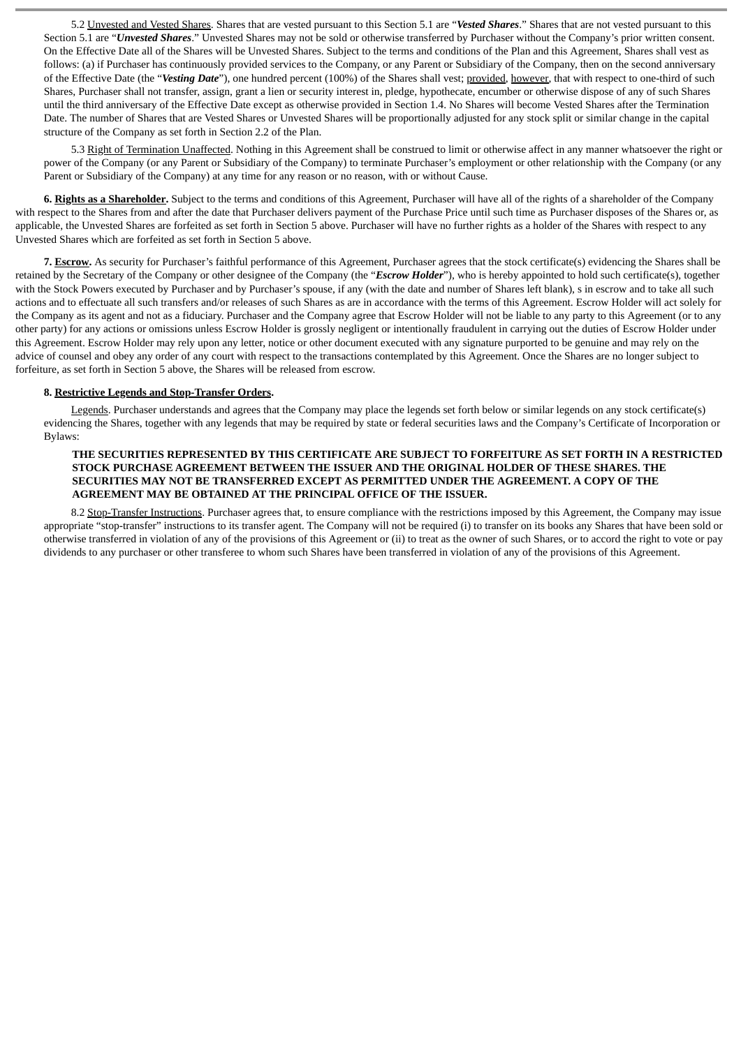5.2 Unvested and Vested Shares. Shares that are vested pursuant to this Section 5.1 are "*Vested Shares*." Shares that are not vested pursuant to this Section 5.1 are "*Unvested Shares*." Unvested Shares may not be sold or otherwise transferred by Purchaser without the Company's prior written consent. On the Effective Date all of the Shares will be Unvested Shares. Subject to the terms and conditions of the Plan and this Agreement, Shares shall vest as follows: (a) if Purchaser has continuously provided services to the Company, or any Parent or Subsidiary of the Company, then on the second anniversary of the Effective Date (the "Vesting Date"), one hundred percent (100%) of the Shares shall vest; provided, however, that with respect to one-third of such Shares, Purchaser shall not transfer, assign, grant a lien or security interest in, pledge, hypothecate, encumber or otherwise dispose of any of such Shares until the third anniversary of the Effective Date except as otherwise provided in Section 1.4. No Shares will become Vested Shares after the Termination Date. The number of Shares that are Vested Shares or Unvested Shares will be proportionally adjusted for any stock split or similar change in the capital structure of the Company as set forth in Section 2.2 of the Plan.

5.3 Right of Termination Unaffected. Nothing in this Agreement shall be construed to limit or otherwise affect in any manner whatsoever the right or power of the Company (or any Parent or Subsidiary of the Company) to terminate Purchaser's employment or other relationship with the Company (or any Parent or Subsidiary of the Company) at any time for any reason or no reason, with or without Cause.

**6. Rights as a Shareholder.** Subject to the terms and conditions of this Agreement, Purchaser will have all of the rights of a shareholder of the Company with respect to the Shares from and after the date that Purchaser delivers payment of the Purchase Price until such time as Purchaser disposes of the Shares or, as applicable, the Unvested Shares are forfeited as set forth in Section 5 above. Purchaser will have no further rights as a holder of the Shares with respect to any Unvested Shares which are forfeited as set forth in Section 5 above.

**7. Escrow.** As security for Purchaser's faithful performance of this Agreement, Purchaser agrees that the stock certificate(s) evidencing the Shares shall be retained by the Secretary of the Company or other designee of the Company (the "*Escrow Holder*"), who is hereby appointed to hold such certificate(s), together with the Stock Powers executed by Purchaser and by Purchaser's spouse, if any (with the date and number of Shares left blank), s in escrow and to take all such actions and to effectuate all such transfers and/or releases of such Shares as are in accordance with the terms of this Agreement. Escrow Holder will act solely for the Company as its agent and not as a fiduciary. Purchaser and the Company agree that Escrow Holder will not be liable to any party to this Agreement (or to any other party) for any actions or omissions unless Escrow Holder is grossly negligent or intentionally fraudulent in carrying out the duties of Escrow Holder under this Agreement. Escrow Holder may rely upon any letter, notice or other document executed with any signature purported to be genuine and may rely on the advice of counsel and obey any order of any court with respect to the transactions contemplated by this Agreement. Once the Shares are no longer subject to forfeiture, as set forth in Section 5 above, the Shares will be released from escrow.

#### **8. Restrictive Legends and Stop-Transfer Orders.**

Legends. Purchaser understands and agrees that the Company may place the legends set forth below or similar legends on any stock certificate(s) evidencing the Shares, together with any legends that may be required by state or federal securities laws and the Company's Certificate of Incorporation or Bylaws:

## **THE SECURITIES REPRESENTED BY THIS CERTIFICATE ARE SUBJECT TO FORFEITURE AS SET FORTH IN A RESTRICTED STOCK PURCHASE AGREEMENT BETWEEN THE ISSUER AND THE ORIGINAL HOLDER OF THESE SHARES. THE SECURITIES MAY NOT BE TRANSFERRED EXCEPT AS PERMITTED UNDER THE AGREEMENT. A COPY OF THE AGREEMENT MAY BE OBTAINED AT THE PRINCIPAL OFFICE OF THE ISSUER.**

8.2 Stop-Transfer Instructions. Purchaser agrees that, to ensure compliance with the restrictions imposed by this Agreement, the Company may issue appropriate "stop-transfer" instructions to its transfer agent. The Company will not be required (i) to transfer on its books any Shares that have been sold or otherwise transferred in violation of any of the provisions of this Agreement or (ii) to treat as the owner of such Shares, or to accord the right to vote or pay dividends to any purchaser or other transferee to whom such Shares have been transferred in violation of any of the provisions of this Agreement.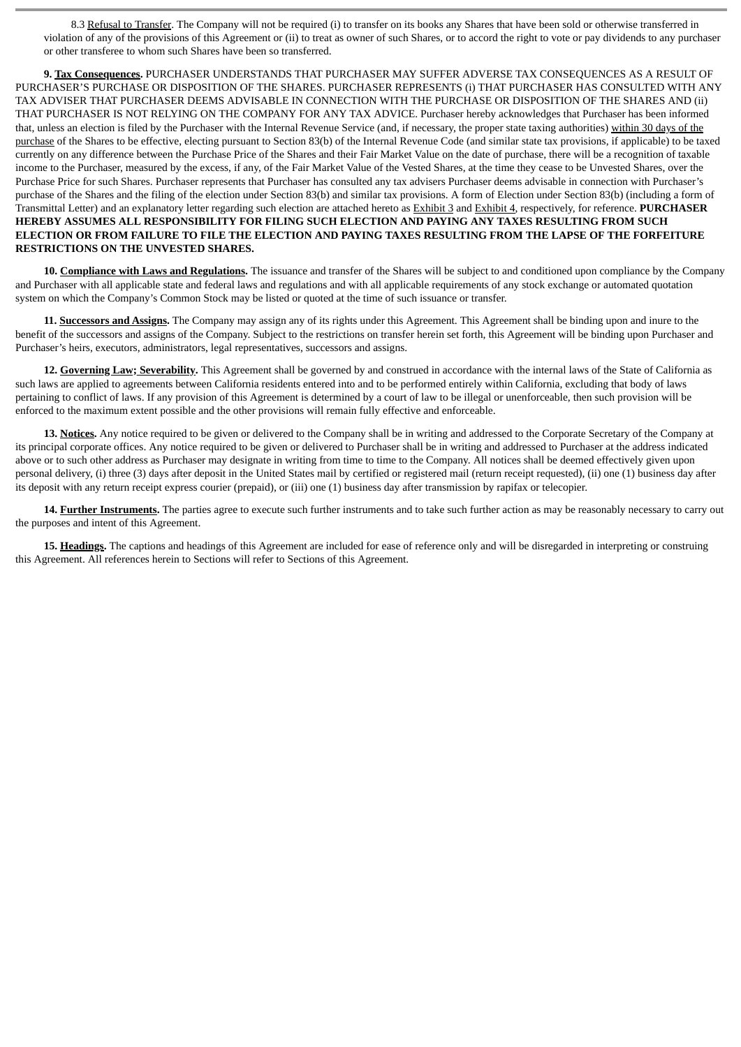8.3 Refusal to Transfer. The Company will not be required (i) to transfer on its books any Shares that have been sold or otherwise transferred in violation of any of the provisions of this Agreement or (ii) to treat as owner of such Shares, or to accord the right to vote or pay dividends to any purchaser or other transferee to whom such Shares have been so transferred.

**9. Tax Consequences.** PURCHASER UNDERSTANDS THAT PURCHASER MAY SUFFER ADVERSE TAX CONSEQUENCES AS A RESULT OF PURCHASER'S PURCHASE OR DISPOSITION OF THE SHARES. PURCHASER REPRESENTS (i) THAT PURCHASER HAS CONSULTED WITH ANY TAX ADVISER THAT PURCHASER DEEMS ADVISABLE IN CONNECTION WITH THE PURCHASE OR DISPOSITION OF THE SHARES AND (ii) THAT PURCHASER IS NOT RELYING ON THE COMPANY FOR ANY TAX ADVICE. Purchaser hereby acknowledges that Purchaser has been informed that, unless an election is filed by the Purchaser with the Internal Revenue Service (and, if necessary, the proper state taxing authorities) within 30 days of the purchase of the Shares to be effective, electing pursuant to Section 83(b) of the Internal Revenue Code (and similar state tax provisions, if applicable) to be taxed currently on any difference between the Purchase Price of the Shares and their Fair Market Value on the date of purchase, there will be a recognition of taxable income to the Purchaser, measured by the excess, if any, of the Fair Market Value of the Vested Shares, at the time they cease to be Unvested Shares, over the Purchase Price for such Shares. Purchaser represents that Purchaser has consulted any tax advisers Purchaser deems advisable in connection with Purchaser's purchase of the Shares and the filing of the election under Section 83(b) and similar tax provisions. A form of Election under Section 83(b) (including a form of Transmittal Letter) and an explanatory letter regarding such election are attached hereto as Exhibit 3 and Exhibit 4, respectively, for reference. **PURCHASER HEREBY ASSUMES ALL RESPONSIBILITY FOR FILING SUCH ELECTION AND PAYING ANY TAXES RESULTING FROM SUCH ELECTION OR FROM FAILURE TO FILE THE ELECTION AND PAYING TAXES RESULTING FROM THE LAPSE OF THE FORFEITURE RESTRICTIONS ON THE UNVESTED SHARES.**

**10. Compliance with Laws and Regulations.** The issuance and transfer of the Shares will be subject to and conditioned upon compliance by the Company and Purchaser with all applicable state and federal laws and regulations and with all applicable requirements of any stock exchange or automated quotation system on which the Company's Common Stock may be listed or quoted at the time of such issuance or transfer.

**11. Successors and Assigns.** The Company may assign any of its rights under this Agreement. This Agreement shall be binding upon and inure to the benefit of the successors and assigns of the Company. Subject to the restrictions on transfer herein set forth, this Agreement will be binding upon Purchaser and Purchaser's heirs, executors, administrators, legal representatives, successors and assigns.

**12. Governing Law; Severability.** This Agreement shall be governed by and construed in accordance with the internal laws of the State of California as such laws are applied to agreements between California residents entered into and to be performed entirely within California, excluding that body of laws pertaining to conflict of laws. If any provision of this Agreement is determined by a court of law to be illegal or unenforceable, then such provision will be enforced to the maximum extent possible and the other provisions will remain fully effective and enforceable.

**13. Notices.** Any notice required to be given or delivered to the Company shall be in writing and addressed to the Corporate Secretary of the Company at its principal corporate offices. Any notice required to be given or delivered to Purchaser shall be in writing and addressed to Purchaser at the address indicated above or to such other address as Purchaser may designate in writing from time to time to the Company. All notices shall be deemed effectively given upon personal delivery, (i) three (3) days after deposit in the United States mail by certified or registered mail (return receipt requested), (ii) one (1) business day after its deposit with any return receipt express courier (prepaid), or (iii) one (1) business day after transmission by rapifax or telecopier.

14. Further Instruments. The parties agree to execute such further instruments and to take such further action as may be reasonably necessary to carry out the purposes and intent of this Agreement.

**15. Headings.** The captions and headings of this Agreement are included for ease of reference only and will be disregarded in interpreting or construing this Agreement. All references herein to Sections will refer to Sections of this Agreement.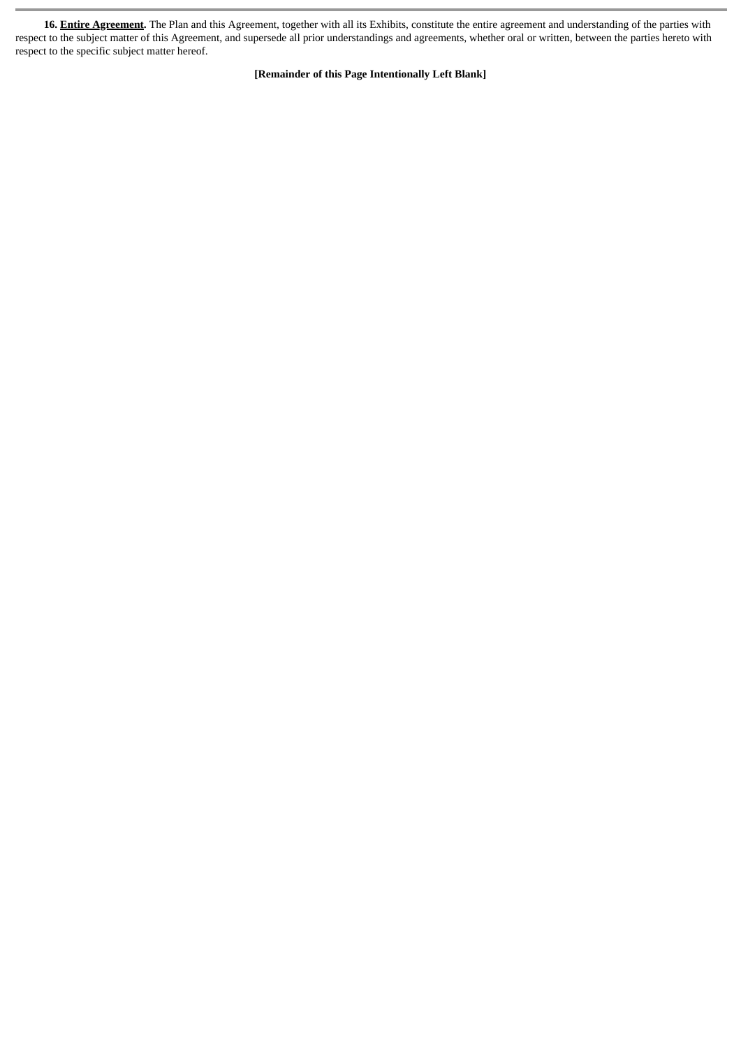**16. Entire Agreement.** The Plan and this Agreement, together with all its Exhibits, constitute the entire agreement and understanding of the parties with respect to the subject matter of this Agreement, and supersede all prior understandings and agreements, whether oral or written, between the parties hereto with respect to the specific subject matter hereof.

**[Remainder of this Page Intentionally Left Blank]**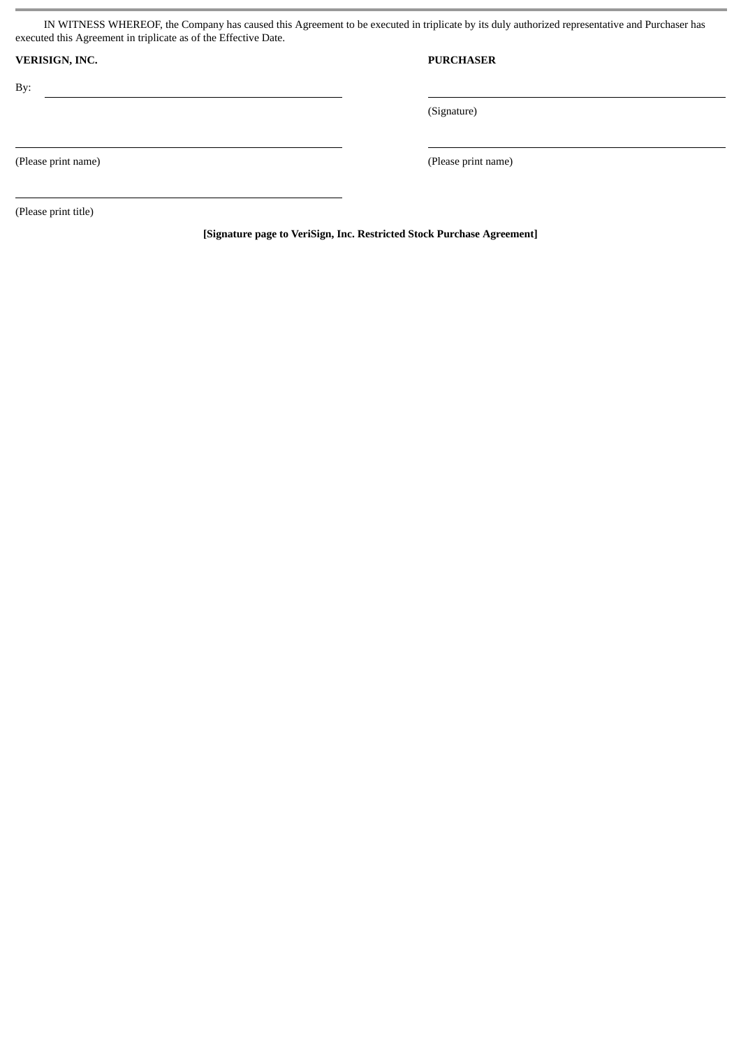IN WITNESS WHEREOF, the Company has caused this Agreement to be executed in triplicate by its duly authorized representative and Purchaser has executed this Agreement in triplicate as of the Effective Date.

## **VERISIGN, INC. PURCHASER**

By:

(Signature)

(Please print name) (Please print name)

(Please print title)

**[Signature page to VeriSign, Inc. Restricted Stock Purchase Agreement]**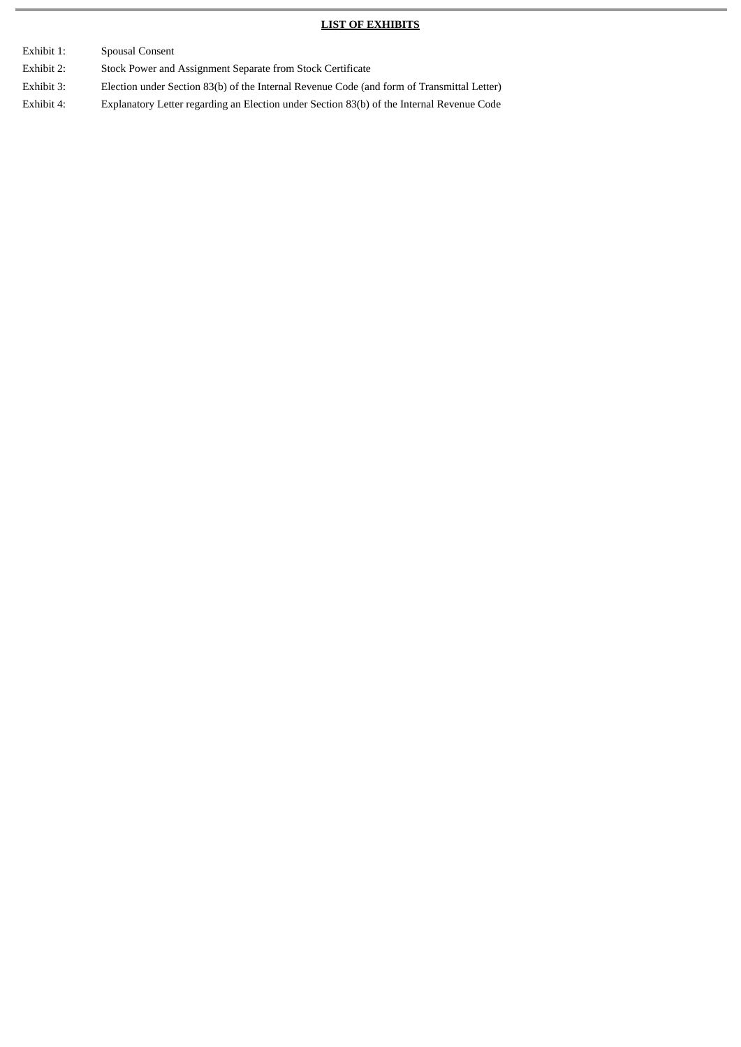# **LIST OF EXHIBITS**

- Exhibit 1: Spousal Consent
- Exhibit 2: Stock Power and Assignment Separate from Stock Certificate
- Exhibit 3: Election under Section 83(b) of the Internal Revenue Code (and form of Transmittal Letter)
- Exhibit 4: Explanatory Letter regarding an Election under Section 83(b) of the Internal Revenue Code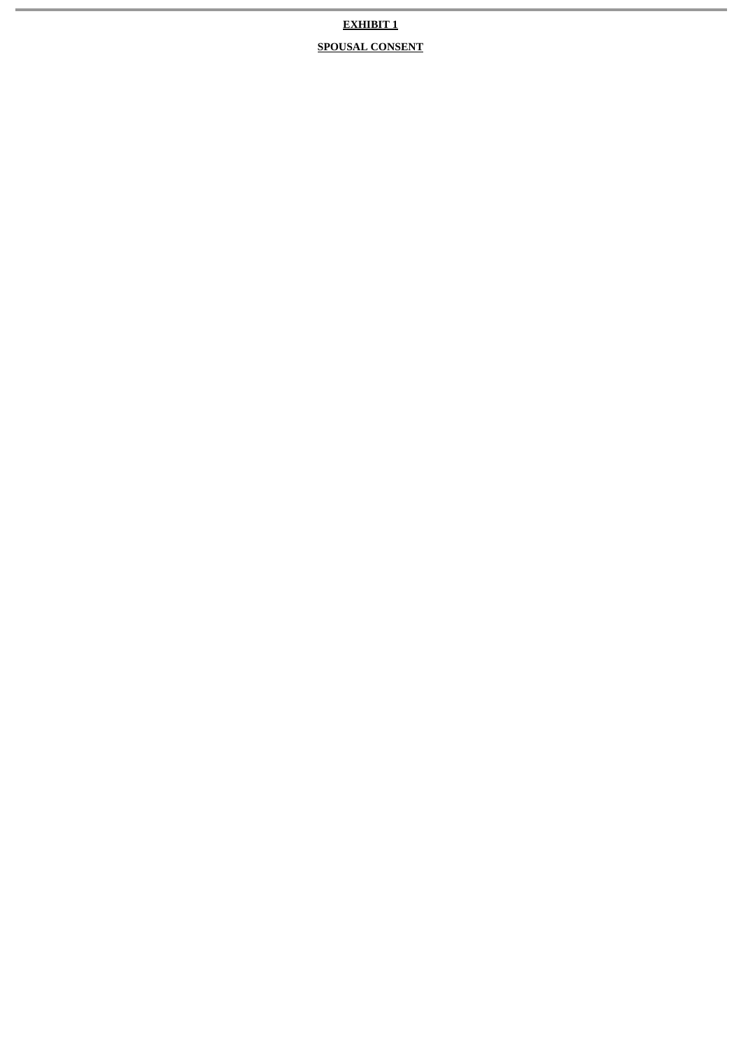# **EXHIBIT 1**

# **SPOUSAL CONSENT**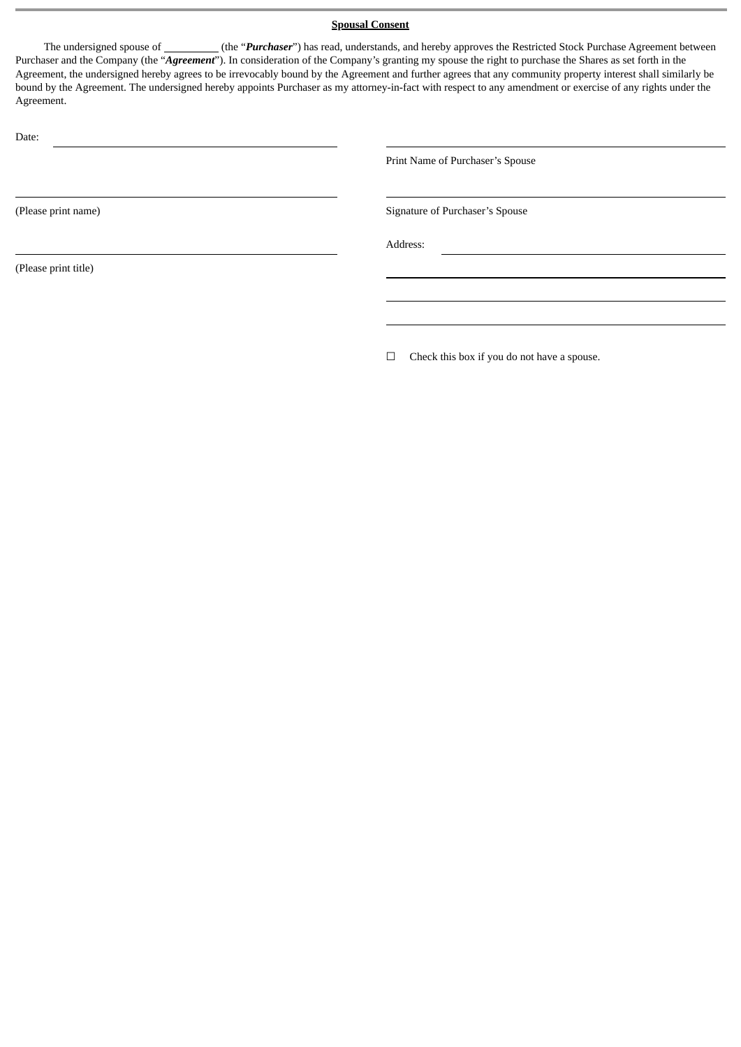## **Spousal Consent**

The undersigned spouse of \_\_\_\_\_\_\_\_(the "Purchaser") has read, understands, and hereby approves the Restricted Stock Purchase Agreement between Purchaser and the Company (the "*Agreement*"). In consideration of the Company's granting my spouse the right to purchase the Shares as set forth in the Agreement, the undersigned hereby agrees to be irrevocably bound by the Agreement and further agrees that any community property interest shall similarly be bound by the Agreement. The undersigned hereby appoints Purchaser as my attorney-in-fact with respect to any amendment or exercise of any rights under the Agreement.

Date:

Print Name of Purchaser's Spouse

(Please print title)

(Please print name) Signature of Purchaser's Spouse

Address:

 $\hfill\Box\quad$  Check this box if you do not have a spouse.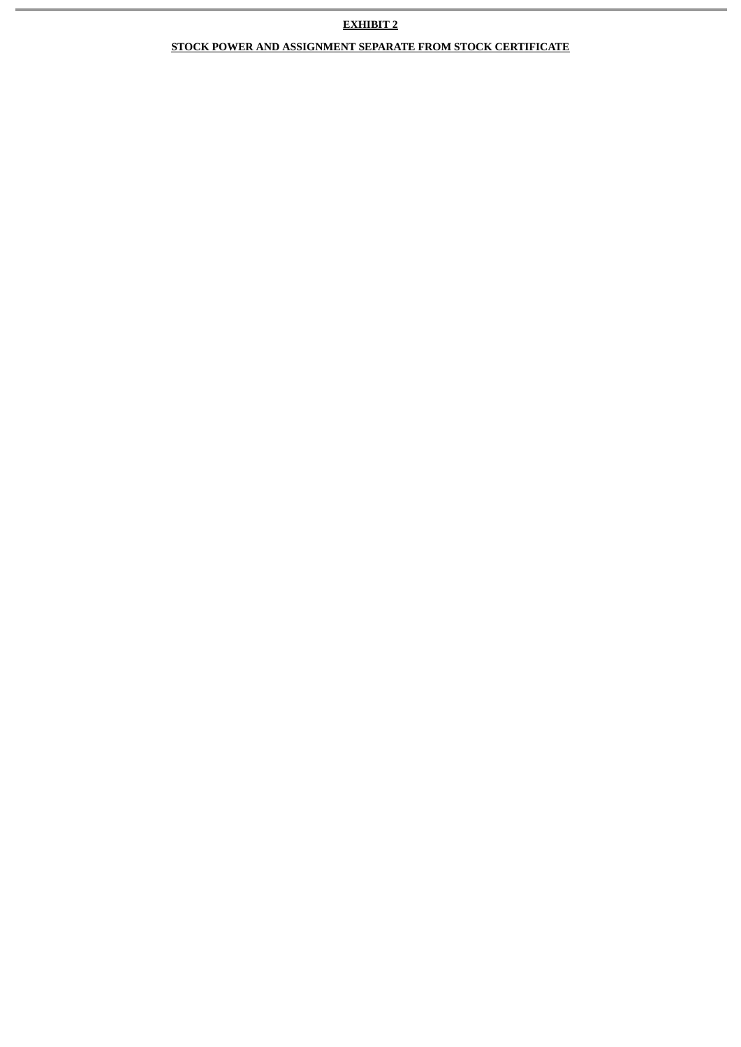# **EXHIBIT 2**

L,

 $\overline{\phantom{a}}$ 

# **STOCK POWER AND ASSIGNMENT SEPARATE FROM STOCK CERTIFICATE**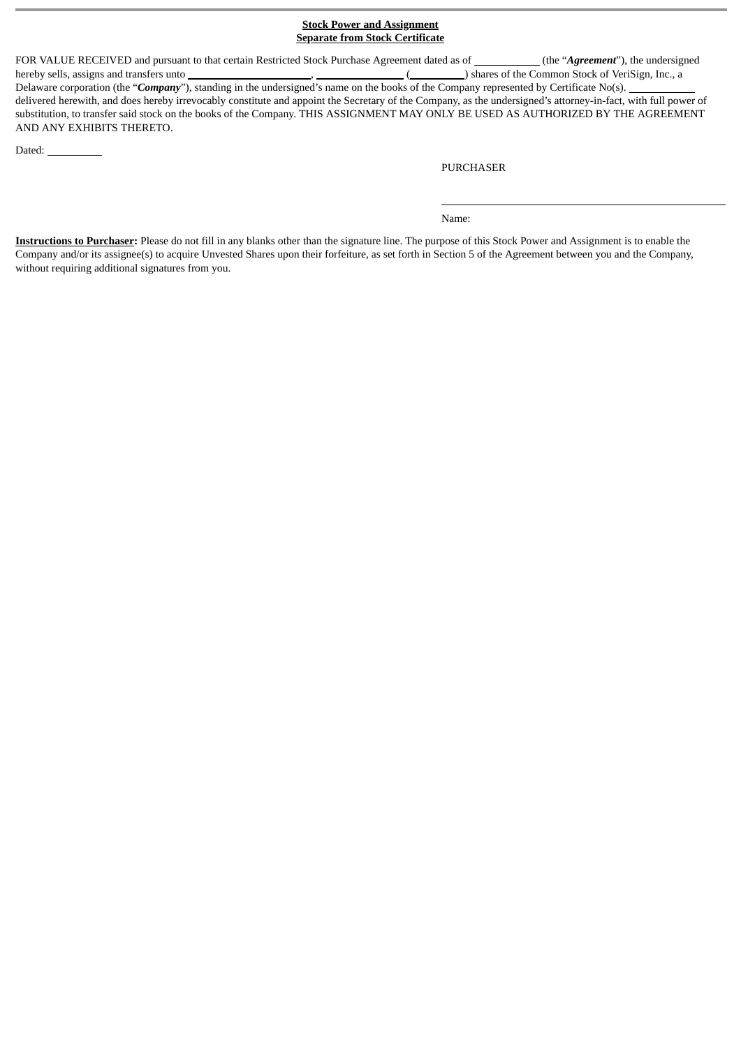### **Stock Power and Assignment Separate from Stock Certificate**

FOR VALUE RECEIVED and pursuant to that certain Restricted Stock Purchase Agreement dated as of (the "Agreement"), the undersigned hereby sells, assigns and transfers unto (and as expansion of the Common Stock of VeriSign, ( ) shares of the Common Stock of VeriSign, Inc., a Delaware corporation (the "*Company*"), standing in the undersigned's name on the books of the Company represented by Certificate No(s). delivered herewith, and does hereby irrevocably constitute and appoint the Secretary of the Company, as the undersigned's attorney-in-fact, with full power of substitution, to transfer said stock on the books of the Company. THIS ASSIGNMENT MAY ONLY BE USED AS AUTHORIZED BY THE AGREEMENT AND ANY EXHIBITS THERETO.

Dated:

PURCHASER

Name:

**Instructions to Purchaser:** Please do not fill in any blanks other than the signature line. The purpose of this Stock Power and Assignment is to enable the Company and/or its assignee(s) to acquire Unvested Shares upon their forfeiture, as set forth in Section 5 of the Agreement between you and the Company, without requiring additional signatures from you.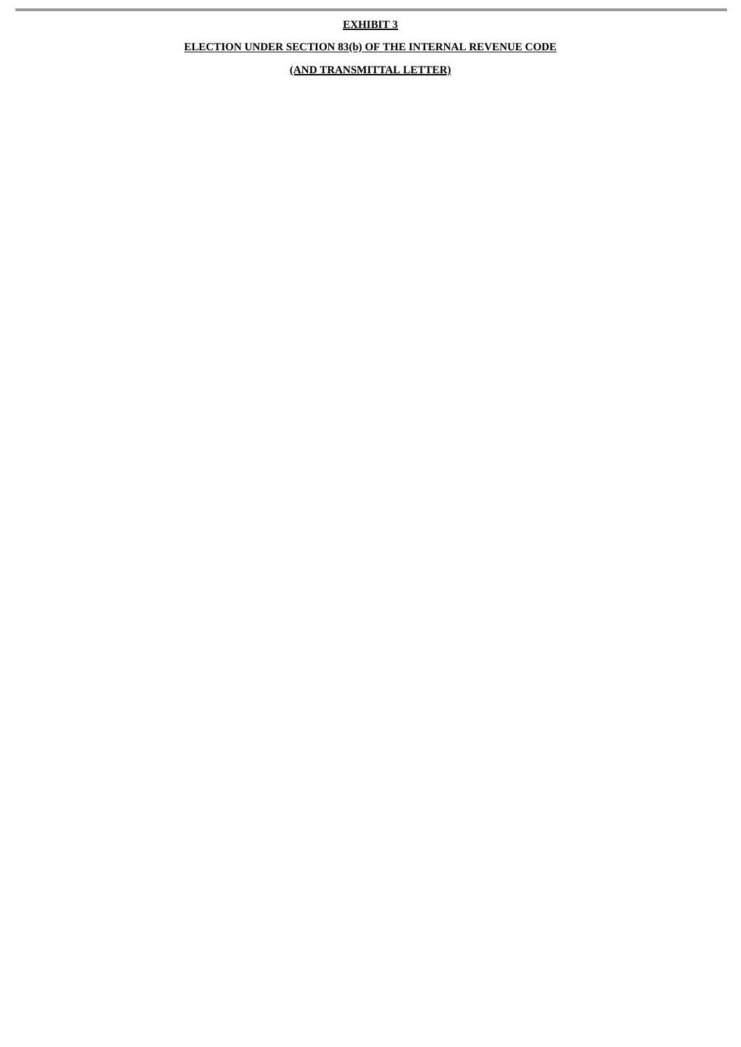## **EXHIBIT 3**

## **ELECTION UNDER SECTION 83(b) OF THE INTERNAL REVENUE CODE**

**(AND TRANSMITTAL LETTER)**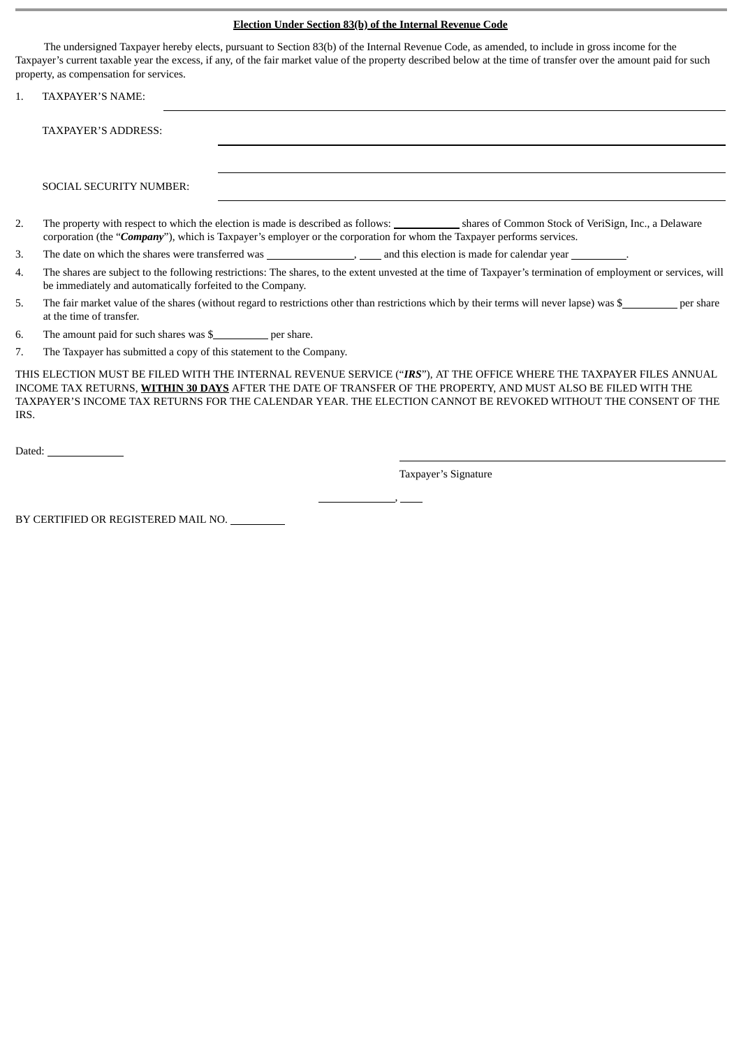### **Election Under Section 83(b) of the Internal Revenue Code**

The undersigned Taxpayer hereby elects, pursuant to Section 83(b) of the Internal Revenue Code, as amended, to include in gross income for the Taxpayer's current taxable year the excess, if any, of the fair market value of the property described below at the time of transfer over the amount paid for such property, as compensation for services.

| 1. | TAXPAYER'S NAME:                                                                                                                                                                                                                                                                            |
|----|---------------------------------------------------------------------------------------------------------------------------------------------------------------------------------------------------------------------------------------------------------------------------------------------|
|    | TAXPAYER'S ADDRESS:                                                                                                                                                                                                                                                                         |
|    | <b>SOCIAL SECURITY NUMBER:</b>                                                                                                                                                                                                                                                              |
| 2. | The property with respect to which the election is made is described as follows: ___________________ shares of Common Stock of VeriSign, Inc., a Delaware<br>corporation (the " <b>Company</b> "), which is Taxpayer's employer or the corporation for whom the Taxpayer performs services. |
| 3. |                                                                                                                                                                                                                                                                                             |
| 4. | The shares are subject to the following restrictions: The shares, to the extent unvested at the time of Taxpayer's termination of employment or services, will<br>be immediately and automatically forfeited to the Company.                                                                |
| 5. | The fair market value of the shares (without regard to restrictions other than restrictions which by their terms will never lapse) was \$<br>at the time of transfer.                                                                                                                       |
| 6. | The amount paid for such shares was \$_____________ per share.                                                                                                                                                                                                                              |
| 7. | The Taxpayer has submitted a copy of this statement to the Company.                                                                                                                                                                                                                         |
|    | THIS ELECTION MUST BE FILED WITH THE INTERNAL REVENUE SERVICE ("IRS"), AT THE OFFICE WHERE THE TAXPAYER FILES ANNUAL<br>INCOME TAX RETURNS. WITHIN 30 DAVS AFTER THE DATE OF TRANSEER OF THE PROPERTY AND MUST ALSO BE FILED WITH THE                                                       |

INCOME TAX RETURNS, **WITHIN 30 DAYS** AFTER THE DATE OF TRANSFER OF THE PROPERTY, AND MUST ALSO BE FILED WITH THE TAXPAYER'S INCOME TAX RETURNS FOR THE CALENDAR YEAR. THE ELECTION CANNOT BE REVOKED WITHOUT THE CONSENT OF THE IRS.

 $\overline{\phantom{a}}$ ,  $\overline{\phantom{a}}$ ,  $\overline{\phantom{a}}$ ,  $\overline{\phantom{a}}$ ,  $\overline{\phantom{a}}$ ,  $\overline{\phantom{a}}$ ,  $\overline{\phantom{a}}$ ,  $\overline{\phantom{a}}$ ,  $\overline{\phantom{a}}$ ,  $\overline{\phantom{a}}$ ,  $\overline{\phantom{a}}$ ,  $\overline{\phantom{a}}$ ,  $\overline{\phantom{a}}$ ,  $\overline{\phantom{a}}$ ,  $\overline{\phantom{a}}$ ,  $\overline{\phantom{a}}$ ,  $\overline{\phantom{a}}$ ,

Dated:

Taxpayer's Signature

BY CERTIFIED OR REGISTERED MAIL NO.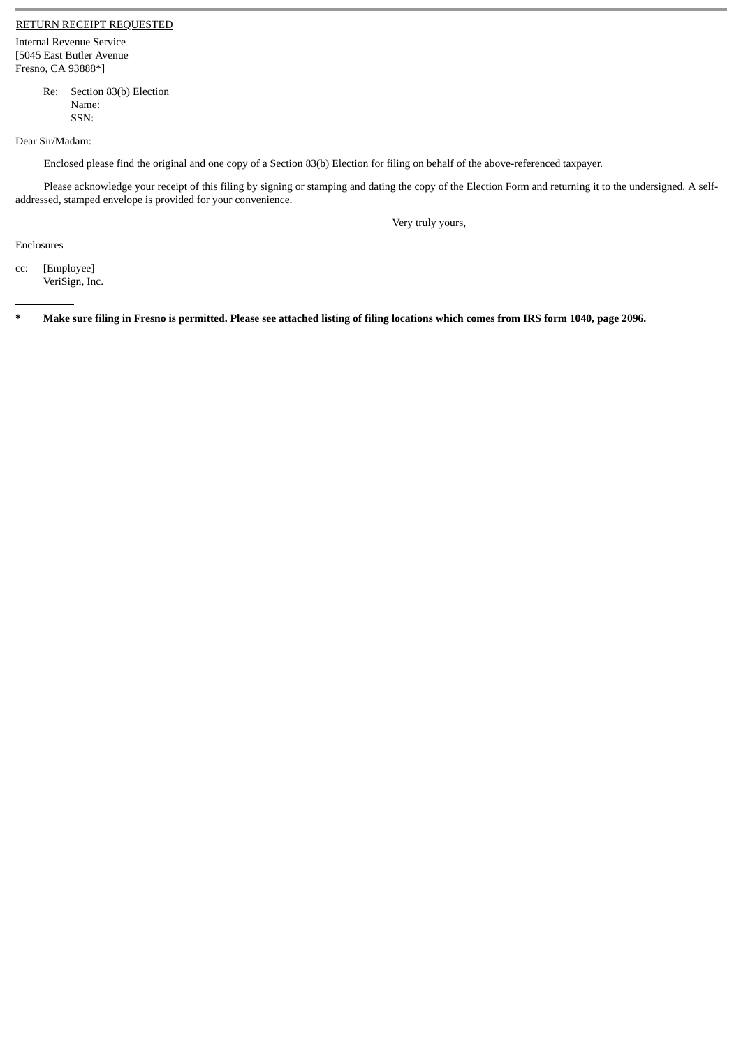### RETURN RECEIPT REQUESTED

Internal Revenue Service [5045 East Butler Avenue Fresno, CA 93888\*]

> Re: Section 83(b) Election Name: SSN:

#### Dear Sir/Madam:

Enclosed please find the original and one copy of a Section 83(b) Election for filing on behalf of the above-referenced taxpayer.

Please acknowledge your receipt of this filing by signing or stamping and dating the copy of the Election Form and returning it to the undersigned. A selfaddressed, stamped envelope is provided for your convenience.

Very truly yours,

#### Enclosures

cc: [Employee] VeriSign, Inc.

**\* Make sure filing in Fresno is permitted. Please see attached listing of filing locations which comes from IRS form 1040, page 2096.**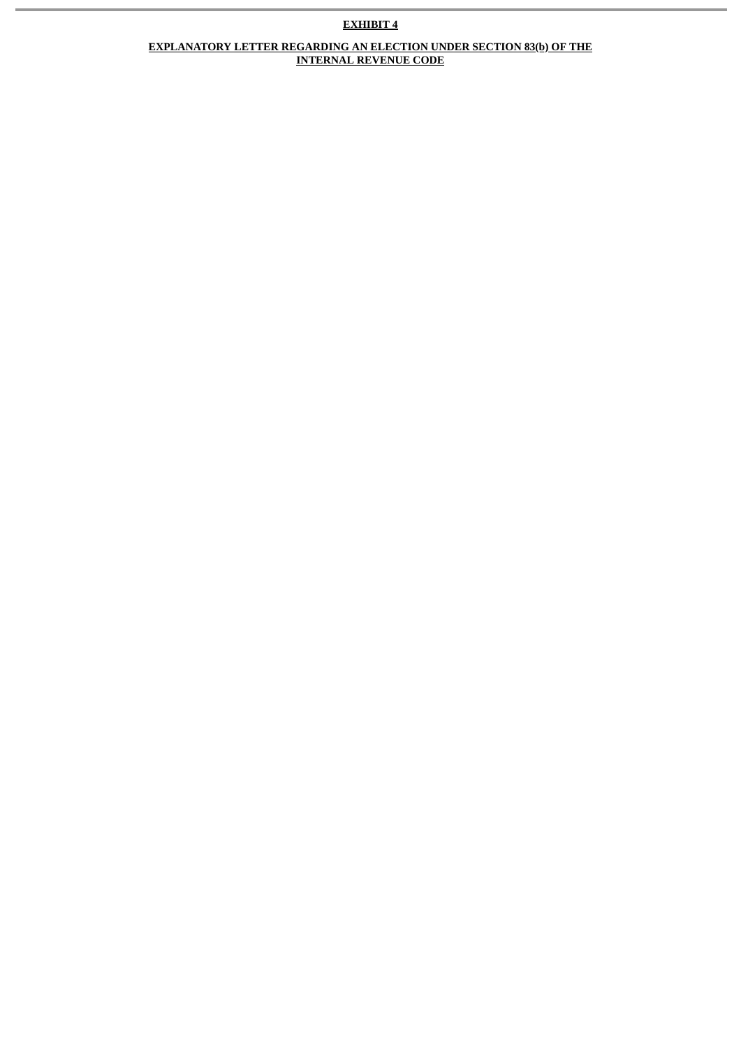# **EXHIBIT 4**

#### **EXPLANATORY LETTER REGARDING AN ELECTION UNDER SECTION 83(b) OF THE INTERNAL REVENUE CODE**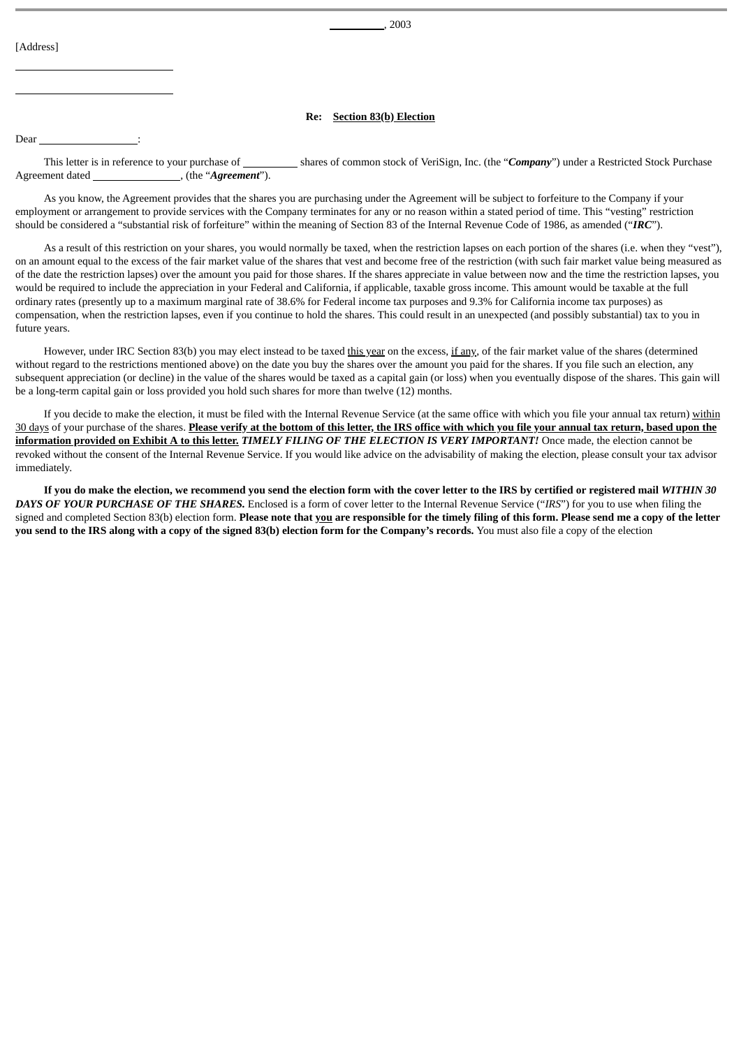[Address]

, 2003

#### **Re: Section 83(b) Election**

Dear :

This letter is in reference to your purchase of \_\_\_\_\_\_\_\_\_\_\_\_ shares of common stock of VeriSign, Inc. (the "Company") under a Restricted Stock Purchase Agreement dated , (the "*Agreement*").

As you know, the Agreement provides that the shares you are purchasing under the Agreement will be subject to forfeiture to the Company if your employment or arrangement to provide services with the Company terminates for any or no reason within a stated period of time. This "vesting" restriction should be considered a "substantial risk of forfeiture" within the meaning of Section 83 of the Internal Revenue Code of 1986, as amended ("*IRC*").

As a result of this restriction on your shares, you would normally be taxed, when the restriction lapses on each portion of the shares (i.e. when they "vest"), on an amount equal to the excess of the fair market value of the shares that vest and become free of the restriction (with such fair market value being measured as of the date the restriction lapses) over the amount you paid for those shares. If the shares appreciate in value between now and the time the restriction lapses, you would be required to include the appreciation in your Federal and California, if applicable, taxable gross income. This amount would be taxable at the full ordinary rates (presently up to a maximum marginal rate of 38.6% for Federal income tax purposes and 9.3% for California income tax purposes) as compensation, when the restriction lapses, even if you continue to hold the shares. This could result in an unexpected (and possibly substantial) tax to you in future years.

However, under IRC Section 83(b) you may elect instead to be taxed this year on the excess, if any, of the fair market value of the shares (determined without regard to the restrictions mentioned above) on the date you buy the shares over the amount you paid for the shares. If you file such an election, any subsequent appreciation (or decline) in the value of the shares would be taxed as a capital gain (or loss) when you eventually dispose of the shares. This gain will be a long-term capital gain or loss provided you hold such shares for more than twelve (12) months.

If you decide to make the election, it must be filed with the Internal Revenue Service (at the same office with which you file your annual tax return) within 30 days of your purchase of the shares. **Please verify at the bottom of this letter, the IRS office with which you file your annual tax return, based upon the information provided on Exhibit A to this letter.** *TIMELY FILING OF THE ELECTION IS VERY IMPORTANT!* Once made, the election cannot be revoked without the consent of the Internal Revenue Service. If you would like advice on the advisability of making the election, please consult your tax advisor immediately.

**If you do make the election, we recommend you send the election form with the cover letter to the IRS by certified or registered mail** *WITHIN 30 DAYS OF YOUR PURCHASE OF THE SHARES.* Enclosed is a form of cover letter to the Internal Revenue Service ("*IRS*") for you to use when filing the signed and completed Section 83(b) election form. **Please note that you are responsible for the timely filing of this form. Please send me a copy of the letter you send to the IRS along with a copy of the signed 83(b) election form for the Company's records.** You must also file a copy of the election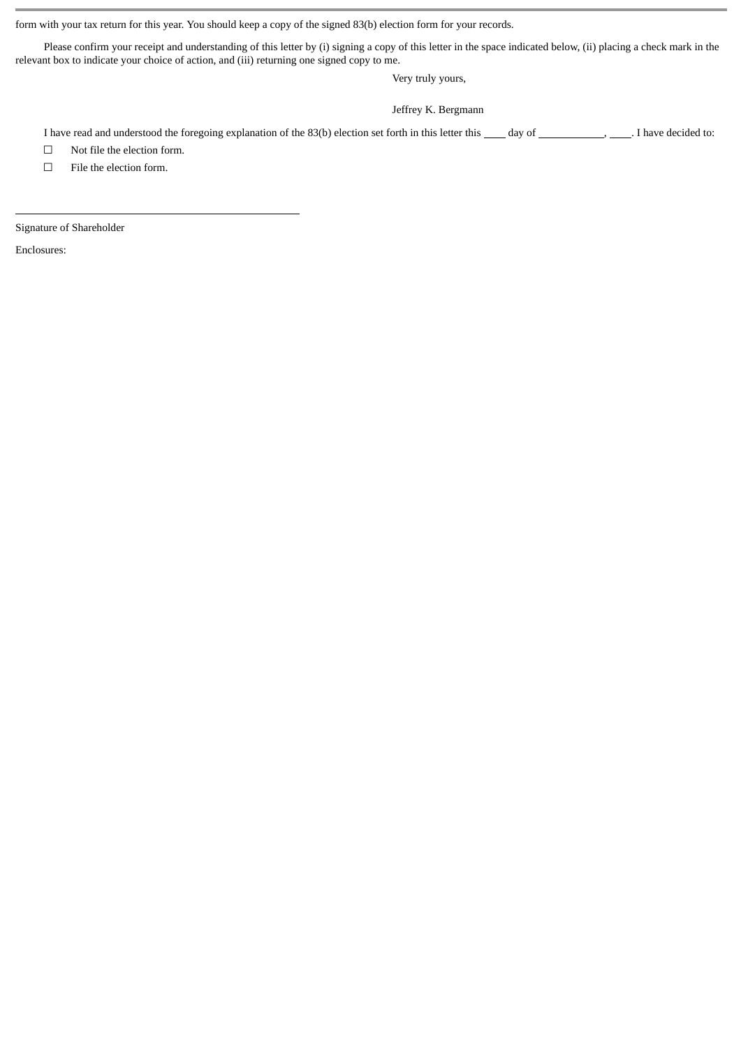form with your tax return for this year. You should keep a copy of the signed 83(b) election form for your records.

Please confirm your receipt and understanding of this letter by (i) signing a copy of this letter in the space indicated below, (ii) placing a check mark in the relevant box to indicate your choice of action, and (iii) returning one signed copy to me.

Very truly yours,

#### Jeffrey K. Bergmann

I have read and understood the foregoing explanation of the 83(b) election set forth in this letter this \_\_\_\_\_ day of \_\_\_\_\_\_\_\_\_\_\_\_\_\_\_\_\_\_\_\_\_. I have decided to:

- ☐ Not file the election form.
- ☐ File the election form.

Signature of Shareholder

Enclosures: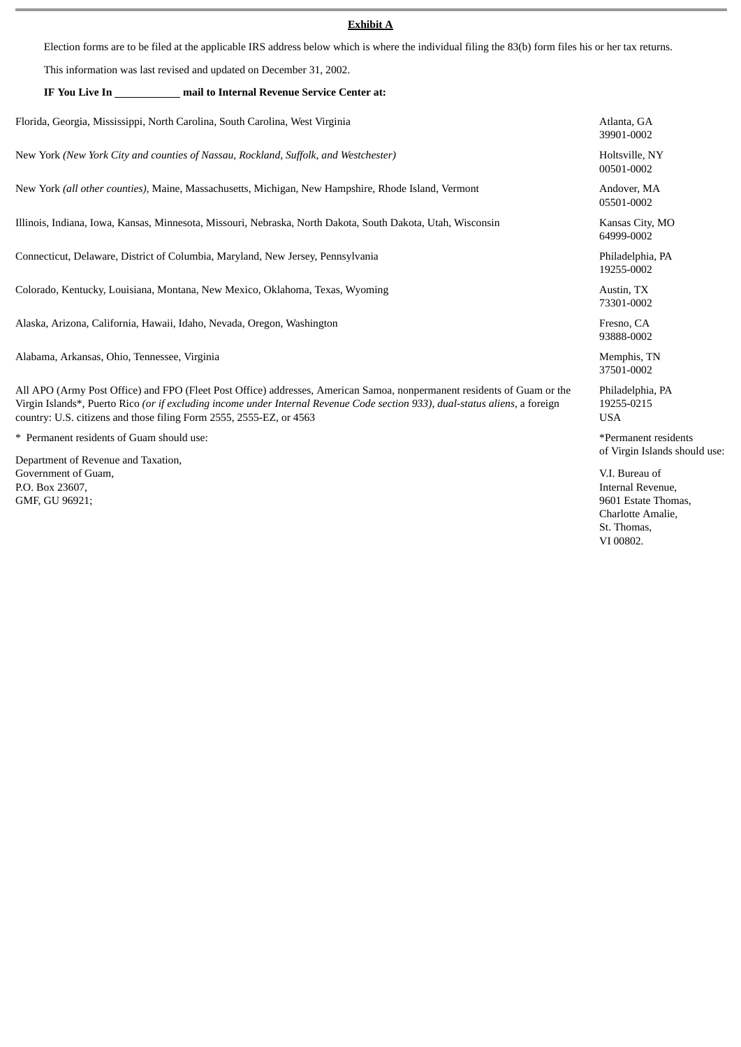#### **Exhibit A**

Election forms are to be filed at the applicable IRS address below which is where the individual filing the 83(b) form files his or her tax returns.

This information was last revised and updated on December 31, 2002.

## **IF You Live In \_\_\_\_\_\_\_\_\_\_\_\_ mail to Internal Revenue Service Center at:**

| Florida, Georgia, Mississippi, North Carolina, South Carolina, West Virginia                                                                                                                                                                                                                                                   | Atlanta, GA<br>39901-0002                             |
|--------------------------------------------------------------------------------------------------------------------------------------------------------------------------------------------------------------------------------------------------------------------------------------------------------------------------------|-------------------------------------------------------|
| New York (New York City and counties of Nassau, Rockland, Suffolk, and Westchester)                                                                                                                                                                                                                                            | Holtsville, NY<br>00501-0002                          |
| New York (all other counties), Maine, Massachusetts, Michigan, New Hampshire, Rhode Island, Vermont                                                                                                                                                                                                                            | Andover, MA<br>05501-0002                             |
| Illinois, Indiana, Iowa, Kansas, Minnesota, Missouri, Nebraska, North Dakota, South Dakota, Utah, Wisconsin                                                                                                                                                                                                                    | Kansas City, MO<br>64999-0002                         |
| Connecticut, Delaware, District of Columbia, Maryland, New Jersey, Pennsylvania                                                                                                                                                                                                                                                | Philadelphia, PA<br>19255-0002                        |
| Colorado, Kentucky, Louisiana, Montana, New Mexico, Oklahoma, Texas, Wyoming                                                                                                                                                                                                                                                   | Austin, TX<br>73301-0002                              |
| Alaska, Arizona, California, Hawaii, Idaho, Nevada, Oregon, Washington                                                                                                                                                                                                                                                         | Fresno, CA<br>93888-0002                              |
| Alabama, Arkansas, Ohio, Tennessee, Virginia                                                                                                                                                                                                                                                                                   | Memphis, TN<br>37501-0002                             |
| All APO (Army Post Office) and FPO (Fleet Post Office) addresses, American Samoa, nonpermanent residents of Guam or the<br>Virgin Islands*, Puerto Rico (or if excluding income under Internal Revenue Code section 933), dual-status aliens, a foreign<br>country: U.S. citizens and those filing Form 2555, 2555-EZ, or 4563 | Philadelphia, PA<br>19255-0215<br><b>USA</b>          |
| * Permanent residents of Guam should use:<br><b>Product CPP 1980</b> and 1980                                                                                                                                                                                                                                                  | *Permanent residents<br>of Virgin Islands should use: |

V.I. Bureau of Internal Revenue, 9601 Estate Thomas, Charlotte Amalie, St. Thomas, VI 00802.

Department of Revenue and Taxation, Government of Guam, P.O. Box 23607, GMF, GU 96921;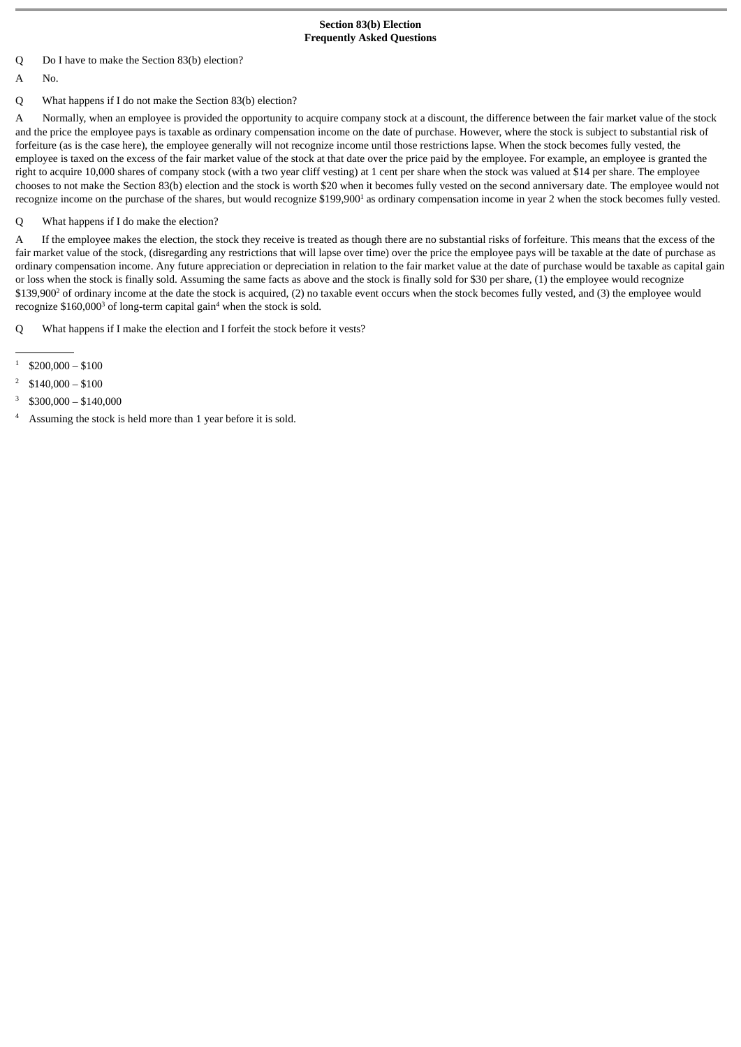#### **Section 83(b) Election Frequently Asked Questions**

Q Do I have to make the Section 83(b) election?

A No.

Q What happens if I do not make the Section 83(b) election?

A Normally, when an employee is provided the opportunity to acquire company stock at a discount, the difference between the fair market value of the stock and the price the employee pays is taxable as ordinary compensation income on the date of purchase. However, where the stock is subject to substantial risk of forfeiture (as is the case here), the employee generally will not recognize income until those restrictions lapse. When the stock becomes fully vested, the employee is taxed on the excess of the fair market value of the stock at that date over the price paid by the employee. For example, an employee is granted the right to acquire 10,000 shares of company stock (with a two year cliff vesting) at 1 cent per share when the stock was valued at \$14 per share. The employee chooses to not make the Section 83(b) election and the stock is worth \$20 when it becomes fully vested on the second anniversary date. The employee would not recognize income on the purchase of the shares, but would recognize \$199,900<sup>1</sup> as ordinary compensation income in year 2 when the stock becomes fully vested.

Q What happens if I do make the election?

A If the employee makes the election, the stock they receive is treated as though there are no substantial risks of forfeiture. This means that the excess of the fair market value of the stock, (disregarding any restrictions that will lapse over time) over the price the employee pays will be taxable at the date of purchase as ordinary compensation income. Any future appreciation or depreciation in relation to the fair market value at the date of purchase would be taxable as capital gain or loss when the stock is finally sold. Assuming the same facts as above and the stock is finally sold for \$30 per share, (1) the employee would recognize \$139,900<sup>2</sup> of ordinary income at the date the stock is acquired, (2) no taxable event occurs when the stock becomes fully vested, and (3) the employee would recognize \$160,000<sup>3</sup> of long-term capital gain<sup>4</sup> when the stock is sold.

Q What happens if I make the election and I forfeit the stock before it vests?

<sup>2</sup>  $$140,000 - $100$ 

 $1$  \$200,000 – \$100

 $3$  \$300,000 – \$140,000

<sup>4</sup> Assuming the stock is held more than 1 year before it is sold.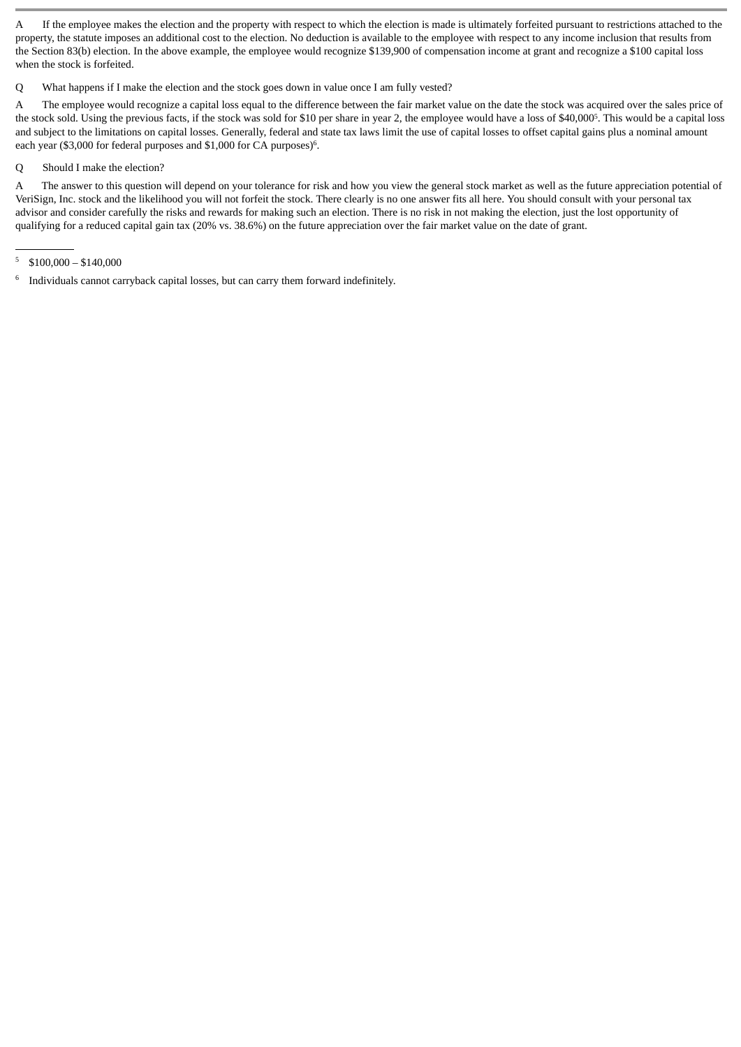A If the employee makes the election and the property with respect to which the election is made is ultimately forfeited pursuant to restrictions attached to the property, the statute imposes an additional cost to the election. No deduction is available to the employee with respect to any income inclusion that results from the Section 83(b) election. In the above example, the employee would recognize \$139,900 of compensation income at grant and recognize a \$100 capital loss when the stock is forfeited.

Q What happens if I make the election and the stock goes down in value once I am fully vested?

A The employee would recognize a capital loss equal to the difference between the fair market value on the date the stock was acquired over the sales price of the stock sold. Using the previous facts, if the stock was sold for \$10 per share in year 2, the employee would have a loss of \$40,000<sup>5</sup>. This would be a capital loss and subject to the limitations on capital losses. Generally, federal and state tax laws limit the use of capital losses to offset capital gains plus a nominal amount each year (\$3,000 for federal purposes and \$1,000 for CA purposes) $6$ .

Q Should I make the election?

A The answer to this question will depend on your tolerance for risk and how you view the general stock market as well as the future appreciation potential of VeriSign, Inc. stock and the likelihood you will not forfeit the stock. There clearly is no one answer fits all here. You should consult with your personal tax advisor and consider carefully the risks and rewards for making such an election. There is no risk in not making the election, just the lost opportunity of qualifying for a reduced capital gain tax (20% vs. 38.6%) on the future appreciation over the fair market value on the date of grant.

 $5\quad$ \$100,000 – \$140,000

<sup>6</sup> Individuals cannot carryback capital losses, but can carry them forward indefinitely.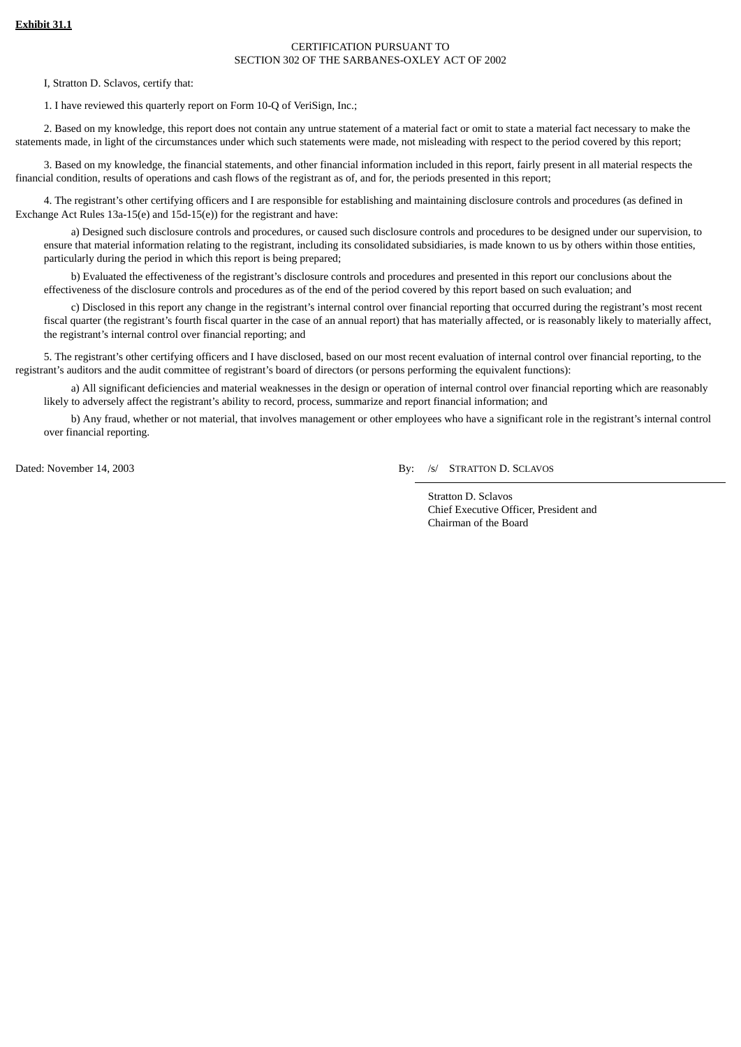## CERTIFICATION PURSUANT TO SECTION 302 OF THE SARBANES-OXLEY ACT OF 2002

I, Stratton D. Sclavos, certify that:

1. I have reviewed this quarterly report on Form 10-Q of VeriSign, Inc.;

2. Based on my knowledge, this report does not contain any untrue statement of a material fact or omit to state a material fact necessary to make the statements made, in light of the circumstances under which such statements were made, not misleading with respect to the period covered by this report;

3. Based on my knowledge, the financial statements, and other financial information included in this report, fairly present in all material respects the financial condition, results of operations and cash flows of the registrant as of, and for, the periods presented in this report;

4. The registrant's other certifying officers and I are responsible for establishing and maintaining disclosure controls and procedures (as defined in Exchange Act Rules 13a-15(e) and 15d-15(e)) for the registrant and have:

a) Designed such disclosure controls and procedures, or caused such disclosure controls and procedures to be designed under our supervision, to ensure that material information relating to the registrant, including its consolidated subsidiaries, is made known to us by others within those entities, particularly during the period in which this report is being prepared;

b) Evaluated the effectiveness of the registrant's disclosure controls and procedures and presented in this report our conclusions about the effectiveness of the disclosure controls and procedures as of the end of the period covered by this report based on such evaluation; and

c) Disclosed in this report any change in the registrant's internal control over financial reporting that occurred during the registrant's most recent fiscal quarter (the registrant's fourth fiscal quarter in the case of an annual report) that has materially affected, or is reasonably likely to materially affect, the registrant's internal control over financial reporting; and

5. The registrant's other certifying officers and I have disclosed, based on our most recent evaluation of internal control over financial reporting, to the registrant's auditors and the audit committee of registrant's board of directors (or persons performing the equivalent functions):

a) All significant deficiencies and material weaknesses in the design or operation of internal control over financial reporting which are reasonably likely to adversely affect the registrant's ability to record, process, summarize and report financial information; and

b) Any fraud, whether or not material, that involves management or other employees who have a significant role in the registrant's internal control over financial reporting.

Dated: November 14, 2003 By: /s/ STRATTON D. SCLAVOS

Stratton D. Sclavos Chief Executive Officer, President and Chairman of the Board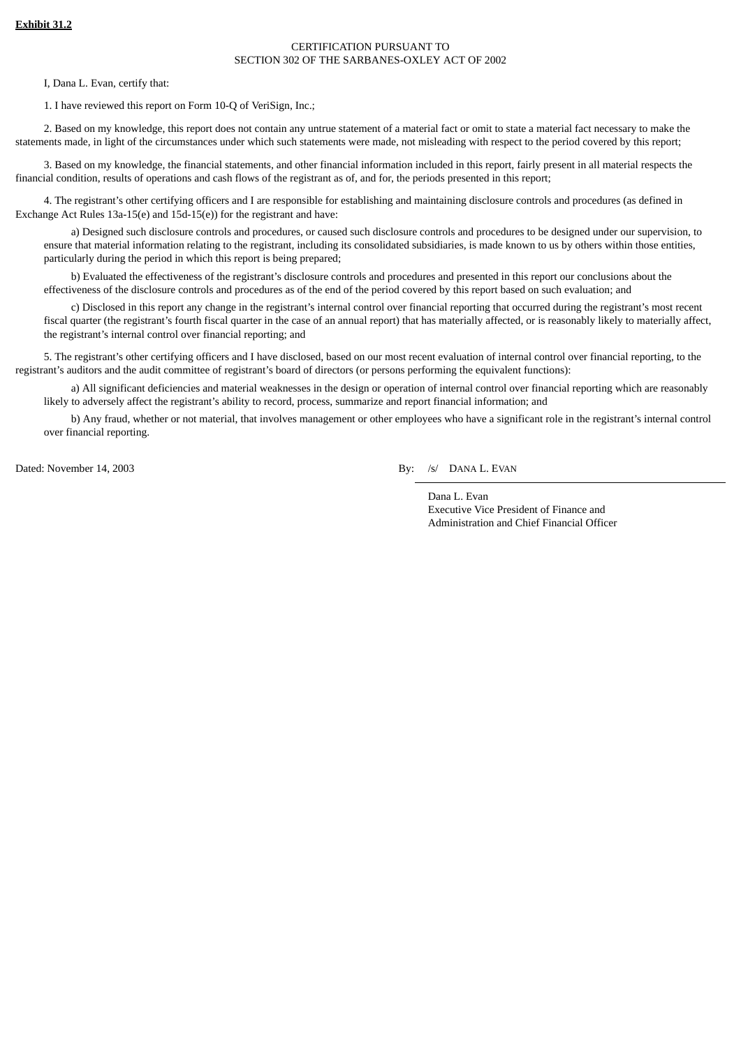## CERTIFICATION PURSUANT TO SECTION 302 OF THE SARBANES-OXLEY ACT OF 2002

I, Dana L. Evan, certify that:

1. I have reviewed this report on Form 10-Q of VeriSign, Inc.;

2. Based on my knowledge, this report does not contain any untrue statement of a material fact or omit to state a material fact necessary to make the statements made, in light of the circumstances under which such statements were made, not misleading with respect to the period covered by this report;

3. Based on my knowledge, the financial statements, and other financial information included in this report, fairly present in all material respects the financial condition, results of operations and cash flows of the registrant as of, and for, the periods presented in this report;

4. The registrant's other certifying officers and I are responsible for establishing and maintaining disclosure controls and procedures (as defined in Exchange Act Rules 13a-15(e) and 15d-15(e)) for the registrant and have:

a) Designed such disclosure controls and procedures, or caused such disclosure controls and procedures to be designed under our supervision, to ensure that material information relating to the registrant, including its consolidated subsidiaries, is made known to us by others within those entities, particularly during the period in which this report is being prepared;

b) Evaluated the effectiveness of the registrant's disclosure controls and procedures and presented in this report our conclusions about the effectiveness of the disclosure controls and procedures as of the end of the period covered by this report based on such evaluation; and

c) Disclosed in this report any change in the registrant's internal control over financial reporting that occurred during the registrant's most recent fiscal quarter (the registrant's fourth fiscal quarter in the case of an annual report) that has materially affected, or is reasonably likely to materially affect, the registrant's internal control over financial reporting; and

5. The registrant's other certifying officers and I have disclosed, based on our most recent evaluation of internal control over financial reporting, to the registrant's auditors and the audit committee of registrant's board of directors (or persons performing the equivalent functions):

a) All significant deficiencies and material weaknesses in the design or operation of internal control over financial reporting which are reasonably likely to adversely affect the registrant's ability to record, process, summarize and report financial information; and

b) Any fraud, whether or not material, that involves management or other employees who have a significant role in the registrant's internal control over financial reporting.

Dated: November 14, 2003 By: /s/ DANA L. EVAN

Dana L. Evan Executive Vice President of Finance and Administration and Chief Financial Officer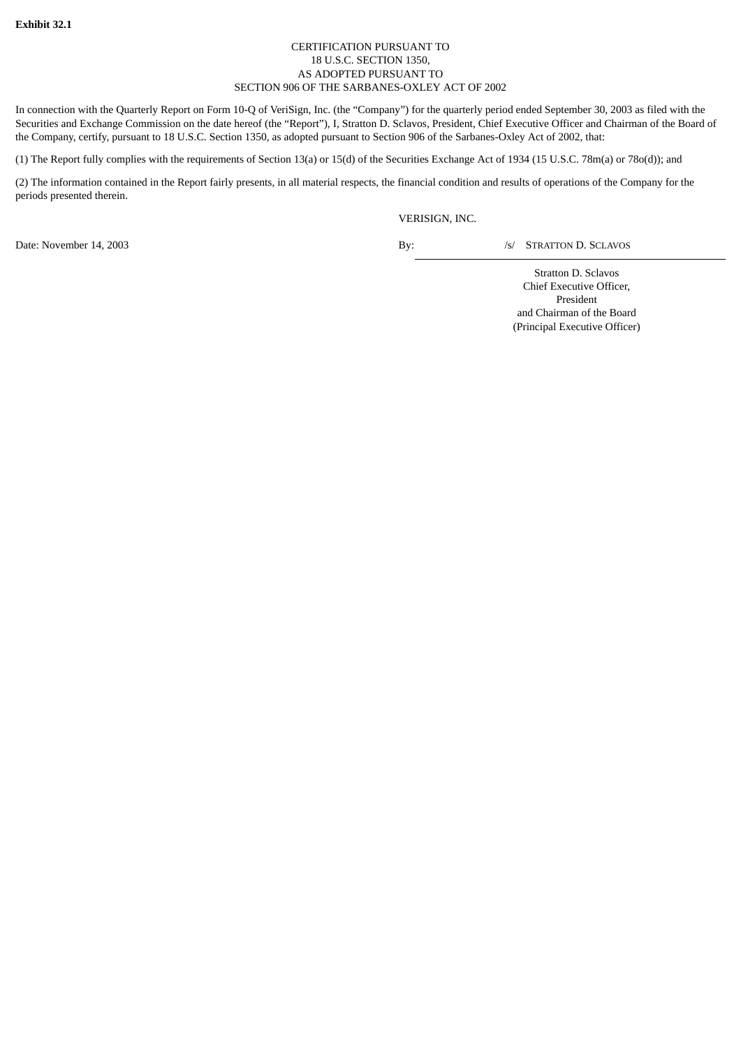## CERTIFICATION PURSUANT TO 18 U.S.C. SECTION 1350, AS ADOPTED PURSUANT TO SECTION 906 OF THE SARBANES-OXLEY ACT OF 2002

In connection with the Quarterly Report on Form 10-Q of VeriSign, Inc. (the "Company") for the quarterly period ended September 30, 2003 as filed with the Securities and Exchange Commission on the date hereof (the "Report"), I, Stratton D. Sclavos, President, Chief Executive Officer and Chairman of the Board of the Company, certify, pursuant to 18 U.S.C. Section 1350, as adopted pursuant to Section 906 of the Sarbanes-Oxley Act of 2002, that:

(1) The Report fully complies with the requirements of Section 13(a) or 15(d) of the Securities Exchange Act of 1934 (15 U.S.C. 78m(a) or 78o(d)); and

(2) The information contained in the Report fairly presents, in all material respects, the financial condition and results of operations of the Company for the periods presented therein.

VERISIGN, INC.

Date: November 14, 2003 **By:** /s/ STRATTON D. SCLAVOS

Stratton D. Sclavos Chief Executive Officer, President and Chairman of the Board (Principal Executive Officer)